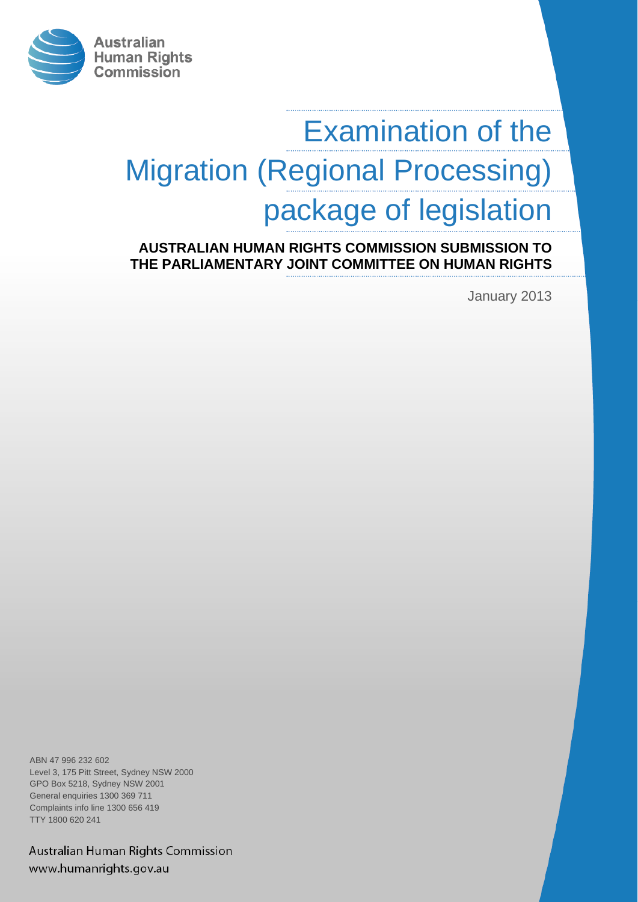

# Examination of the Migration (Regional Processing) package of legislation

**AUSTRALIAN HUMAN RIGHTS COMMISSION SUBMISSION TO THE PARLIAMENTARY JOINT COMMITTEE ON HUMAN RIGHTS**

January 2013

ABN 47 996 232 602 Level 3, 175 Pitt Street, Sydney NSW 2000 GPO Box 5218, Sydney NSW 2001 General enquiries 1300 369 711 Complaints info line 1300 656 419 TTY 1800 620 241

Australian Human Rights Commission www.humanrights.gov.au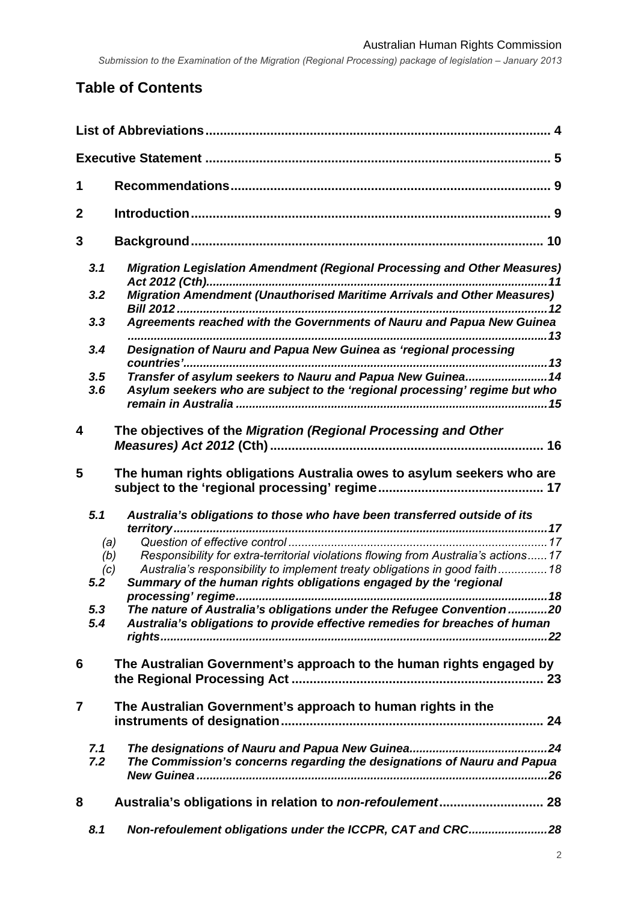# **Table of Contents**

| 1              |            |                                                                                                                                                                  |  |  |
|----------------|------------|------------------------------------------------------------------------------------------------------------------------------------------------------------------|--|--|
| $\mathbf 2$    |            |                                                                                                                                                                  |  |  |
| 3              |            |                                                                                                                                                                  |  |  |
|                | 3.1        | Migration Legislation Amendment (Regional Processing and Other Measures)                                                                                         |  |  |
|                | 3.2        | Migration Amendment (Unauthorised Maritime Arrivals and Other Measures)                                                                                          |  |  |
|                | 3.3        | Agreements reached with the Governments of Nauru and Papua New Guinea                                                                                            |  |  |
|                | 3.4        | Designation of Nauru and Papua New Guinea as 'regional processing                                                                                                |  |  |
|                | 3.5<br>3.6 | Transfer of asylum seekers to Nauru and Papua New Guinea 14<br>Asylum seekers who are subject to the 'regional processing' regime but who                        |  |  |
| 4              |            | The objectives of the Migration (Regional Processing and Other                                                                                                   |  |  |
| 5              |            | The human rights obligations Australia owes to asylum seekers who are                                                                                            |  |  |
|                | 5.1        | Australia's obligations to those who have been transferred outside of its                                                                                        |  |  |
|                | (a)        |                                                                                                                                                                  |  |  |
|                | (b)<br>(c) | Responsibility for extra-territorial violations flowing from Australia's actions17<br>Australia's responsibility to implement treaty obligations in good faith18 |  |  |
|                | 5.2        | Summary of the human rights obligations engaged by the 'regional                                                                                                 |  |  |
|                | 5.3<br>5.4 | The nature of Australia's obligations under the Refugee Convention20<br>Australia's obligations to provide effective remedies for breaches of human              |  |  |
|                |            |                                                                                                                                                                  |  |  |
| 6              |            | The Australian Government's approach to the human rights engaged by                                                                                              |  |  |
| $\overline{7}$ |            | The Australian Government's approach to human rights in the                                                                                                      |  |  |
|                | 7.1<br>7.2 | The Commission's concerns regarding the designations of Nauru and Papua                                                                                          |  |  |
| 8              |            |                                                                                                                                                                  |  |  |
|                | 8.1        | Non-refoulement obligations under the ICCPR, CAT and CRC28                                                                                                       |  |  |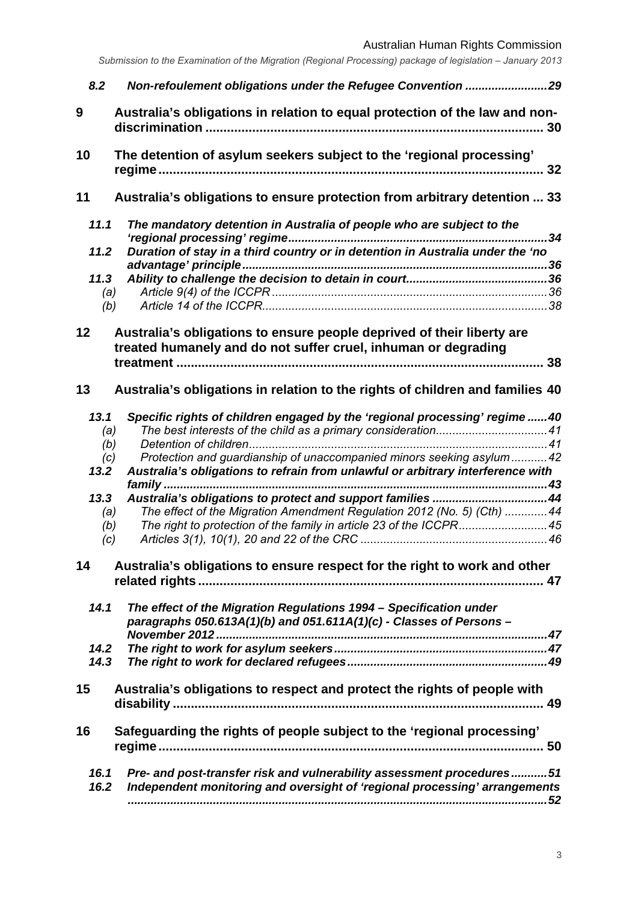Australian Human Rights Commission

| 8.2          | Non-refoulement obligations under the Refugee Convention 29                                                                                         |    |
|--------------|-----------------------------------------------------------------------------------------------------------------------------------------------------|----|
| 9            | Australia's obligations in relation to equal protection of the law and non-                                                                         | 30 |
| 10           | The detention of asylum seekers subject to the 'regional processing'                                                                                | 32 |
| 11           | Australia's obligations to ensure protection from arbitrary detention  33                                                                           |    |
| 11.1         | The mandatory detention in Australia of people who are subject to the                                                                               | 34 |
| 11.2         | Duration of stay in a third country or in detention in Australia under the 'no                                                                      |    |
| 11.3         |                                                                                                                                                     |    |
| (a)          |                                                                                                                                                     |    |
| (b)          |                                                                                                                                                     |    |
|              |                                                                                                                                                     |    |
| 12           | Australia's obligations to ensure people deprived of their liberty are                                                                              |    |
|              | treated humanely and do not suffer cruel, inhuman or degrading                                                                                      |    |
|              |                                                                                                                                                     | 38 |
| 13           | Australia's obligations in relation to the rights of children and families 40                                                                       |    |
| 13.1         | Specific rights of children engaged by the 'regional processing' regime40                                                                           |    |
| (a)          |                                                                                                                                                     |    |
| (b)          |                                                                                                                                                     |    |
| (c)          | Protection and guardianship of unaccompanied minors seeking asylum  42                                                                              |    |
| 13.2         | Australia's obligations to refrain from unlawful or arbitrary interference with                                                                     |    |
|              |                                                                                                                                                     |    |
| 13.3         | Australia's obligations to protect and support families 44                                                                                          |    |
| (a)          | The effect of the Migration Amendment Regulation 2012 (No. 5) (Cth) 44                                                                              |    |
| (b)          | The right to protection of the family in article 23 of the ICCPR45                                                                                  |    |
| (c)          |                                                                                                                                                     |    |
| 14           | Australia's obligations to ensure respect for the right to work and other                                                                           |    |
|              |                                                                                                                                                     |    |
| 14.1         | The effect of the Migration Regulations 1994 - Specification under<br>paragraphs $050.613A(1)(b)$ and $051.611A(1)(c)$ - Classes of Persons -       |    |
|              |                                                                                                                                                     |    |
| 14.2         |                                                                                                                                                     |    |
| 14.3         |                                                                                                                                                     |    |
| 15           | Australia's obligations to respect and protect the rights of people with                                                                            |    |
|              |                                                                                                                                                     |    |
| 16           | Safeguarding the rights of people subject to the 'regional processing'                                                                              |    |
| 16.1<br>16.2 | Pre- and post-transfer risk and vulnerability assessment procedures51<br>Independent monitoring and oversight of 'regional processing' arrangements |    |
|              |                                                                                                                                                     |    |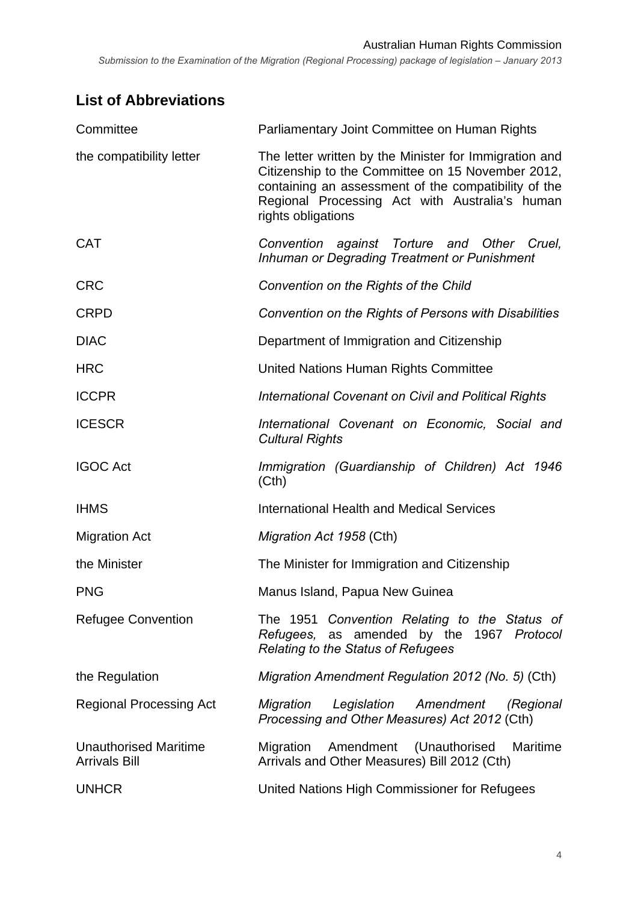# **List of Abbreviations**

| Committee                                            | Parliamentary Joint Committee on Human Rights                                                                                                                                                                                               |  |
|------------------------------------------------------|---------------------------------------------------------------------------------------------------------------------------------------------------------------------------------------------------------------------------------------------|--|
| the compatibility letter                             | The letter written by the Minister for Immigration and<br>Citizenship to the Committee on 15 November 2012,<br>containing an assessment of the compatibility of the<br>Regional Processing Act with Australia's human<br>rights obligations |  |
| <b>CAT</b>                                           | Convention against Torture and Other Cruel,<br>Inhuman or Degrading Treatment or Punishment                                                                                                                                                 |  |
| <b>CRC</b>                                           | Convention on the Rights of the Child                                                                                                                                                                                                       |  |
| <b>CRPD</b>                                          | Convention on the Rights of Persons with Disabilities                                                                                                                                                                                       |  |
| <b>DIAC</b>                                          | Department of Immigration and Citizenship                                                                                                                                                                                                   |  |
| <b>HRC</b>                                           | United Nations Human Rights Committee                                                                                                                                                                                                       |  |
| <b>ICCPR</b>                                         | International Covenant on Civil and Political Rights                                                                                                                                                                                        |  |
| <b>ICESCR</b>                                        | International Covenant on Economic, Social and<br><b>Cultural Rights</b>                                                                                                                                                                    |  |
| <b>IGOC Act</b>                                      | Immigration (Guardianship of Children) Act 1946<br>(Cth)                                                                                                                                                                                    |  |
| <b>IHMS</b>                                          | <b>International Health and Medical Services</b>                                                                                                                                                                                            |  |
| <b>Migration Act</b>                                 | Migration Act 1958 (Cth)                                                                                                                                                                                                                    |  |
| the Minister                                         | The Minister for Immigration and Citizenship                                                                                                                                                                                                |  |
| <b>PNG</b>                                           | Manus Island, Papua New Guinea                                                                                                                                                                                                              |  |
| <b>Refugee Convention</b>                            | The 1951 Convention Relating to the Status of<br>Refugees, as amended by the 1967 Protocol<br><b>Relating to the Status of Refugees</b>                                                                                                     |  |
| the Regulation                                       | Migration Amendment Regulation 2012 (No. 5) (Cth)                                                                                                                                                                                           |  |
| <b>Regional Processing Act</b>                       | Migration<br>Legislation<br>Amendment<br>(Regional<br>Processing and Other Measures) Act 2012 (Cth)                                                                                                                                         |  |
| <b>Unauthorised Maritime</b><br><b>Arrivals Bill</b> | Amendment (Unauthorised<br>Maritime<br>Migration<br>Arrivals and Other Measures) Bill 2012 (Cth)                                                                                                                                            |  |
| <b>UNHCR</b>                                         | United Nations High Commissioner for Refugees                                                                                                                                                                                               |  |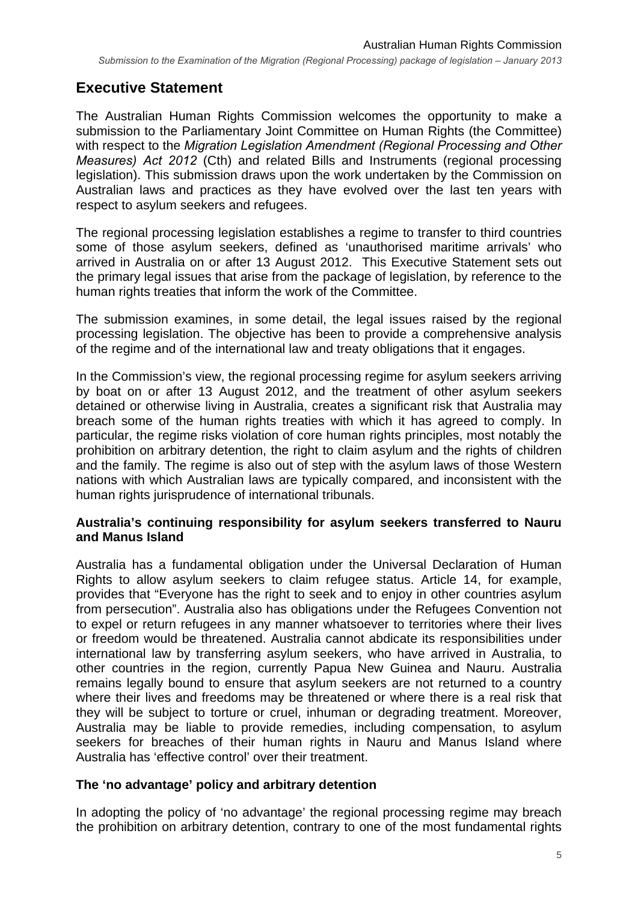## **Executive Statement**

The Australian Human Rights Commission welcomes the opportunity to make a submission to the Parliamentary Joint Committee on Human Rights (the Committee) with respect to the *Migration Legislation Amendment (Regional Processing and Other Measures) Act 2012* (Cth) and related Bills and Instruments (regional processing legislation). This submission draws upon the work undertaken by the Commission on Australian laws and practices as they have evolved over the last ten years with respect to asylum seekers and refugees.

The regional processing legislation establishes a regime to transfer to third countries some of those asylum seekers, defined as 'unauthorised maritime arrivals' who arrived in Australia on or after 13 August 2012. This Executive Statement sets out the primary legal issues that arise from the package of legislation, by reference to the human rights treaties that inform the work of the Committee.

The submission examines, in some detail, the legal issues raised by the regional processing legislation. The objective has been to provide a comprehensive analysis of the regime and of the international law and treaty obligations that it engages.

In the Commission's view, the regional processing regime for asylum seekers arriving by boat on or after 13 August 2012, and the treatment of other asylum seekers detained or otherwise living in Australia, creates a significant risk that Australia may breach some of the human rights treaties with which it has agreed to comply. In particular, the regime risks violation of core human rights principles, most notably the prohibition on arbitrary detention, the right to claim asylum and the rights of children and the family. The regime is also out of step with the asylum laws of those Western nations with which Australian laws are typically compared, and inconsistent with the human rights jurisprudence of international tribunals.

#### **Australia's continuing responsibility for asylum seekers transferred to Nauru and Manus Island**

Australia has a fundamental obligation under the Universal Declaration of Human Rights to allow asylum seekers to claim refugee status. Article 14, for example, provides that "Everyone has the right to seek and to enjoy in other countries asylum from persecution". Australia also has obligations under the Refugees Convention not to expel or return refugees in any manner whatsoever to territories where their lives or freedom would be threatened. Australia cannot abdicate its responsibilities under international law by transferring asylum seekers, who have arrived in Australia, to other countries in the region, currently Papua New Guinea and Nauru. Australia remains legally bound to ensure that asylum seekers are not returned to a country where their lives and freedoms may be threatened or where there is a real risk that they will be subject to torture or cruel, inhuman or degrading treatment. Moreover, Australia may be liable to provide remedies, including compensation, to asylum seekers for breaches of their human rights in Nauru and Manus Island where Australia has 'effective control' over their treatment.

#### **The 'no advantage' policy and arbitrary detention**

In adopting the policy of 'no advantage' the regional processing regime may breach the prohibition on arbitrary detention, contrary to one of the most fundamental rights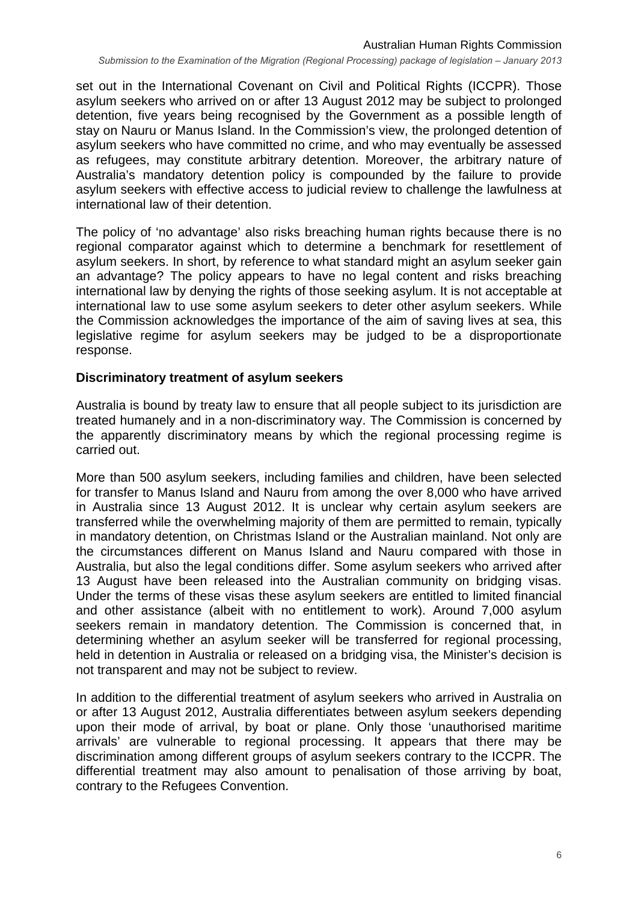set out in the International Covenant on Civil and Political Rights (ICCPR). Those asylum seekers who arrived on or after 13 August 2012 may be subject to prolonged detention, five years being recognised by the Government as a possible length of stay on Nauru or Manus Island. In the Commission's view, the prolonged detention of asylum seekers who have committed no crime, and who may eventually be assessed as refugees, may constitute arbitrary detention. Moreover, the arbitrary nature of Australia's mandatory detention policy is compounded by the failure to provide asylum seekers with effective access to judicial review to challenge the lawfulness at international law of their detention.

The policy of 'no advantage' also risks breaching human rights because there is no regional comparator against which to determine a benchmark for resettlement of asylum seekers. In short, by reference to what standard might an asylum seeker gain an advantage? The policy appears to have no legal content and risks breaching international law by denying the rights of those seeking asylum. It is not acceptable at international law to use some asylum seekers to deter other asylum seekers. While the Commission acknowledges the importance of the aim of saving lives at sea, this legislative regime for asylum seekers may be judged to be a disproportionate response.

#### **Discriminatory treatment of asylum seekers**

Australia is bound by treaty law to ensure that all people subject to its jurisdiction are treated humanely and in a non-discriminatory way. The Commission is concerned by the apparently discriminatory means by which the regional processing regime is carried out.

More than 500 asylum seekers, including families and children, have been selected for transfer to Manus Island and Nauru from among the over 8,000 who have arrived in Australia since 13 August 2012. It is unclear why certain asylum seekers are transferred while the overwhelming majority of them are permitted to remain, typically in mandatory detention, on Christmas Island or the Australian mainland. Not only are the circumstances different on Manus Island and Nauru compared with those in Australia, but also the legal conditions differ. Some asylum seekers who arrived after 13 August have been released into the Australian community on bridging visas. Under the terms of these visas these asylum seekers are entitled to limited financial and other assistance (albeit with no entitlement to work). Around 7,000 asylum seekers remain in mandatory detention. The Commission is concerned that, in determining whether an asylum seeker will be transferred for regional processing, held in detention in Australia or released on a bridging visa, the Minister's decision is not transparent and may not be subject to review.

In addition to the differential treatment of asylum seekers who arrived in Australia on or after 13 August 2012, Australia differentiates between asylum seekers depending upon their mode of arrival, by boat or plane. Only those 'unauthorised maritime arrivals' are vulnerable to regional processing. It appears that there may be discrimination among different groups of asylum seekers contrary to the ICCPR. The differential treatment may also amount to penalisation of those arriving by boat, contrary to the Refugees Convention.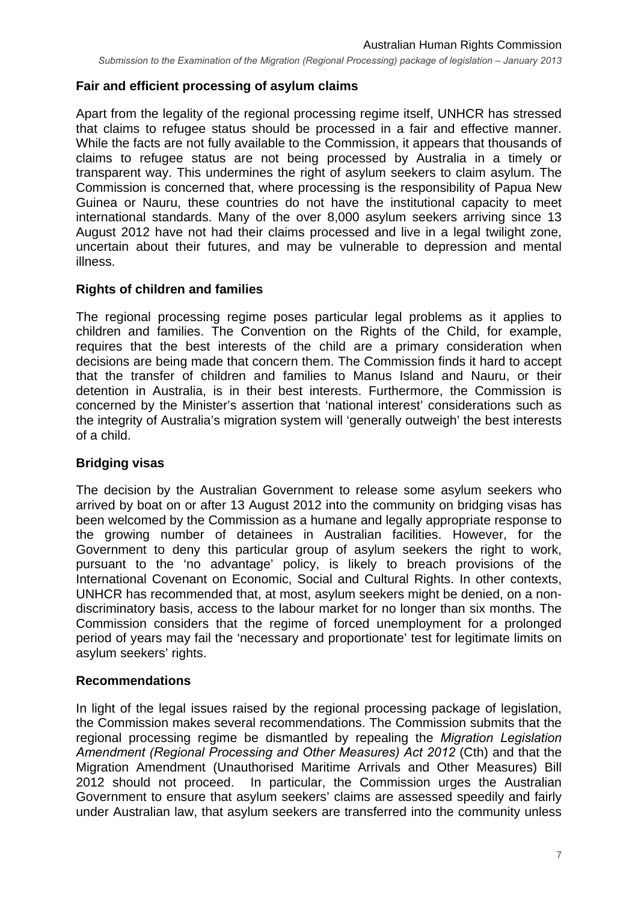#### **Fair and efficient processing of asylum claims**

Apart from the legality of the regional processing regime itself, UNHCR has stressed that claims to refugee status should be processed in a fair and effective manner. While the facts are not fully available to the Commission, it appears that thousands of claims to refugee status are not being processed by Australia in a timely or transparent way. This undermines the right of asylum seekers to claim asylum. The Commission is concerned that, where processing is the responsibility of Papua New Guinea or Nauru, these countries do not have the institutional capacity to meet international standards. Many of the over 8,000 asylum seekers arriving since 13 August 2012 have not had their claims processed and live in a legal twilight zone, uncertain about their futures, and may be vulnerable to depression and mental illness.

#### **Rights of children and families**

The regional processing regime poses particular legal problems as it applies to children and families. The Convention on the Rights of the Child, for example, requires that the best interests of the child are a primary consideration when decisions are being made that concern them. The Commission finds it hard to accept that the transfer of children and families to Manus Island and Nauru, or their detention in Australia, is in their best interests. Furthermore, the Commission is concerned by the Minister's assertion that 'national interest' considerations such as the integrity of Australia's migration system will 'generally outweigh' the best interests of a child.

#### **Bridging visas**

The decision by the Australian Government to release some asylum seekers who arrived by boat on or after 13 August 2012 into the community on bridging visas has been welcomed by the Commission as a humane and legally appropriate response to the growing number of detainees in Australian facilities. However, for the Government to deny this particular group of asylum seekers the right to work, pursuant to the 'no advantage' policy, is likely to breach provisions of the International Covenant on Economic, Social and Cultural Rights. In other contexts, UNHCR has recommended that, at most, asylum seekers might be denied, on a nondiscriminatory basis, access to the labour market for no longer than six months. The Commission considers that the regime of forced unemployment for a prolonged period of years may fail the 'necessary and proportionate' test for legitimate limits on asylum seekers' rights.

#### **Recommendations**

In light of the legal issues raised by the regional processing package of legislation, the Commission makes several recommendations. The Commission submits that the regional processing regime be dismantled by repealing the *Migration Legislation Amendment (Regional Processing and Other Measures) Act 2012* (Cth) and that the Migration Amendment (Unauthorised Maritime Arrivals and Other Measures) Bill 2012 should not proceed.In particular, the Commission urges the Australian Government to ensure that asylum seekers' claims are assessed speedily and fairly under Australian law, that asylum seekers are transferred into the community unless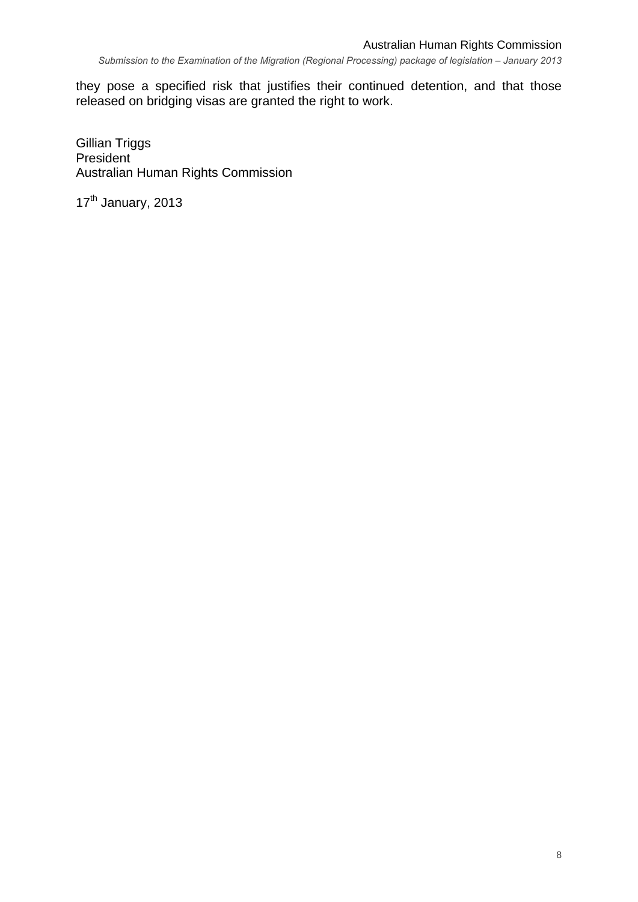they pose a specified risk that justifies their continued detention, and that those released on bridging visas are granted the right to work.

Gillian Triggs **President** Australian Human Rights Commission

17<sup>th</sup> January, 2013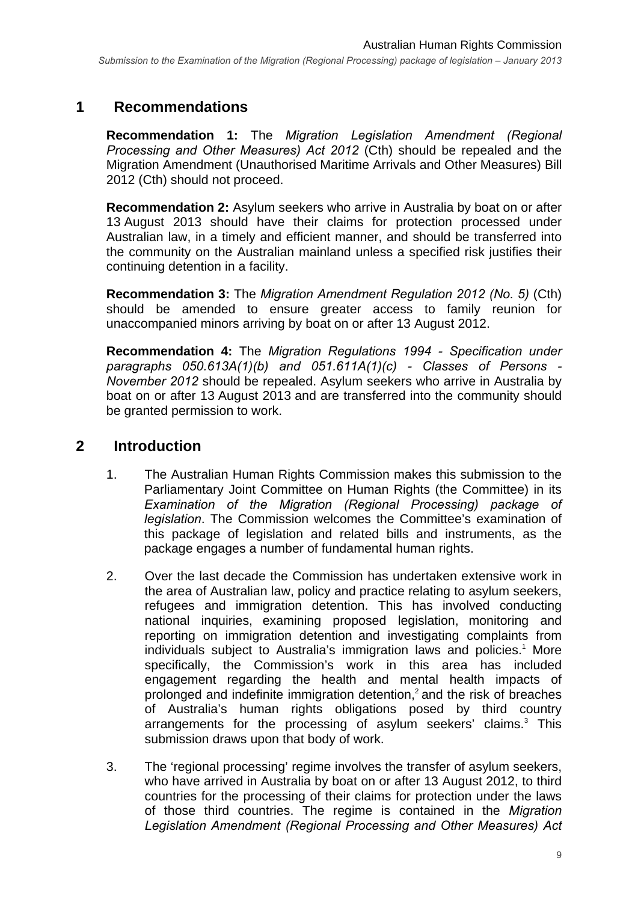#### **1 Recommendations**

**Recommendation 1:** The *Migration Legislation Amendment (Regional Processing and Other Measures) Act 2012* (Cth) should be repealed and the Migration Amendment (Unauthorised Maritime Arrivals and Other Measures) Bill 2012 (Cth) should not proceed.

**Recommendation 2:** Asylum seekers who arrive in Australia by boat on or after 13 August 2013 should have their claims for protection processed under Australian law, in a timely and efficient manner, and should be transferred into the community on the Australian mainland unless a specified risk justifies their continuing detention in a facility.

**Recommendation 3:** The *Migration Amendment Regulation 2012 (No. 5)* (Cth) should be amended to ensure greater access to family reunion for unaccompanied minors arriving by boat on or after 13 August 2012.

**Recommendation 4:** The *Migration Regulations 1994 - Specification under paragraphs 050.613A(1)(b) and 051.611A(1)(c) - Classes of Persons - November 2012* should be repealed. Asylum seekers who arrive in Australia by boat on or after 13 August 2013 and are transferred into the community should be granted permission to work.

## **2 Introduction**

- 1. The Australian Human Rights Commission makes this submission to the Parliamentary Joint Committee on Human Rights (the Committee) in its *Examination of the Migration (Regional Processing) package of legislation*. The Commission welcomes the Committee's examination of this package of legislation and related bills and instruments, as the package engages a number of fundamental human rights.
- 2. Over the last decade the Commission has undertaken extensive work in the area of Australian law, policy and practice relating to asylum seekers, refugees and immigration detention. This has involved conducting national inquiries, examining proposed legislation, monitoring and reporting on immigration detention and investigating complaints from individuals subject to Australia's immigration laws and policies.<sup>1</sup> More specifically, the Commission's work in this area has included engagement regarding the health and mental health impacts of prolonged and indefinite immigration detention,<sup>2</sup> and the risk of breaches of Australia's human rights obligations posed by third country arrangements for the processing of asylum seekers' claims.<sup>3</sup> This submission draws upon that body of work.
- 3. The 'regional processing' regime involves the transfer of asylum seekers, who have arrived in Australia by boat on or after 13 August 2012, to third countries for the processing of their claims for protection under the laws of those third countries. The regime is contained in the *Migration Legislation Amendment (Regional Processing and Other Measures) Act*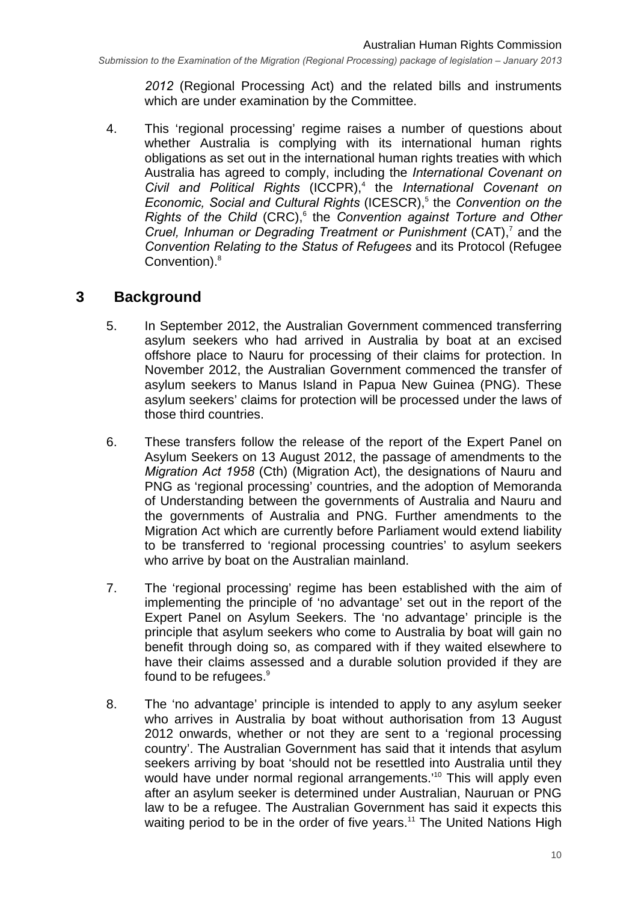*2012* (Regional Processing Act) and the related bills and instruments which are under examination by the Committee.

4. This 'regional processing' regime raises a number of questions about whether Australia is complying with its international human rights obligations as set out in the international human rights treaties with which Australia has agreed to comply, including the *International Covenant on*  Civil and Political Rights (ICCPR),<sup>4</sup> the *International Covenant on* Economic, Social and Cultural Rights (ICESCR),<sup>5</sup> the Convention on the Rights of the Child (CRC),<sup>6</sup> the *Convention against Torture and Other* Cruel, Inhuman or Degrading Treatment or Punishment (CAT),<sup>7</sup> and the *Convention Relating to the Status of Refugees* and its Protocol (Refugee Convention).<sup>8</sup>

## **3 Background**

- 5. In September 2012, the Australian Government commenced transferring asylum seekers who had arrived in Australia by boat at an excised offshore place to Nauru for processing of their claims for protection. In November 2012, the Australian Government commenced the transfer of asylum seekers to Manus Island in Papua New Guinea (PNG). These asylum seekers' claims for protection will be processed under the laws of those third countries.
- 6. These transfers follow the release of the report of the Expert Panel on Asylum Seekers on 13 August 2012, the passage of amendments to the *Migration Act 1958* (Cth) (Migration Act), the designations of Nauru and PNG as 'regional processing' countries, and the adoption of Memoranda of Understanding between the governments of Australia and Nauru and the governments of Australia and PNG. Further amendments to the Migration Act which are currently before Parliament would extend liability to be transferred to 'regional processing countries' to asylum seekers who arrive by boat on the Australian mainland.
- 7. The 'regional processing' regime has been established with the aim of implementing the principle of 'no advantage' set out in the report of the Expert Panel on Asylum Seekers. The 'no advantage' principle is the principle that asylum seekers who come to Australia by boat will gain no benefit through doing so, as compared with if they waited elsewhere to have their claims assessed and a durable solution provided if they are found to be refugees.<sup>9</sup>
- 8. The 'no advantage' principle is intended to apply to any asylum seeker who arrives in Australia by boat without authorisation from 13 August 2012 onwards, whether or not they are sent to a 'regional processing country'. The Australian Government has said that it intends that asylum seekers arriving by boat 'should not be resettled into Australia until they would have under normal regional arrangements.<sup>'10</sup> This will apply even after an asylum seeker is determined under Australian, Nauruan or PNG law to be a refugee. The Australian Government has said it expects this waiting period to be in the order of five years.<sup>11</sup> The United Nations High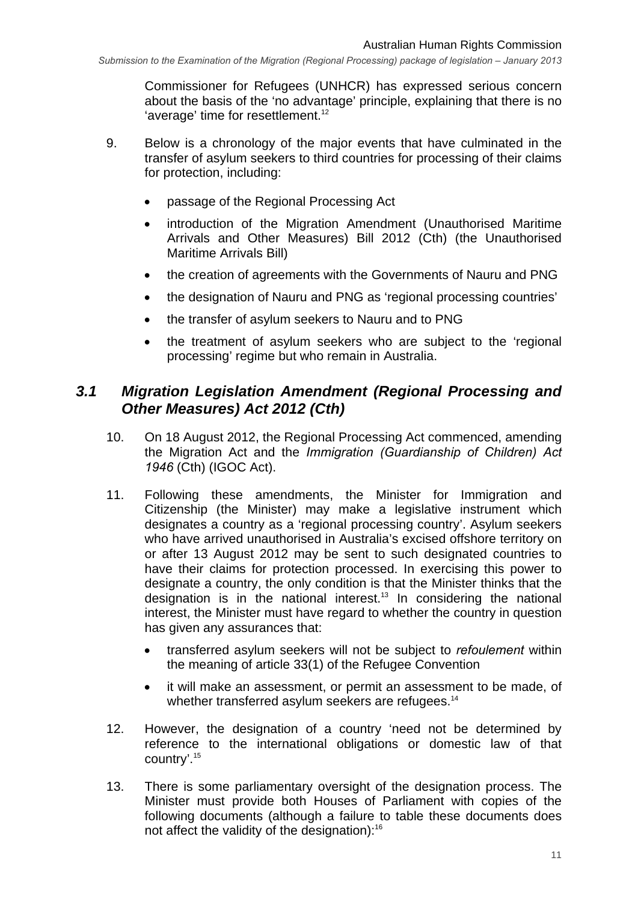Commissioner for Refugees (UNHCR) has expressed serious concern about the basis of the 'no advantage' principle, explaining that there is no 'average' time for resettlement.<sup>12</sup>

- 9. Below is a chronology of the major events that have culminated in the transfer of asylum seekers to third countries for processing of their claims for protection, including:
	- passage of the Regional Processing Act
	- introduction of the Migration Amendment (Unauthorised Maritime Arrivals and Other Measures) Bill 2012 (Cth) (the Unauthorised Maritime Arrivals Bill)
	- the creation of agreements with the Governments of Nauru and PNG
	- the designation of Nauru and PNG as 'regional processing countries'
	- the transfer of asylum seekers to Nauru and to PNG
	- the treatment of asylum seekers who are subject to the 'regional processing' regime but who remain in Australia.

#### *3.1 Migration Legislation Amendment (Regional Processing and Other Measures) Act 2012 (Cth)*

- 10. On 18 August 2012, the Regional Processing Act commenced, amending the Migration Act and the *Immigration (Guardianship of Children) Act 1946* (Cth) (IGOC Act).
- 11. Following these amendments, the Minister for Immigration and Citizenship (the Minister) may make a legislative instrument which designates a country as a 'regional processing country'. Asylum seekers who have arrived unauthorised in Australia's excised offshore territory on or after 13 August 2012 may be sent to such designated countries to have their claims for protection processed. In exercising this power to designate a country, the only condition is that the Minister thinks that the designation is in the national interest.<sup>13</sup> In considering the national interest, the Minister must have regard to whether the country in question has given any assurances that:
	- transferred asylum seekers will not be subject to *refoulement* within the meaning of article 33(1) of the Refugee Convention
	- it will make an assessment, or permit an assessment to be made, of whether transferred asylum seekers are refugees.<sup>14</sup>
- 12. However, the designation of a country 'need not be determined by reference to the international obligations or domestic law of that country'.15
- 13. There is some parliamentary oversight of the designation process. The Minister must provide both Houses of Parliament with copies of the following documents (although a failure to table these documents does not affect the validity of the designation):<sup>16</sup>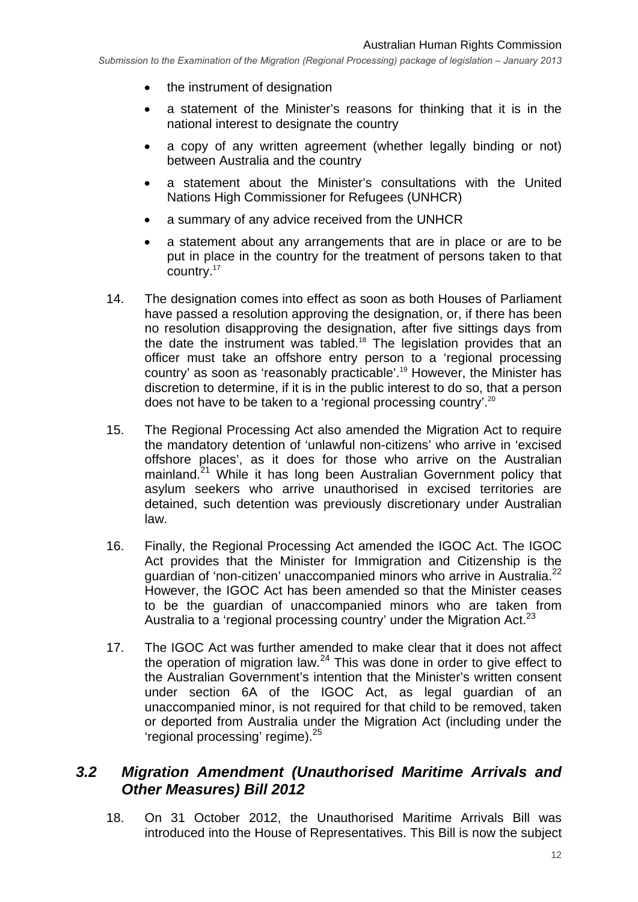- the instrument of designation
- a statement of the Minister's reasons for thinking that it is in the national interest to designate the country
- a copy of any written agreement (whether legally binding or not) between Australia and the country
- a statement about the Minister's consultations with the United Nations High Commissioner for Refugees (UNHCR)
- a summary of any advice received from the UNHCR
- a statement about any arrangements that are in place or are to be put in place in the country for the treatment of persons taken to that country.17
- 14. The designation comes into effect as soon as both Houses of Parliament have passed a resolution approving the designation, or, if there has been no resolution disapproving the designation, after five sittings days from the date the instrument was tabled.<sup>18</sup> The legislation provides that an officer must take an offshore entry person to a 'regional processing country' as soon as 'reasonably practicable'.19 However, the Minister has discretion to determine, if it is in the public interest to do so, that a person does not have to be taken to a 'regional processing country'.20
- 15. The Regional Processing Act also amended the Migration Act to require the mandatory detention of 'unlawful non-citizens' who arrive in 'excised offshore places', as it does for those who arrive on the Australian mainland.<sup>21</sup> While it has long been Australian Government policy that asylum seekers who arrive unauthorised in excised territories are detained, such detention was previously discretionary under Australian law.
- 16. Finally, the Regional Processing Act amended the IGOC Act. The IGOC Act provides that the Minister for Immigration and Citizenship is the guardian of 'non-citizen' unaccompanied minors who arrive in Australia.<sup>22</sup> However, the IGOC Act has been amended so that the Minister ceases to be the guardian of unaccompanied minors who are taken from Australia to a 'regional processing country' under the Migration Act.<sup>23</sup>
- 17. The IGOC Act was further amended to make clear that it does not affect the operation of migration law. $24$  This was done in order to give effect to the Australian Government's intention that the Minister's written consent under section 6A of the IGOC Act, as legal guardian of an unaccompanied minor, is not required for that child to be removed, taken or deported from Australia under the Migration Act (including under the 'regional processing' regime).<sup>25</sup>

#### *3.2 Migration Amendment (Unauthorised Maritime Arrivals and Other Measures) Bill 2012*

18. On 31 October 2012, the Unauthorised Maritime Arrivals Bill was introduced into the House of Representatives. This Bill is now the subject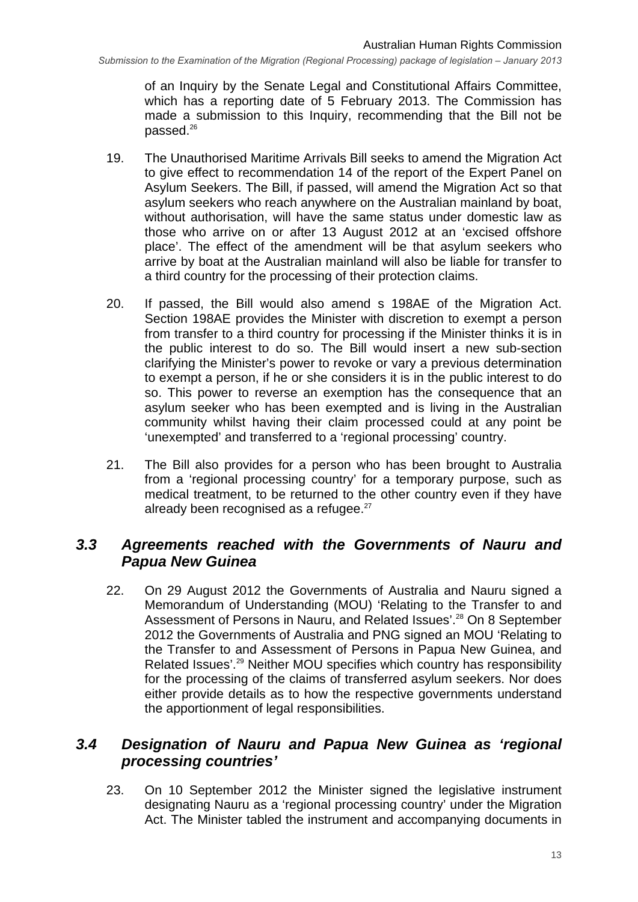of an Inquiry by the Senate Legal and Constitutional Affairs Committee, which has a reporting date of 5 February 2013. The Commission has made a submission to this Inquiry, recommending that the Bill not be passed.<sup>26</sup>

- 19. The Unauthorised Maritime Arrivals Bill seeks to amend the Migration Act to give effect to recommendation 14 of the report of the Expert Panel on Asylum Seekers. The Bill, if passed, will amend the Migration Act so that asylum seekers who reach anywhere on the Australian mainland by boat, without authorisation, will have the same status under domestic law as those who arrive on or after 13 August 2012 at an 'excised offshore place'. The effect of the amendment will be that asylum seekers who arrive by boat at the Australian mainland will also be liable for transfer to a third country for the processing of their protection claims.
- 20. If passed, the Bill would also amend s 198AE of the Migration Act. Section 198AE provides the Minister with discretion to exempt a person from transfer to a third country for processing if the Minister thinks it is in the public interest to do so. The Bill would insert a new sub-section clarifying the Minister's power to revoke or vary a previous determination to exempt a person, if he or she considers it is in the public interest to do so. This power to reverse an exemption has the consequence that an asylum seeker who has been exempted and is living in the Australian community whilst having their claim processed could at any point be 'unexempted' and transferred to a 'regional processing' country.
- 21. The Bill also provides for a person who has been brought to Australia from a 'regional processing country' for a temporary purpose, such as medical treatment, to be returned to the other country even if they have already been recognised as a refugee. $27$

#### *3.3 Agreements reached with the Governments of Nauru and Papua New Guinea*

22. On 29 August 2012 the Governments of Australia and Nauru signed a Memorandum of Understanding (MOU) 'Relating to the Transfer to and Assessment of Persons in Nauru, and Related Issues'.<sup>28</sup> On 8 September 2012 the Governments of Australia and PNG signed an MOU 'Relating to the Transfer to and Assessment of Persons in Papua New Guinea, and Related Issues'.29 Neither MOU specifies which country has responsibility for the processing of the claims of transferred asylum seekers. Nor does either provide details as to how the respective governments understand the apportionment of legal responsibilities.

## *3.4 Designation of Nauru and Papua New Guinea as 'regional processing countries'*

23. On 10 September 2012 the Minister signed the legislative instrument designating Nauru as a 'regional processing country' under the Migration Act. The Minister tabled the instrument and accompanying documents in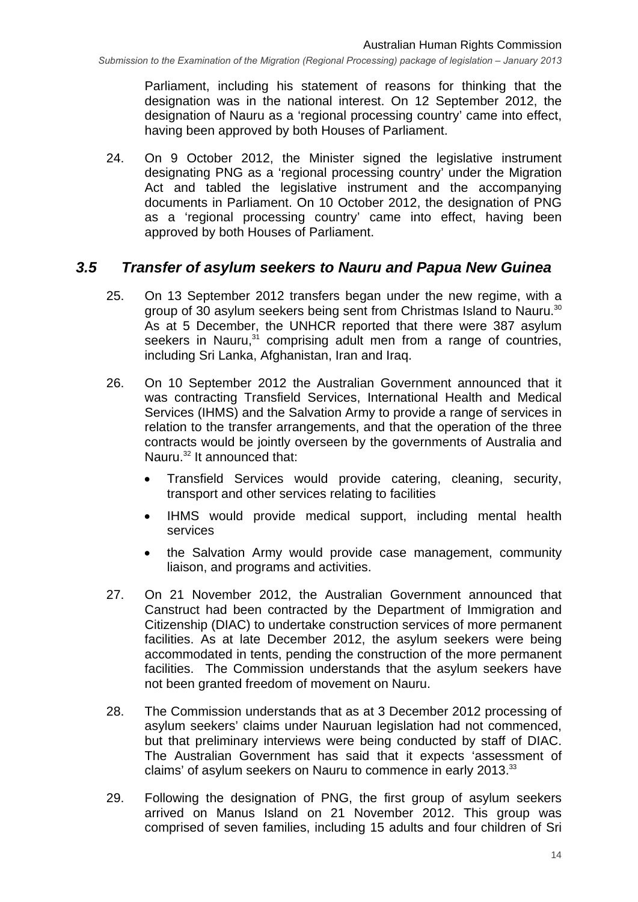Parliament, including his statement of reasons for thinking that the designation was in the national interest. On 12 September 2012, the designation of Nauru as a 'regional processing country' came into effect, having been approved by both Houses of Parliament.

24. On 9 October 2012, the Minister signed the legislative instrument designating PNG as a 'regional processing country' under the Migration Act and tabled the legislative instrument and the accompanying documents in Parliament. On 10 October 2012, the designation of PNG as a 'regional processing country' came into effect, having been approved by both Houses of Parliament.

#### *3.5 Transfer of asylum seekers to Nauru and Papua New Guinea*

- 25. On 13 September 2012 transfers began under the new regime, with a group of 30 asylum seekers being sent from Christmas Island to Nauru.<sup>30</sup> As at 5 December, the UNHCR reported that there were 387 asylum seekers in Nauru,<sup>31</sup> comprising adult men from a range of countries, including Sri Lanka, Afghanistan, Iran and Iraq.
- 26. On 10 September 2012 the Australian Government announced that it was contracting Transfield Services, International Health and Medical Services (IHMS) and the Salvation Army to provide a range of services in relation to the transfer arrangements, and that the operation of the three contracts would be jointly overseen by the governments of Australia and Nauru.<sup>32</sup> It announced that:
	- Transfield Services would provide catering, cleaning, security, transport and other services relating to facilities
	- IHMS would provide medical support, including mental health services
	- the Salvation Army would provide case management, community liaison, and programs and activities.
- 27. On 21 November 2012, the Australian Government announced that Canstruct had been contracted by the Department of Immigration and Citizenship (DIAC) to undertake construction services of more permanent facilities. As at late December 2012, the asylum seekers were being accommodated in tents, pending the construction of the more permanent facilities. The Commission understands that the asylum seekers have not been granted freedom of movement on Nauru.
- 28. The Commission understands that as at 3 December 2012 processing of asylum seekers' claims under Nauruan legislation had not commenced, but that preliminary interviews were being conducted by staff of DIAC. The Australian Government has said that it expects 'assessment of claims' of asylum seekers on Nauru to commence in early 2013.<sup>33</sup>
- 29. Following the designation of PNG, the first group of asylum seekers arrived on Manus Island on 21 November 2012. This group was comprised of seven families, including 15 adults and four children of Sri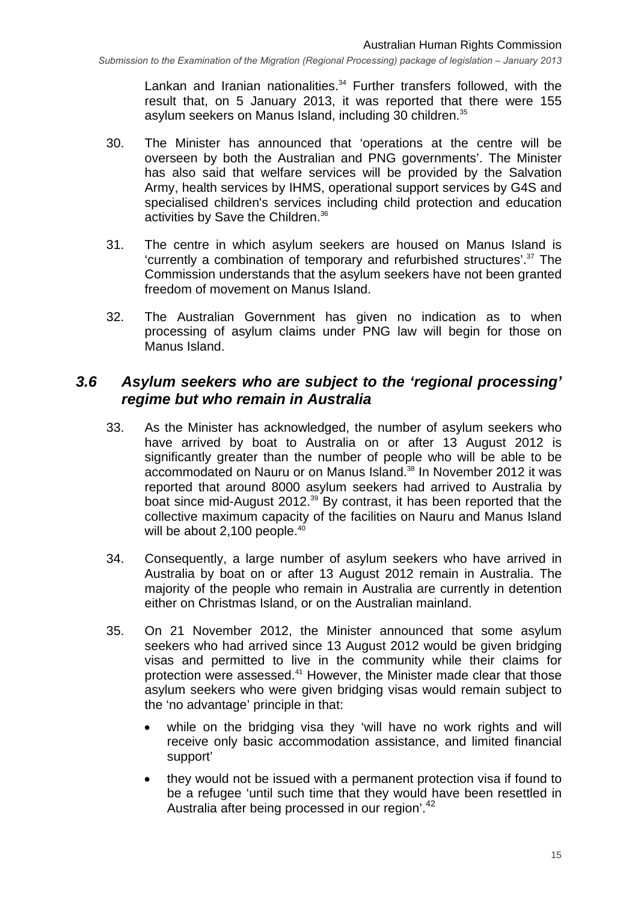Lankan and Iranian nationalities.<sup>34</sup> Further transfers followed, with the result that, on 5 January 2013, it was reported that there were 155 asylum seekers on Manus Island, including 30 children.<sup>35</sup>

- 30. The Minister has announced that 'operations at the centre will be overseen by both the Australian and PNG governments'. The Minister has also said that welfare services will be provided by the Salvation Army, health services by IHMS, operational support services by G4S and specialised children's services including child protection and education activities by Save the Children.<sup>36</sup>
- 31. The centre in which asylum seekers are housed on Manus Island is 'currently a combination of temporary and refurbished structures'.37 The Commission understands that the asylum seekers have not been granted freedom of movement on Manus Island.
- 32. The Australian Government has given no indication as to when processing of asylum claims under PNG law will begin for those on Manus Island.

#### *3.6 Asylum seekers who are subject to the 'regional processing' regime but who remain in Australia*

- 33. As the Minister has acknowledged, the number of asylum seekers who have arrived by boat to Australia on or after 13 August 2012 is significantly greater than the number of people who will be able to be accommodated on Nauru or on Manus Island.<sup>38</sup> In November 2012 it was reported that around 8000 asylum seekers had arrived to Australia by boat since mid-August 2012.<sup>39</sup> By contrast, it has been reported that the collective maximum capacity of the facilities on Nauru and Manus Island will be about 2,100 people.<sup>40</sup>
- 34. Consequently, a large number of asylum seekers who have arrived in Australia by boat on or after 13 August 2012 remain in Australia. The majority of the people who remain in Australia are currently in detention either on Christmas Island, or on the Australian mainland.
- 35. On 21 November 2012, the Minister announced that some asylum seekers who had arrived since 13 August 2012 would be given bridging visas and permitted to live in the community while their claims for protection were assessed.<sup>41</sup> However, the Minister made clear that those asylum seekers who were given bridging visas would remain subject to the 'no advantage' principle in that:
	- while on the bridging visa they 'will have no work rights and will receive only basic accommodation assistance, and limited financial support'
	- they would not be issued with a permanent protection visa if found to be a refugee 'until such time that they would have been resettled in Australia after being processed in our region'.<sup>42</sup>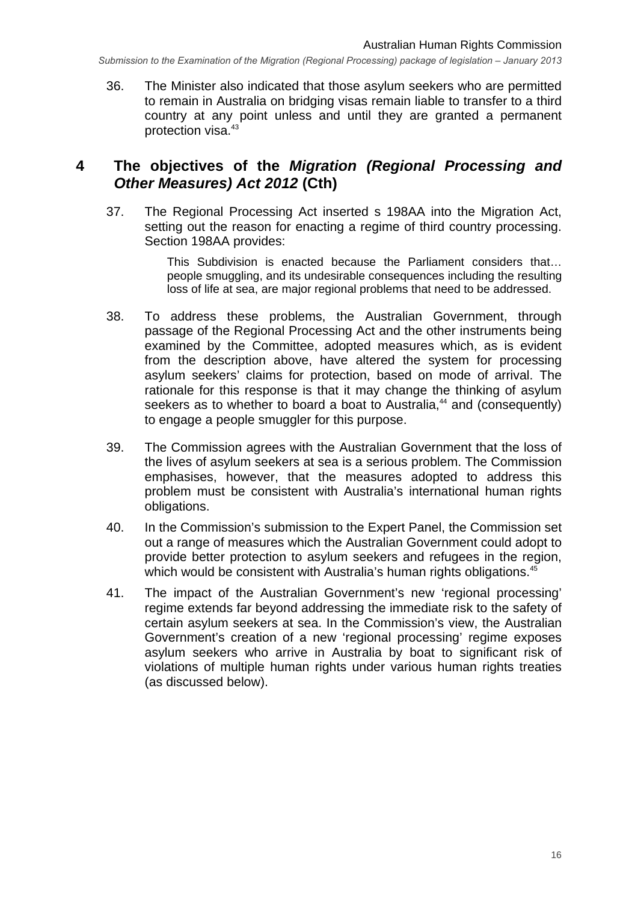36. The Minister also indicated that those asylum seekers who are permitted to remain in Australia on bridging visas remain liable to transfer to a third country at any point unless and until they are granted a permanent protection visa.<sup>43</sup>

#### **4 The objectives of the** *Migration (Regional Processing and Other Measures) Act 2012* **(Cth)**

37. The Regional Processing Act inserted s 198AA into the Migration Act, setting out the reason for enacting a regime of third country processing. Section 198AA provides:

> This Subdivision is enacted because the Parliament considers that… people smuggling, and its undesirable consequences including the resulting loss of life at sea, are major regional problems that need to be addressed.

- 38. To address these problems, the Australian Government, through passage of the Regional Processing Act and the other instruments being examined by the Committee, adopted measures which, as is evident from the description above, have altered the system for processing asylum seekers' claims for protection, based on mode of arrival. The rationale for this response is that it may change the thinking of asylum seekers as to whether to board a boat to Australia.<sup>44</sup> and (consequently) to engage a people smuggler for this purpose.
- 39. The Commission agrees with the Australian Government that the loss of the lives of asylum seekers at sea is a serious problem. The Commission emphasises, however, that the measures adopted to address this problem must be consistent with Australia's international human rights obligations.
- 40. In the Commission's submission to the Expert Panel, the Commission set out a range of measures which the Australian Government could adopt to provide better protection to asylum seekers and refugees in the region, which would be consistent with Australia's human rights obligations.<sup>45</sup>
- 41. The impact of the Australian Government's new 'regional processing' regime extends far beyond addressing the immediate risk to the safety of certain asylum seekers at sea. In the Commission's view, the Australian Government's creation of a new 'regional processing' regime exposes asylum seekers who arrive in Australia by boat to significant risk of violations of multiple human rights under various human rights treaties (as discussed below).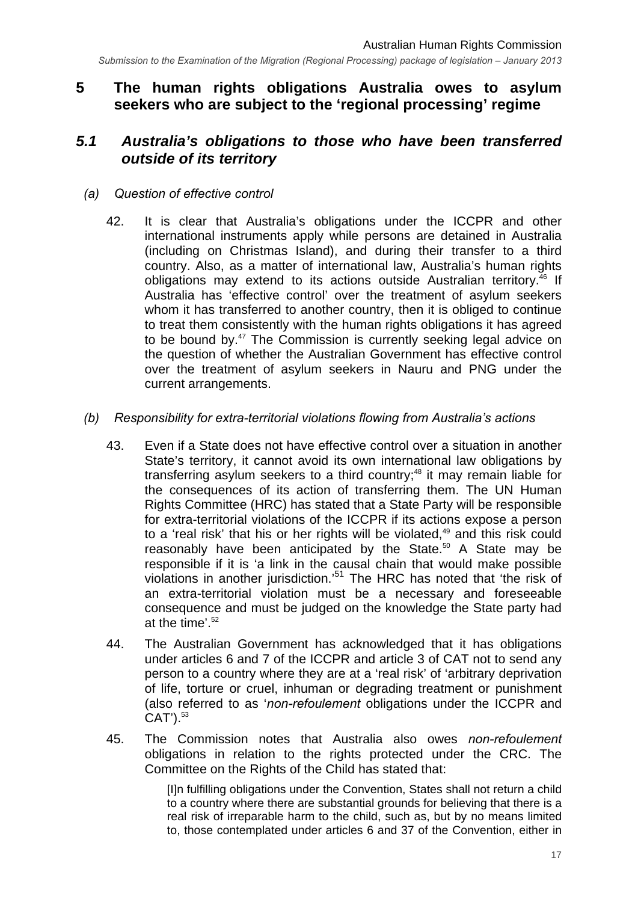## **5 The human rights obligations Australia owes to asylum seekers who are subject to the 'regional processing' regime**

## *5.1 Australia's obligations to those who have been transferred outside of its territory*

#### *(a) Question of effective control*

42. It is clear that Australia's obligations under the ICCPR and other international instruments apply while persons are detained in Australia (including on Christmas Island), and during their transfer to a third country. Also, as a matter of international law, Australia's human rights obligations may extend to its actions outside Australian territory.<sup>46</sup> If Australia has 'effective control' over the treatment of asylum seekers whom it has transferred to another country, then it is obliged to continue to treat them consistently with the human rights obligations it has agreed to be bound by.<sup>47</sup> The Commission is currently seeking legal advice on the question of whether the Australian Government has effective control over the treatment of asylum seekers in Nauru and PNG under the current arrangements.

#### *(b) Responsibility for extra-territorial violations flowing from Australia's actions*

- 43. Even if a State does not have effective control over a situation in another State's territory, it cannot avoid its own international law obligations by transferring asylum seekers to a third country;<sup>48</sup> it may remain liable for the consequences of its action of transferring them. The UN Human Rights Committee (HRC) has stated that a State Party will be responsible for extra-territorial violations of the ICCPR if its actions expose a person to a 'real risk' that his or her rights will be violated, $49$  and this risk could reasonably have been anticipated by the State.<sup>50</sup> A State may be responsible if it is 'a link in the causal chain that would make possible violations in another jurisdiction.'<sup>51</sup> The HRC has noted that 'the risk of an extra-territorial violation must be a necessary and foreseeable consequence and must be judged on the knowledge the State party had at the time'. $52$
- 44. The Australian Government has acknowledged that it has obligations under articles 6 and 7 of the ICCPR and article 3 of CAT not to send any person to a country where they are at a 'real risk' of 'arbitrary deprivation of life, torture or cruel, inhuman or degrading treatment or punishment (also referred to as '*non-refoulement* obligations under the ICCPR and  $CAT$ <sup>3</sup>.
- 45. The Commission notes that Australia also owes *non-refoulement* obligations in relation to the rights protected under the CRC. The Committee on the Rights of the Child has stated that:

[I]n fulfilling obligations under the Convention, States shall not return a child to a country where there are substantial grounds for believing that there is a real risk of irreparable harm to the child, such as, but by no means limited to, those contemplated under articles 6 and 37 of the Convention, either in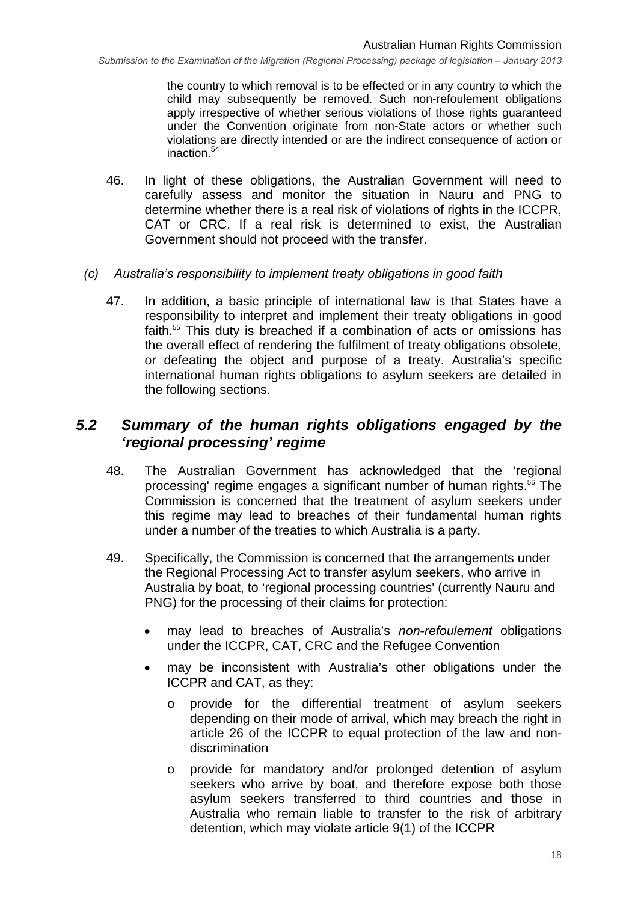the country to which removal is to be effected or in any country to which the child may subsequently be removed. Such non-refoulement obligations apply irrespective of whether serious violations of those rights guaranteed under the Convention originate from non-State actors or whether such violations are directly intended or are the indirect consequence of action or inaction.54

46. In light of these obligations, the Australian Government will need to carefully assess and monitor the situation in Nauru and PNG to determine whether there is a real risk of violations of rights in the ICCPR, CAT or CRC. If a real risk is determined to exist, the Australian Government should not proceed with the transfer.

#### *(c) Australia's responsibility to implement treaty obligations in good faith*

47. In addition, a basic principle of international law is that States have a responsibility to interpret and implement their treaty obligations in good faith.<sup>55</sup> This duty is breached if a combination of acts or omissions has the overall effect of rendering the fulfilment of treaty obligations obsolete, or defeating the object and purpose of a treaty. Australia's specific international human rights obligations to asylum seekers are detailed in the following sections.

## *5.2 Summary of the human rights obligations engaged by the 'regional processing' regime*

- 48. The Australian Government has acknowledged that the 'regional processing' regime engages a significant number of human rights.<sup>56</sup> The Commission is concerned that the treatment of asylum seekers under this regime may lead to breaches of their fundamental human rights under a number of the treaties to which Australia is a party.
- 49. Specifically, the Commission is concerned that the arrangements under the Regional Processing Act to transfer asylum seekers, who arrive in Australia by boat, to 'regional processing countries' (currently Nauru and PNG) for the processing of their claims for protection:
	- may lead to breaches of Australia's *non-refoulement* obligations under the ICCPR, CAT, CRC and the Refugee Convention
	- may be inconsistent with Australia's other obligations under the ICCPR and CAT, as they:
		- o provide for the differential treatment of asylum seekers depending on their mode of arrival, which may breach the right in article 26 of the ICCPR to equal protection of the law and nondiscrimination
		- o provide for mandatory and/or prolonged detention of asylum seekers who arrive by boat, and therefore expose both those asylum seekers transferred to third countries and those in Australia who remain liable to transfer to the risk of arbitrary detention, which may violate article 9(1) of the ICCPR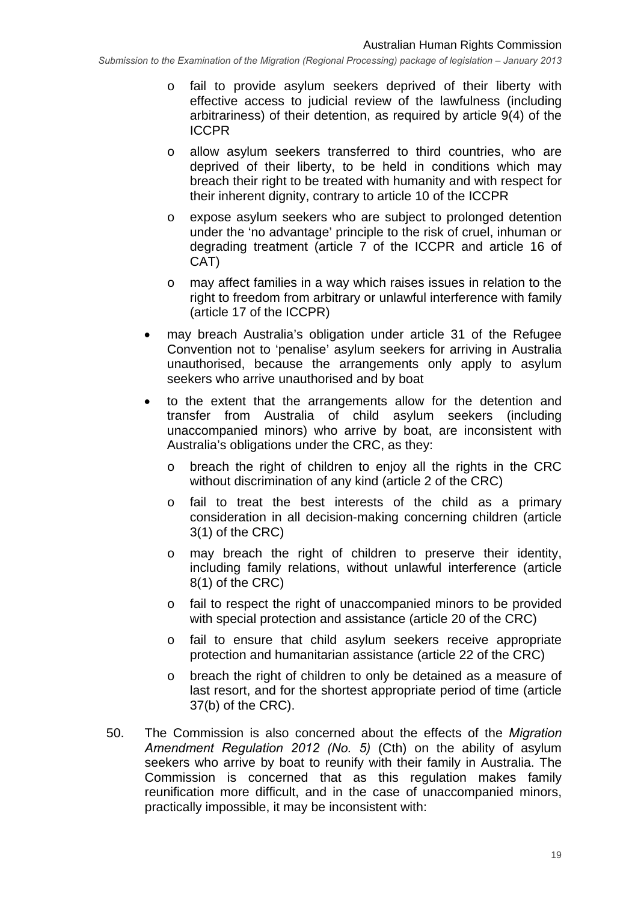- o fail to provide asylum seekers deprived of their liberty with effective access to judicial review of the lawfulness (including arbitrariness) of their detention, as required by article 9(4) of the ICCPR
- o allow asylum seekers transferred to third countries, who are deprived of their liberty, to be held in conditions which may breach their right to be treated with humanity and with respect for their inherent dignity, contrary to article 10 of the ICCPR
- o expose asylum seekers who are subject to prolonged detention under the 'no advantage' principle to the risk of cruel, inhuman or degrading treatment (article 7 of the ICCPR and article 16 of CAT)
- o may affect families in a way which raises issues in relation to the right to freedom from arbitrary or unlawful interference with family (article 17 of the ICCPR)
- may breach Australia's obligation under article 31 of the Refugee Convention not to 'penalise' asylum seekers for arriving in Australia unauthorised, because the arrangements only apply to asylum seekers who arrive unauthorised and by boat
- to the extent that the arrangements allow for the detention and transfer from Australia of child asylum seekers (including unaccompanied minors) who arrive by boat, are inconsistent with Australia's obligations under the CRC, as they:
	- o breach the right of children to enjoy all the rights in the CRC without discrimination of any kind (article 2 of the CRC)
	- o fail to treat the best interests of the child as a primary consideration in all decision-making concerning children (article 3(1) of the CRC)
	- o may breach the right of children to preserve their identity, including family relations, without unlawful interference (article 8(1) of the CRC)
	- o fail to respect the right of unaccompanied minors to be provided with special protection and assistance (article 20 of the CRC)
	- o fail to ensure that child asylum seekers receive appropriate protection and humanitarian assistance (article 22 of the CRC)
	- o breach the right of children to only be detained as a measure of last resort, and for the shortest appropriate period of time (article 37(b) of the CRC).
- 50. The Commission is also concerned about the effects of the *Migration Amendment Regulation 2012 (No. 5)* (Cth) on the ability of asylum seekers who arrive by boat to reunify with their family in Australia. The Commission is concerned that as this regulation makes family reunification more difficult, and in the case of unaccompanied minors, practically impossible, it may be inconsistent with: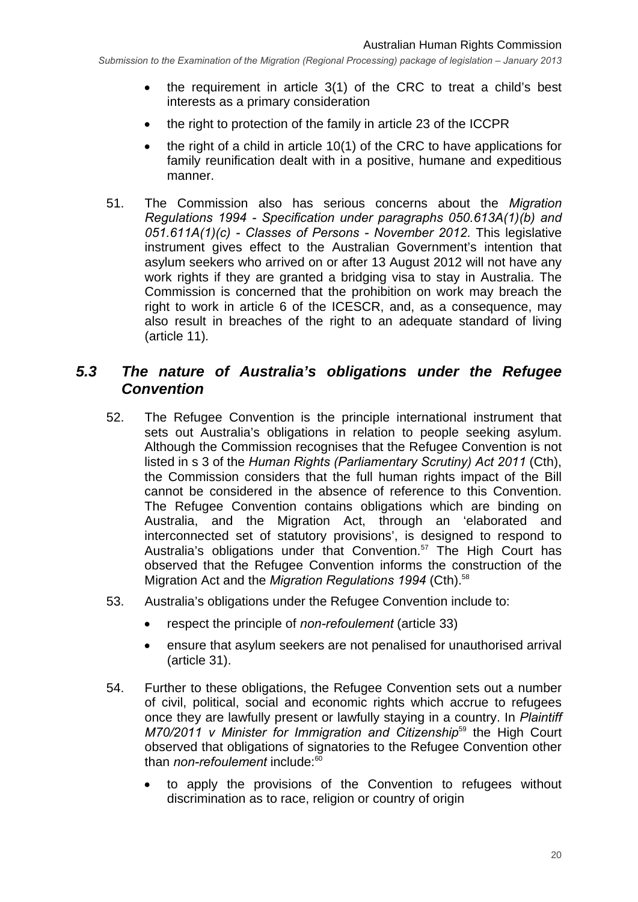- the requirement in article 3(1) of the CRC to treat a child's best interests as a primary consideration
- the right to protection of the family in article 23 of the ICCPR
- $\bullet$  the right of a child in article 10(1) of the CRC to have applications for family reunification dealt with in a positive, humane and expeditious manner.
- 51. The Commission also has serious concerns about the *Migration Regulations 1994 - Specification under paragraphs 050.613A(1)(b) and 051.611A(1)(c) - Classes of Persons - November 2012*. This legislative instrument gives effect to the Australian Government's intention that asylum seekers who arrived on or after 13 August 2012 will not have any work rights if they are granted a bridging visa to stay in Australia. The Commission is concerned that the prohibition on work may breach the right to work in article 6 of the ICESCR, and, as a consequence, may also result in breaches of the right to an adequate standard of living (article 11)*.*

## *5.3 The nature of Australia's obligations under the Refugee Convention*

- 52. The Refugee Convention is the principle international instrument that sets out Australia's obligations in relation to people seeking asylum. Although the Commission recognises that the Refugee Convention is not listed in s 3 of the *Human Rights (Parliamentary Scrutiny) Act 2011* (Cth), the Commission considers that the full human rights impact of the Bill cannot be considered in the absence of reference to this Convention. The Refugee Convention contains obligations which are binding on Australia, and the Migration Act, through an 'elaborated and interconnected set of statutory provisions', is designed to respond to Australia's obligations under that Convention.<sup>57</sup> The High Court has observed that the Refugee Convention informs the construction of the Migration Act and the *Migration Regulations 1994* (Cth).<sup>58</sup>
- 53. Australia's obligations under the Refugee Convention include to:
	- respect the principle of *non-refoulement* (article 33)
	- ensure that asylum seekers are not penalised for unauthorised arrival (article 31).
- 54. Further to these obligations, the Refugee Convention sets out a number of civil, political, social and economic rights which accrue to refugees once they are lawfully present or lawfully staying in a country. In *Plaintiff M70/2011 v Minister for Immigration and Citizenship*59 the High Court observed that obligations of signatories to the Refugee Convention other than *non-refoulement* include:<sup>60</sup>
	- to apply the provisions of the Convention to refugees without discrimination as to race, religion or country of origin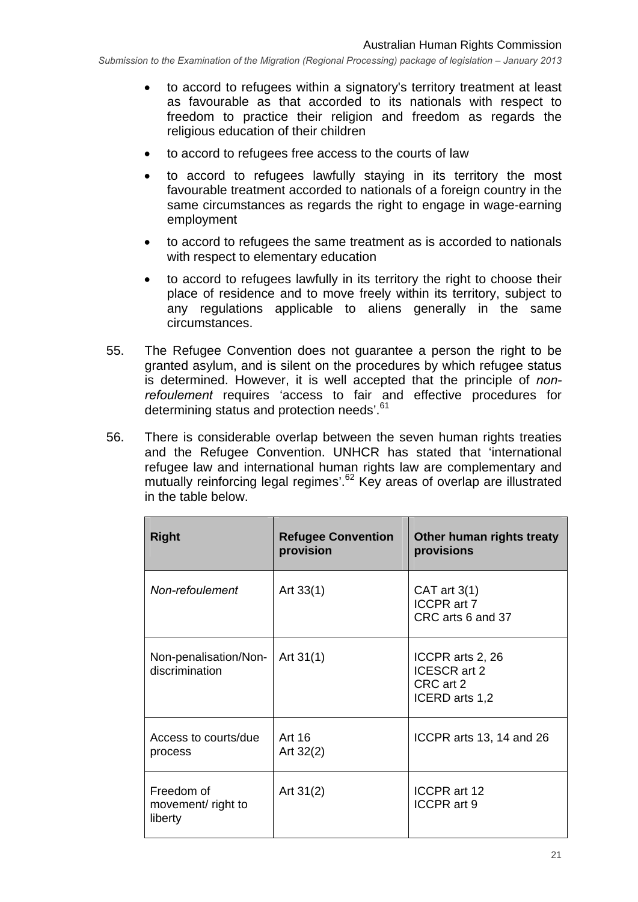- to accord to refugees within a signatory's territory treatment at least as favourable as that accorded to its nationals with respect to freedom to practice their religion and freedom as regards the religious education of their children
- to accord to refugees free access to the courts of law
- to accord to refugees lawfully staying in its territory the most favourable treatment accorded to nationals of a foreign country in the same circumstances as regards the right to engage in wage-earning employment
- to accord to refugees the same treatment as is accorded to nationals with respect to elementary education
- to accord to refugees lawfully in its territory the right to choose their place of residence and to move freely within its territory, subject to any regulations applicable to aliens generally in the same circumstances.
- 55. The Refugee Convention does not guarantee a person the right to be granted asylum, and is silent on the procedures by which refugee status is determined. However, it is well accepted that the principle of *nonrefoulement* requires 'access to fair and effective procedures for determining status and protection needs'.<sup>61</sup>
- 56. There is considerable overlap between the seven human rights treaties and the Refugee Convention. UNHCR has stated that 'international refugee law and international human rights law are complementary and mutually reinforcing legal regimes'.<sup>62</sup> Key areas of overlap are illustrated in the table below.

| <b>Right</b>                                | <b>Refugee Convention</b><br>provision | Other human rights treaty<br>provisions                         |
|---------------------------------------------|----------------------------------------|-----------------------------------------------------------------|
| Non-refoulement                             | Art $33(1)$                            | CAT art $3(1)$<br>ICCPR art 7<br>CRC arts 6 and 37              |
| Non-penalisation/Non-<br>discrimination     | Art $31(1)$                            | ICCPR arts 2, 26<br>ICESCR art 2<br>CRC art 2<br>ICERD arts 1,2 |
| Access to courts/due<br>process             | Art 16<br>Art $32(2)$                  | ICCPR arts 13, 14 and 26                                        |
| Freedom of<br>movement/ right to<br>liberty | Art $31(2)$                            | ICCPR art 12<br>ICCPR art 9                                     |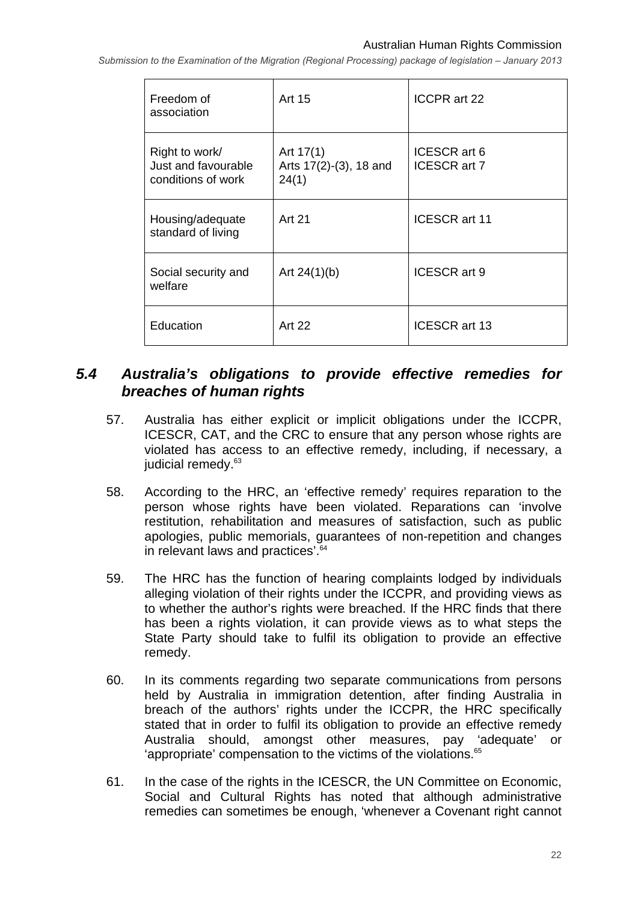| Freedom of<br>association                                   | Art 15                                         | ICCPR art 22                        |
|-------------------------------------------------------------|------------------------------------------------|-------------------------------------|
| Right to work/<br>Just and favourable<br>conditions of work | Art $17(1)$<br>Arts 17(2)-(3), 18 and<br>24(1) | ICESCR art 6<br><b>ICESCR art 7</b> |
| Housing/adequate<br>standard of living                      | <b>Art 21</b>                                  | <b>ICESCR art 11</b>                |
| Social security and<br>welfare                              | Art $24(1)(b)$                                 | ICESCR art 9                        |
| Education                                                   | Art 22                                         | ICESCR art 13                       |

## *5.4 Australia's obligations to provide effective remedies for breaches of human rights*

- 57. Australia has either explicit or implicit obligations under the ICCPR, ICESCR, CAT, and the CRC to ensure that any person whose rights are violated has access to an effective remedy, including, if necessary, a judicial remedy.<sup>63</sup>
- 58. According to the HRC, an 'effective remedy' requires reparation to the person whose rights have been violated. Reparations can 'involve restitution, rehabilitation and measures of satisfaction, such as public apologies, public memorials, guarantees of non-repetition and changes in relevant laws and practices'.<sup>64</sup>
- 59. The HRC has the function of hearing complaints lodged by individuals alleging violation of their rights under the ICCPR, and providing views as to whether the author's rights were breached. If the HRC finds that there has been a rights violation, it can provide views as to what steps the State Party should take to fulfil its obligation to provide an effective remedy.
- 60. In its comments regarding two separate communications from persons held by Australia in immigration detention, after finding Australia in breach of the authors' rights under the ICCPR, the HRC specifically stated that in order to fulfil its obligation to provide an effective remedy Australia should, amongst other measures, pay 'adequate' or 'appropriate' compensation to the victims of the violations. $65$
- 61. In the case of the rights in the ICESCR, the UN Committee on Economic, Social and Cultural Rights has noted that although administrative remedies can sometimes be enough, 'whenever a Covenant right cannot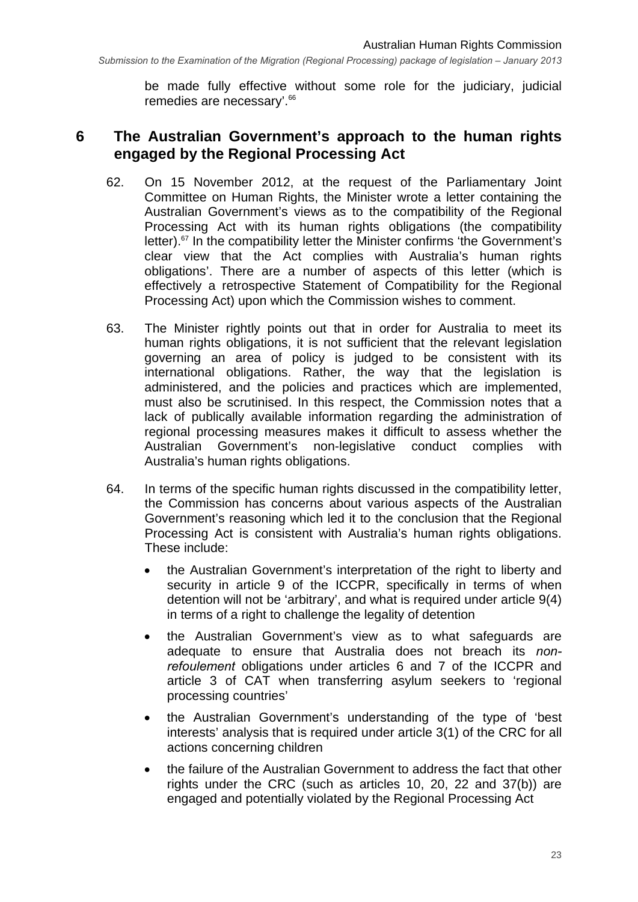be made fully effective without some role for the judiciary, judicial remedies are necessary'.<sup>66</sup>

## **6 The Australian Government's approach to the human rights engaged by the Regional Processing Act**

- 62. On 15 November 2012, at the request of the Parliamentary Joint Committee on Human Rights, the Minister wrote a letter containing the Australian Government's views as to the compatibility of the Regional Processing Act with its human rights obligations (the compatibility letter). $67$  In the compatibility letter the Minister confirms 'the Government's clear view that the Act complies with Australia's human rights obligations'. There are a number of aspects of this letter (which is effectively a retrospective Statement of Compatibility for the Regional Processing Act) upon which the Commission wishes to comment.
- 63. The Minister rightly points out that in order for Australia to meet its human rights obligations, it is not sufficient that the relevant legislation governing an area of policy is judged to be consistent with its international obligations. Rather, the way that the legislation is administered, and the policies and practices which are implemented, must also be scrutinised. In this respect, the Commission notes that a lack of publically available information regarding the administration of regional processing measures makes it difficult to assess whether the Australian Government's non-legislative conduct complies with Australia's human rights obligations.
- 64. In terms of the specific human rights discussed in the compatibility letter, the Commission has concerns about various aspects of the Australian Government's reasoning which led it to the conclusion that the Regional Processing Act is consistent with Australia's human rights obligations. These include:
	- the Australian Government's interpretation of the right to liberty and security in article 9 of the ICCPR, specifically in terms of when detention will not be 'arbitrary', and what is required under article 9(4) in terms of a right to challenge the legality of detention
	- the Australian Government's view as to what safeguards are adequate to ensure that Australia does not breach its *nonrefoulement* obligations under articles 6 and 7 of the ICCPR and article 3 of CAT when transferring asylum seekers to 'regional processing countries'
	- the Australian Government's understanding of the type of 'best interests' analysis that is required under article 3(1) of the CRC for all actions concerning children
	- the failure of the Australian Government to address the fact that other rights under the CRC (such as articles 10, 20, 22 and 37(b)) are engaged and potentially violated by the Regional Processing Act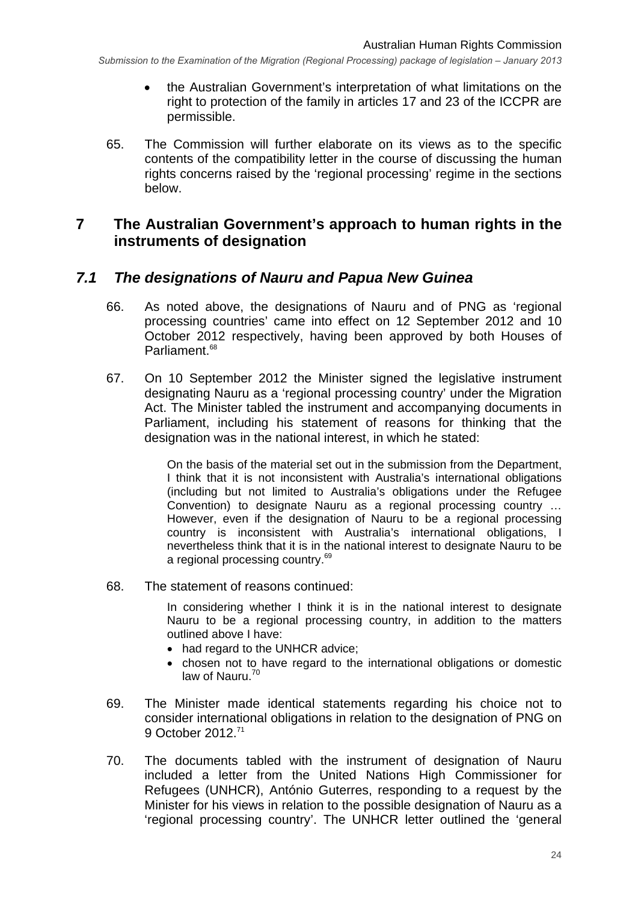- the Australian Government's interpretation of what limitations on the right to protection of the family in articles 17 and 23 of the ICCPR are permissible.
- 65. The Commission will further elaborate on its views as to the specific contents of the compatibility letter in the course of discussing the human rights concerns raised by the 'regional processing' regime in the sections below.

#### **7 The Australian Government's approach to human rights in the instruments of designation**

#### *7.1 The designations of Nauru and Papua New Guinea*

- 66. As noted above, the designations of Nauru and of PNG as 'regional processing countries' came into effect on 12 September 2012 and 10 October 2012 respectively, having been approved by both Houses of Parliament<sup>68</sup>
- 67. On 10 September 2012 the Minister signed the legislative instrument designating Nauru as a 'regional processing country' under the Migration Act. The Minister tabled the instrument and accompanying documents in Parliament, including his statement of reasons for thinking that the designation was in the national interest, in which he stated:

On the basis of the material set out in the submission from the Department, I think that it is not inconsistent with Australia's international obligations (including but not limited to Australia's obligations under the Refugee Convention) to designate Nauru as a regional processing country … However, even if the designation of Nauru to be a regional processing country is inconsistent with Australia's international obligations, I nevertheless think that it is in the national interest to designate Nauru to be a regional processing country.<sup>69</sup>

68. The statement of reasons continued:

In considering whether I think it is in the national interest to designate Nauru to be a regional processing country, in addition to the matters outlined above I have:

- had regard to the UNHCR advice;
- chosen not to have regard to the international obligations or domestic law of Nauru. $70$
- 69. The Minister made identical statements regarding his choice not to consider international obligations in relation to the designation of PNG on 9 October 2012.71
- 70. The documents tabled with the instrument of designation of Nauru included a letter from the United Nations High Commissioner for Refugees (UNHCR), António Guterres, responding to a request by the Minister for his views in relation to the possible designation of Nauru as a 'regional processing country'. The UNHCR letter outlined the 'general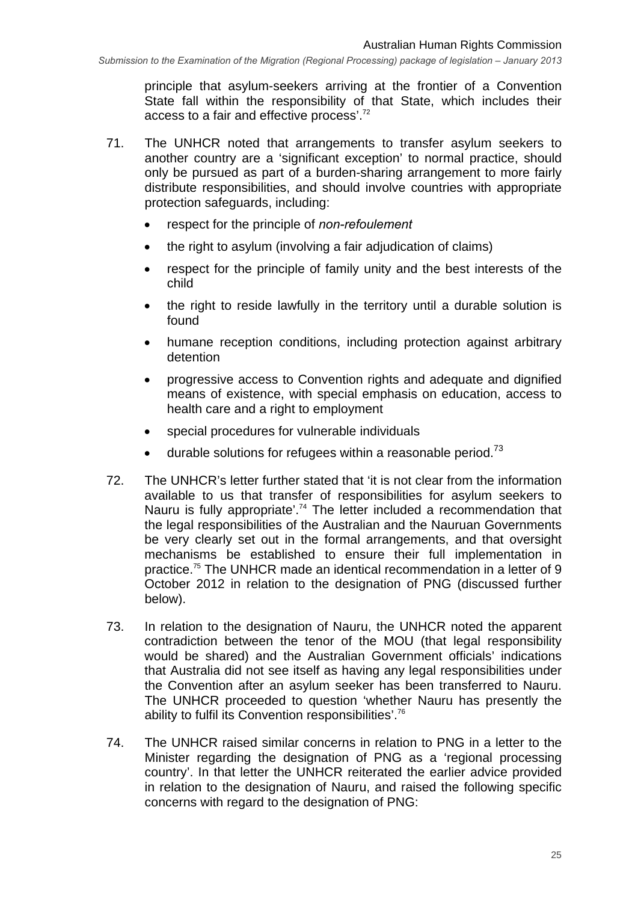principle that asylum-seekers arriving at the frontier of a Convention State fall within the responsibility of that State, which includes their access to a fair and effective process'.72

- 71. The UNHCR noted that arrangements to transfer asylum seekers to another country are a 'significant exception' to normal practice, should only be pursued as part of a burden-sharing arrangement to more fairly distribute responsibilities, and should involve countries with appropriate protection safeguards, including:
	- respect for the principle of *non-refoulement*
	- the right to asylum (involving a fair adjudication of claims)
	- respect for the principle of family unity and the best interests of the child
	- the right to reside lawfully in the territory until a durable solution is found
	- humane reception conditions, including protection against arbitrary detention
	- progressive access to Convention rights and adequate and dignified means of existence, with special emphasis on education, access to health care and a right to employment
	- special procedures for vulnerable individuals
	- durable solutions for refugees within a reasonable period. $73$
- 72. The UNHCR's letter further stated that 'it is not clear from the information available to us that transfer of responsibilities for asylum seekers to Nauru is fully appropriate'.<sup>74</sup> The letter included a recommendation that the legal responsibilities of the Australian and the Nauruan Governments be very clearly set out in the formal arrangements, and that oversight mechanisms be established to ensure their full implementation in practice.75 The UNHCR made an identical recommendation in a letter of 9 October 2012 in relation to the designation of PNG (discussed further below).
- 73. In relation to the designation of Nauru, the UNHCR noted the apparent contradiction between the tenor of the MOU (that legal responsibility would be shared) and the Australian Government officials' indications that Australia did not see itself as having any legal responsibilities under the Convention after an asylum seeker has been transferred to Nauru. The UNHCR proceeded to question 'whether Nauru has presently the ability to fulfil its Convention responsibilities'.76
- 74. The UNHCR raised similar concerns in relation to PNG in a letter to the Minister regarding the designation of PNG as a 'regional processing country'. In that letter the UNHCR reiterated the earlier advice provided in relation to the designation of Nauru, and raised the following specific concerns with regard to the designation of PNG: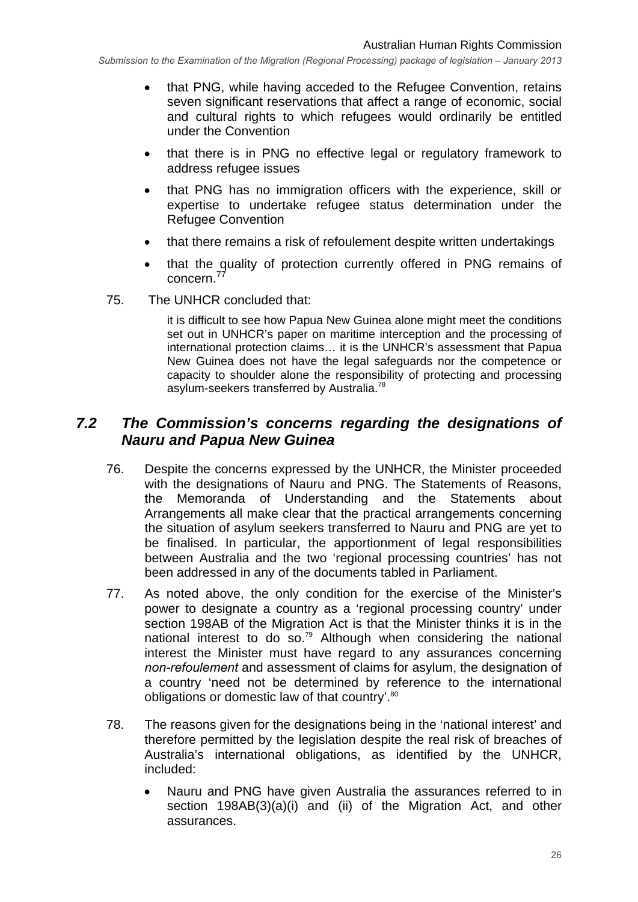- that PNG, while having acceded to the Refugee Convention, retains seven significant reservations that affect a range of economic, social and cultural rights to which refugees would ordinarily be entitled under the Convention
- that there is in PNG no effective legal or regulatory framework to address refugee issues
- that PNG has no immigration officers with the experience, skill or expertise to undertake refugee status determination under the Refugee Convention
- that there remains a risk of refoulement despite written undertakings
- that the quality of protection currently offered in PNG remains of concern.<sup>77</sup>
- 75. The UNHCR concluded that:

it is difficult to see how Papua New Guinea alone might meet the conditions set out in UNHCR's paper on maritime interception and the processing of international protection claims… it is the UNHCR's assessment that Papua New Guinea does not have the legal safeguards nor the competence or capacity to shoulder alone the responsibility of protecting and processing asylum-seekers transferred by Australia.78

## *7.2 The Commission's concerns regarding the designations of Nauru and Papua New Guinea*

- 76. Despite the concerns expressed by the UNHCR, the Minister proceeded with the designations of Nauru and PNG. The Statements of Reasons, the Memoranda of Understanding and the Statements about Arrangements all make clear that the practical arrangements concerning the situation of asylum seekers transferred to Nauru and PNG are yet to be finalised. In particular, the apportionment of legal responsibilities between Australia and the two 'regional processing countries' has not been addressed in any of the documents tabled in Parliament.
- 77. As noted above, the only condition for the exercise of the Minister's power to designate a country as a 'regional processing country' under section 198AB of the Migration Act is that the Minister thinks it is in the national interest to do so.<sup>79</sup> Although when considering the national interest the Minister must have regard to any assurances concerning *non-refoulement* and assessment of claims for asylum, the designation of a country 'need not be determined by reference to the international obligations or domestic law of that country'.<sup>80</sup>
- 78. The reasons given for the designations being in the 'national interest' and therefore permitted by the legislation despite the real risk of breaches of Australia's international obligations, as identified by the UNHCR, included:
	- Nauru and PNG have given Australia the assurances referred to in section 198AB(3)(a)(i) and (ii) of the Migration Act, and other assurances.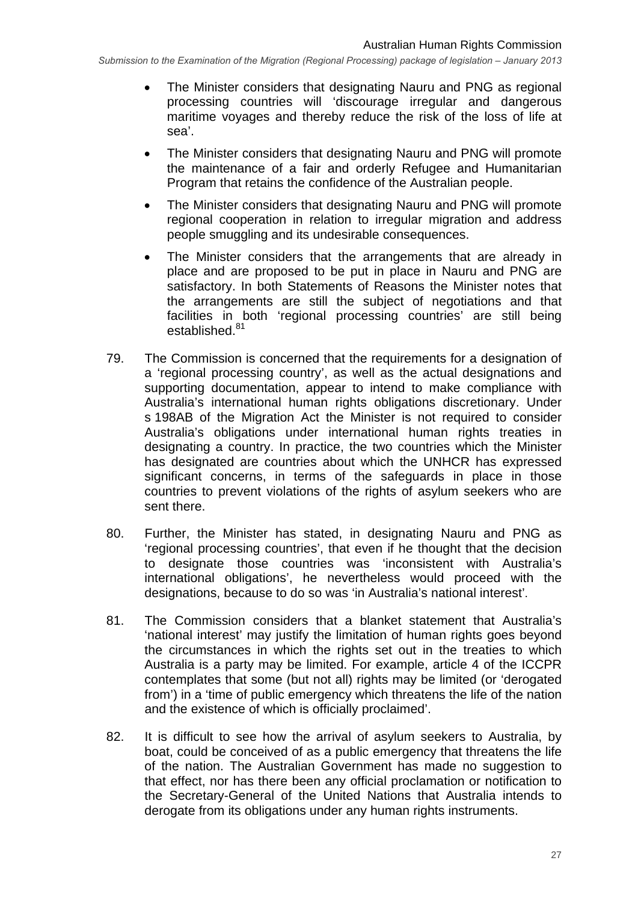- The Minister considers that designating Nauru and PNG as regional processing countries will 'discourage irregular and dangerous maritime voyages and thereby reduce the risk of the loss of life at sea'.
- The Minister considers that designating Nauru and PNG will promote the maintenance of a fair and orderly Refugee and Humanitarian Program that retains the confidence of the Australian people.
- The Minister considers that designating Nauru and PNG will promote regional cooperation in relation to irregular migration and address people smuggling and its undesirable consequences.
- The Minister considers that the arrangements that are already in place and are proposed to be put in place in Nauru and PNG are satisfactory. In both Statements of Reasons the Minister notes that the arrangements are still the subject of negotiations and that facilities in both 'regional processing countries' are still being established.<sup>81</sup>
- 79. The Commission is concerned that the requirements for a designation of a 'regional processing country', as well as the actual designations and supporting documentation, appear to intend to make compliance with Australia's international human rights obligations discretionary. Under s 198AB of the Migration Act the Minister is not required to consider Australia's obligations under international human rights treaties in designating a country. In practice, the two countries which the Minister has designated are countries about which the UNHCR has expressed significant concerns, in terms of the safeguards in place in those countries to prevent violations of the rights of asylum seekers who are sent there.
- 80. Further, the Minister has stated, in designating Nauru and PNG as 'regional processing countries', that even if he thought that the decision to designate those countries was 'inconsistent with Australia's international obligations', he nevertheless would proceed with the designations, because to do so was 'in Australia's national interest'.
- 81. The Commission considers that a blanket statement that Australia's 'national interest' may justify the limitation of human rights goes beyond the circumstances in which the rights set out in the treaties to which Australia is a party may be limited. For example, article 4 of the ICCPR contemplates that some (but not all) rights may be limited (or 'derogated from') in a 'time of public emergency which threatens the life of the nation and the existence of which is officially proclaimed'.
- 82. It is difficult to see how the arrival of asylum seekers to Australia, by boat, could be conceived of as a public emergency that threatens the life of the nation. The Australian Government has made no suggestion to that effect, nor has there been any official proclamation or notification to the Secretary-General of the United Nations that Australia intends to derogate from its obligations under any human rights instruments.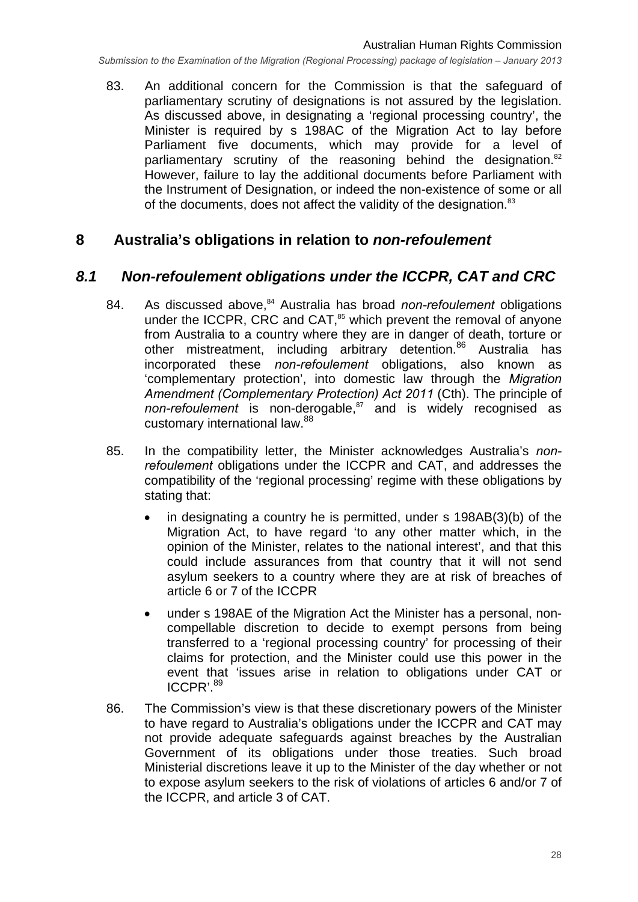83. An additional concern for the Commission is that the safeguard of parliamentary scrutiny of designations is not assured by the legislation. As discussed above, in designating a 'regional processing country', the Minister is required by s 198AC of the Migration Act to lay before Parliament five documents, which may provide for a level of parliamentary scrutiny of the reasoning behind the designation.<sup>82</sup> However, failure to lay the additional documents before Parliament with the Instrument of Designation, or indeed the non-existence of some or all of the documents, does not affect the validity of the designation.<sup>83</sup>

#### **8 Australia's obligations in relation to** *non-refoulement*

## *8.1 Non-refoulement obligations under the ICCPR, CAT and CRC*

- 84. As discussed above,<sup>84</sup> Australia has broad *non-refoulement* obligations under the ICCPR, CRC and CAT,<sup>85</sup> which prevent the removal of anyone from Australia to a country where they are in danger of death, torture or other mistreatment, including arbitrary detention.<sup>86</sup> Australia has incorporated these *non-refoulement* obligations, also known as 'complementary protection', into domestic law through the *Migration Amendment (Complementary Protection) Act 2011* (Cth). The principle of *non-refoulement* is non-derogable,<sup>87</sup> and is widely recognised as customary international law.<sup>88</sup>
- 85. In the compatibility letter, the Minister acknowledges Australia's *nonrefoulement* obligations under the ICCPR and CAT, and addresses the compatibility of the 'regional processing' regime with these obligations by stating that:
	- in designating a country he is permitted, under s 198AB(3)(b) of the Migration Act, to have regard 'to any other matter which, in the opinion of the Minister, relates to the national interest', and that this could include assurances from that country that it will not send asylum seekers to a country where they are at risk of breaches of article 6 or 7 of the ICCPR
	- under s 198AE of the Migration Act the Minister has a personal, noncompellable discretion to decide to exempt persons from being transferred to a 'regional processing country' for processing of their claims for protection, and the Minister could use this power in the event that 'issues arise in relation to obligations under CAT or ICCPR'.<sup>89</sup>
- 86. The Commission's view is that these discretionary powers of the Minister to have regard to Australia's obligations under the ICCPR and CAT may not provide adequate safeguards against breaches by the Australian Government of its obligations under those treaties. Such broad Ministerial discretions leave it up to the Minister of the day whether or not to expose asylum seekers to the risk of violations of articles 6 and/or 7 of the ICCPR, and article 3 of CAT.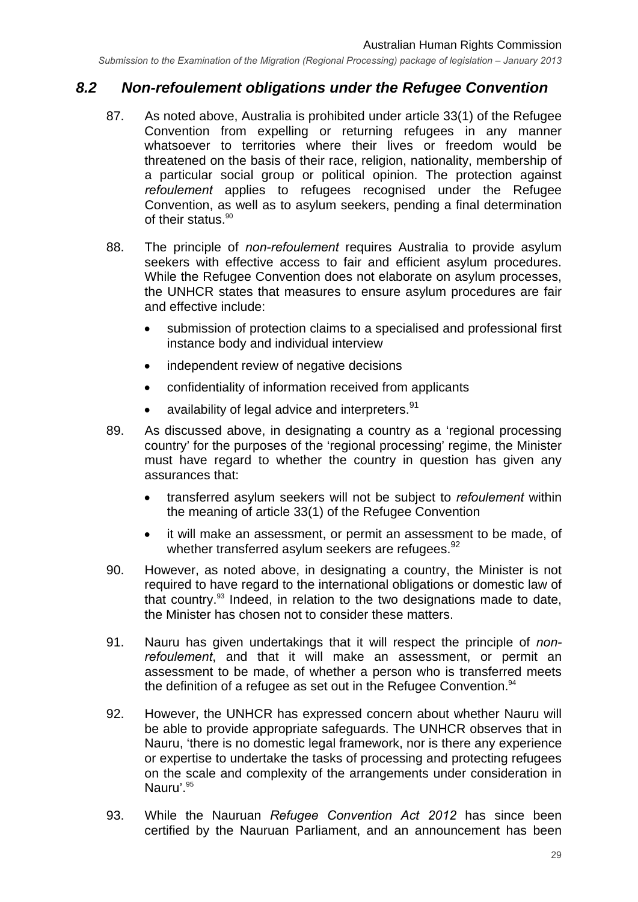#### *8.2 Non-refoulement obligations under the Refugee Convention*

- 87. As noted above, Australia is prohibited under article 33(1) of the Refugee Convention from expelling or returning refugees in any manner whatsoever to territories where their lives or freedom would be threatened on the basis of their race, religion, nationality, membership of a particular social group or political opinion. The protection against *refoulement* applies to refugees recognised under the Refugee Convention, as well as to asylum seekers, pending a final determination of their status.<sup>90</sup>
- 88. The principle of *non-refoulement* requires Australia to provide asylum seekers with effective access to fair and efficient asylum procedures. While the Refugee Convention does not elaborate on asylum processes, the UNHCR states that measures to ensure asylum procedures are fair and effective include:
	- submission of protection claims to a specialised and professional first instance body and individual interview
	- independent review of negative decisions
	- confidentiality of information received from applicants
	- availability of legal advice and interpreters.<sup>91</sup>
- 89. As discussed above, in designating a country as a 'regional processing country' for the purposes of the 'regional processing' regime, the Minister must have regard to whether the country in question has given any assurances that:
	- transferred asylum seekers will not be subject to *refoulement* within the meaning of article 33(1) of the Refugee Convention
	- it will make an assessment, or permit an assessment to be made, of whether transferred asylum seekers are refugees.<sup>92</sup>
- 90. However, as noted above, in designating a country, the Minister is not required to have regard to the international obligations or domestic law of that country.93 Indeed, in relation to the two designations made to date, the Minister has chosen not to consider these matters.
- 91. Nauru has given undertakings that it will respect the principle of *nonrefoulement*, and that it will make an assessment, or permit an assessment to be made, of whether a person who is transferred meets the definition of a refugee as set out in the Refugee Convention.<sup>94</sup>
- 92. However, the UNHCR has expressed concern about whether Nauru will be able to provide appropriate safeguards. The UNHCR observes that in Nauru, 'there is no domestic legal framework, nor is there any experience or expertise to undertake the tasks of processing and protecting refugees on the scale and complexity of the arrangements under consideration in Nauru'.<sup>95</sup>
- 93. While the Nauruan *Refugee Convention Act 2012* has since been certified by the Nauruan Parliament, and an announcement has been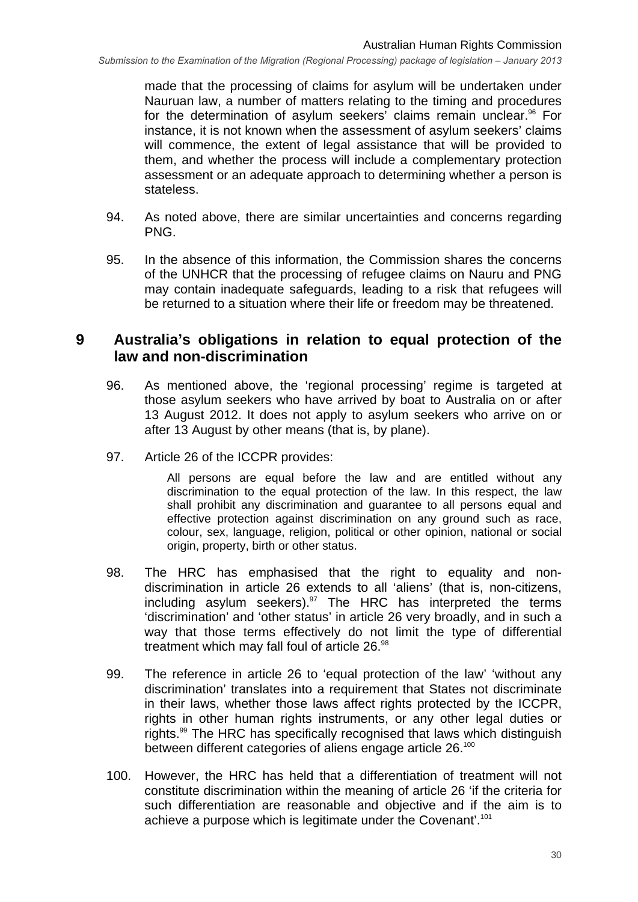made that the processing of claims for asylum will be undertaken under Nauruan law, a number of matters relating to the timing and procedures for the determination of asylum seekers' claims remain unclear.<sup>96</sup> For instance, it is not known when the assessment of asylum seekers' claims will commence, the extent of legal assistance that will be provided to them, and whether the process will include a complementary protection assessment or an adequate approach to determining whether a person is stateless.

- 94. As noted above, there are similar uncertainties and concerns regarding PNG.
- 95. In the absence of this information, the Commission shares the concerns of the UNHCR that the processing of refugee claims on Nauru and PNG may contain inadequate safeguards, leading to a risk that refugees will be returned to a situation where their life or freedom may be threatened.

#### **9 Australia's obligations in relation to equal protection of the law and non-discrimination**

- 96. As mentioned above, the 'regional processing' regime is targeted at those asylum seekers who have arrived by boat to Australia on or after 13 August 2012. It does not apply to asylum seekers who arrive on or after 13 August by other means (that is, by plane).
- 97. Article 26 of the ICCPR provides:

All persons are equal before the law and are entitled without any discrimination to the equal protection of the law. In this respect, the law shall prohibit any discrimination and guarantee to all persons equal and effective protection against discrimination on any ground such as race, colour, sex, language, religion, political or other opinion, national or social origin, property, birth or other status.

- 98. The HRC has emphasised that the right to equality and nondiscrimination in article 26 extends to all 'aliens' (that is, non-citizens, including asylum seekers).<sup>97</sup> The HRC has interpreted the terms 'discrimination' and 'other status' in article 26 very broadly, and in such a way that those terms effectively do not limit the type of differential treatment which may fall foul of article 26.<sup>98</sup>
- 99. The reference in article 26 to 'equal protection of the law' 'without any discrimination' translates into a requirement that States not discriminate in their laws, whether those laws affect rights protected by the ICCPR, rights in other human rights instruments, or any other legal duties or rights.99 The HRC has specifically recognised that laws which distinguish between different categories of aliens engage article 26.<sup>100</sup>
- 100. However, the HRC has held that a differentiation of treatment will not constitute discrimination within the meaning of article 26 'if the criteria for such differentiation are reasonable and objective and if the aim is to achieve a purpose which is legitimate under the Covenant'.101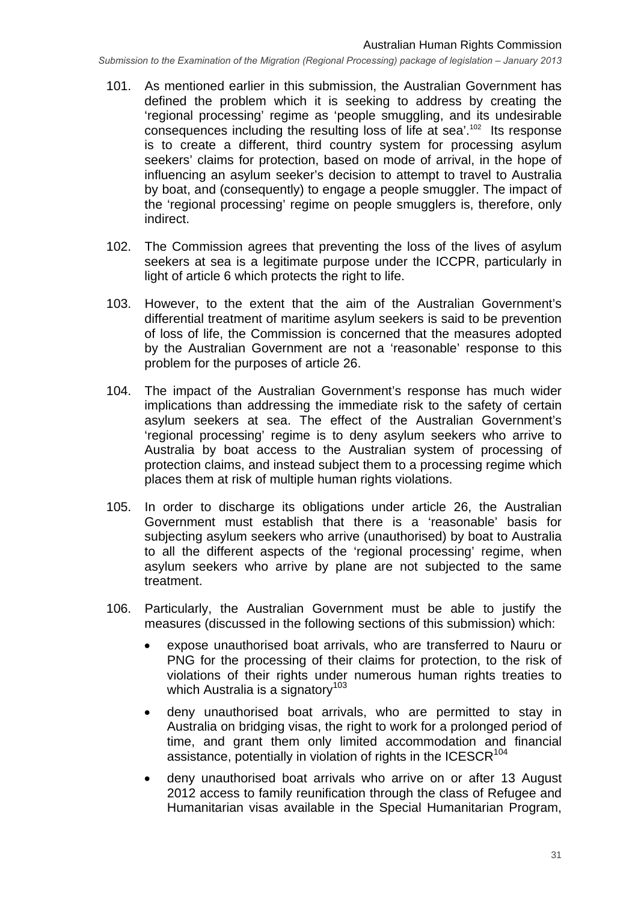- 101. As mentioned earlier in this submission, the Australian Government has defined the problem which it is seeking to address by creating the 'regional processing' regime as 'people smuggling, and its undesirable consequences including the resulting loss of life at sea'.102 Its response is to create a different, third country system for processing asylum seekers' claims for protection, based on mode of arrival, in the hope of influencing an asylum seeker's decision to attempt to travel to Australia by boat, and (consequently) to engage a people smuggler. The impact of the 'regional processing' regime on people smugglers is, therefore, only indirect.
- 102. The Commission agrees that preventing the loss of the lives of asylum seekers at sea is a legitimate purpose under the ICCPR, particularly in light of article 6 which protects the right to life.
- 103. However, to the extent that the aim of the Australian Government's differential treatment of maritime asylum seekers is said to be prevention of loss of life, the Commission is concerned that the measures adopted by the Australian Government are not a 'reasonable' response to this problem for the purposes of article 26.
- 104. The impact of the Australian Government's response has much wider implications than addressing the immediate risk to the safety of certain asylum seekers at sea. The effect of the Australian Government's 'regional processing' regime is to deny asylum seekers who arrive to Australia by boat access to the Australian system of processing of protection claims, and instead subject them to a processing regime which places them at risk of multiple human rights violations.
- 105. In order to discharge its obligations under article 26, the Australian Government must establish that there is a 'reasonable' basis for subjecting asylum seekers who arrive (unauthorised) by boat to Australia to all the different aspects of the 'regional processing' regime, when asylum seekers who arrive by plane are not subjected to the same treatment.
- 106. Particularly, the Australian Government must be able to justify the measures (discussed in the following sections of this submission) which:
	- expose unauthorised boat arrivals, who are transferred to Nauru or PNG for the processing of their claims for protection, to the risk of violations of their rights under numerous human rights treaties to which Australia is a signatory<sup>103</sup>
	- deny unauthorised boat arrivals, who are permitted to stay in Australia on bridging visas, the right to work for a prolonged period of time, and grant them only limited accommodation and financial assistance, potentially in violation of rights in the ICESCR $104$
	- deny unauthorised boat arrivals who arrive on or after 13 August 2012 access to family reunification through the class of Refugee and Humanitarian visas available in the Special Humanitarian Program,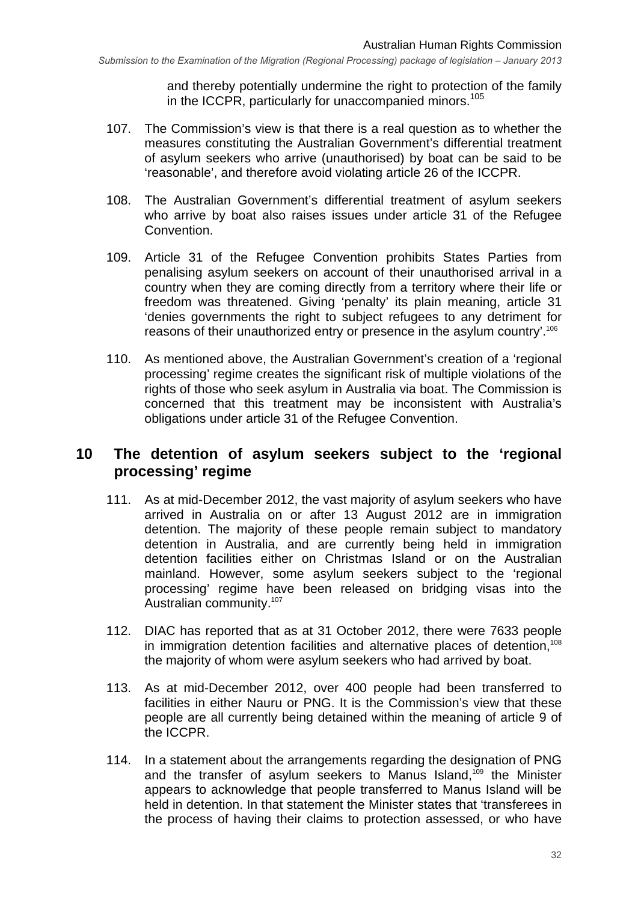and thereby potentially undermine the right to protection of the family in the ICCPR, particularly for unaccompanied minors.<sup>105</sup>

- 107. The Commission's view is that there is a real question as to whether the measures constituting the Australian Government's differential treatment of asylum seekers who arrive (unauthorised) by boat can be said to be 'reasonable', and therefore avoid violating article 26 of the ICCPR.
- 108. The Australian Government's differential treatment of asylum seekers who arrive by boat also raises issues under article 31 of the Refugee Convention.
- 109. Article 31 of the Refugee Convention prohibits States Parties from penalising asylum seekers on account of their unauthorised arrival in a country when they are coming directly from a territory where their life or freedom was threatened. Giving 'penalty' its plain meaning, article 31 'denies governments the right to subject refugees to any detriment for reasons of their unauthorized entry or presence in the asylum country'.<sup>106</sup>
- 110. As mentioned above, the Australian Government's creation of a 'regional processing' regime creates the significant risk of multiple violations of the rights of those who seek asylum in Australia via boat. The Commission is concerned that this treatment may be inconsistent with Australia's obligations under article 31 of the Refugee Convention.

#### **10 The detention of asylum seekers subject to the 'regional processing' regime**

- 111. As at mid-December 2012, the vast majority of asylum seekers who have arrived in Australia on or after 13 August 2012 are in immigration detention. The majority of these people remain subject to mandatory detention in Australia, and are currently being held in immigration detention facilities either on Christmas Island or on the Australian mainland. However, some asylum seekers subject to the 'regional processing' regime have been released on bridging visas into the Australian community.<sup>107</sup>
- 112. DIAC has reported that as at 31 October 2012, there were 7633 people in immigration detention facilities and alternative places of detention.<sup>108</sup> the majority of whom were asylum seekers who had arrived by boat.
- 113. As at mid-December 2012, over 400 people had been transferred to facilities in either Nauru or PNG. It is the Commission's view that these people are all currently being detained within the meaning of article 9 of the ICCPR.
- 114. In a statement about the arrangements regarding the designation of PNG and the transfer of asylum seekers to Manus Island.<sup>109</sup> the Minister appears to acknowledge that people transferred to Manus Island will be held in detention. In that statement the Minister states that 'transferees in the process of having their claims to protection assessed, or who have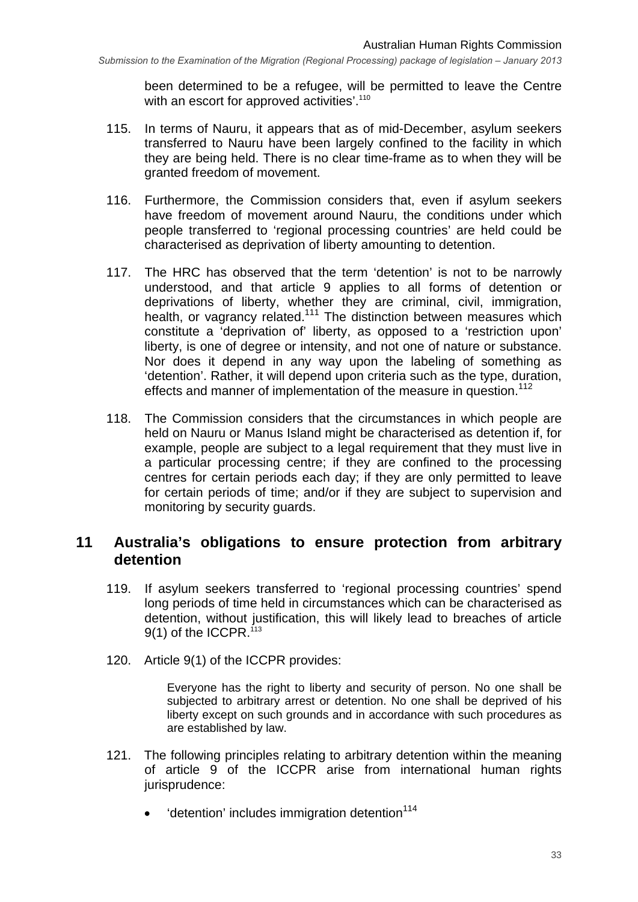been determined to be a refugee, will be permitted to leave the Centre with an escort for approved activities'.<sup>110</sup>

- 115. In terms of Nauru, it appears that as of mid-December, asylum seekers transferred to Nauru have been largely confined to the facility in which they are being held. There is no clear time-frame as to when they will be granted freedom of movement.
- 116. Furthermore, the Commission considers that, even if asylum seekers have freedom of movement around Nauru, the conditions under which people transferred to 'regional processing countries' are held could be characterised as deprivation of liberty amounting to detention.
- 117. The HRC has observed that the term 'detention' is not to be narrowly understood, and that article 9 applies to all forms of detention or deprivations of liberty, whether they are criminal, civil, immigration, health, or vagrancy related.<sup>111</sup> The distinction between measures which constitute a 'deprivation of' liberty, as opposed to a 'restriction upon' liberty, is one of degree or intensity, and not one of nature or substance. Nor does it depend in any way upon the labeling of something as 'detention'. Rather, it will depend upon criteria such as the type, duration, effects and manner of implementation of the measure in question.<sup>112</sup>
- 118. The Commission considers that the circumstances in which people are held on Nauru or Manus Island might be characterised as detention if, for example, people are subject to a legal requirement that they must live in a particular processing centre; if they are confined to the processing centres for certain periods each day; if they are only permitted to leave for certain periods of time; and/or if they are subject to supervision and monitoring by security guards.

#### **11 Australia's obligations to ensure protection from arbitrary detention**

- 119. If asylum seekers transferred to 'regional processing countries' spend long periods of time held in circumstances which can be characterised as detention, without justification, this will likely lead to breaches of article 9(1) of the ICCPR.<sup>113</sup>
- 120. Article 9(1) of the ICCPR provides:

Everyone has the right to liberty and security of person. No one shall be subjected to arbitrary arrest or detention. No one shall be deprived of his liberty except on such grounds and in accordance with such procedures as are established by law.

- 121. The following principles relating to arbitrary detention within the meaning of article 9 of the ICCPR arise from international human rights jurisprudence:
	- $\bullet$  'detention' includes immigration detention<sup>114</sup>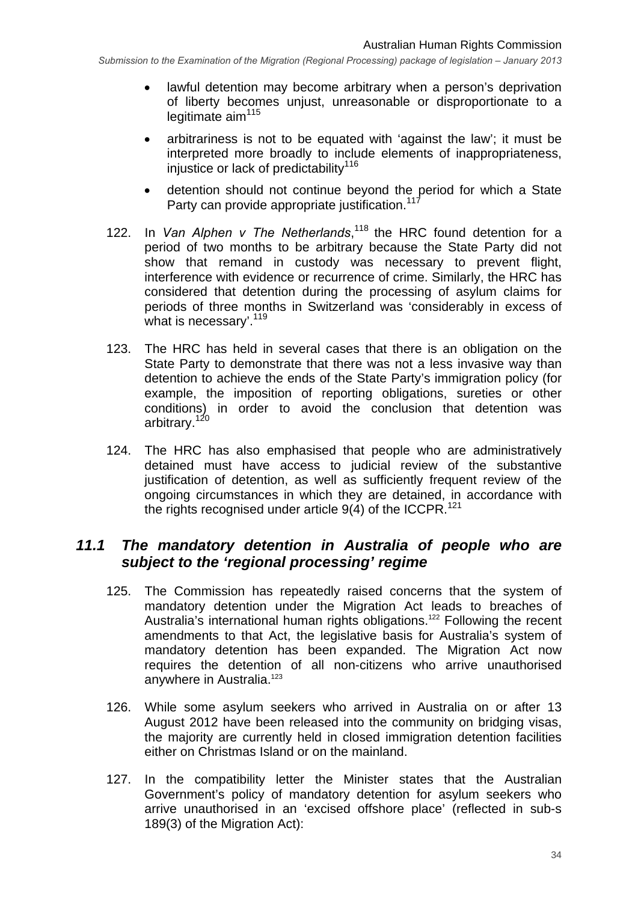- lawful detention may become arbitrary when a person's deprivation of liberty becomes unjust, unreasonable or disproportionate to a legitimate  $\text{aim}^{115}$
- arbitrariness is not to be equated with 'against the law'; it must be interpreted more broadly to include elements of inappropriateness, injustice or lack of predictability<sup>116</sup>
- detention should not continue beyond the period for which a State Party can provide appropriate justification.<sup>11</sup>
- 122. In *Van Alphen v The Netherlands*,<sup>118</sup> the HRC found detention for a period of two months to be arbitrary because the State Party did not show that remand in custody was necessary to prevent flight, interference with evidence or recurrence of crime. Similarly, the HRC has considered that detention during the processing of asylum claims for periods of three months in Switzerland was 'considerably in excess of what is necessary'.<sup>119</sup>
- 123. The HRC has held in several cases that there is an obligation on the State Party to demonstrate that there was not a less invasive way than detention to achieve the ends of the State Party's immigration policy (for example, the imposition of reporting obligations, sureties or other conditions) in order to avoid the conclusion that detention was arbitrary.<sup>120</sup>
- 124. The HRC has also emphasised that people who are administratively detained must have access to judicial review of the substantive justification of detention, as well as sufficiently frequent review of the ongoing circumstances in which they are detained, in accordance with the rights recognised under article  $9(4)$  of the ICCPR.<sup>121</sup>

#### *11.1 The mandatory detention in Australia of people who are subject to the 'regional processing' regime*

- 125. The Commission has repeatedly raised concerns that the system of mandatory detention under the Migration Act leads to breaches of Australia's international human rights obligations.<sup>122</sup> Following the recent amendments to that Act, the legislative basis for Australia's system of mandatory detention has been expanded. The Migration Act now requires the detention of all non-citizens who arrive unauthorised anywhere in Australia.<sup>123</sup>
- 126. While some asylum seekers who arrived in Australia on or after 13 August 2012 have been released into the community on bridging visas, the majority are currently held in closed immigration detention facilities either on Christmas Island or on the mainland.
- 127. In the compatibility letter the Minister states that the Australian Government's policy of mandatory detention for asylum seekers who arrive unauthorised in an 'excised offshore place' (reflected in sub-s 189(3) of the Migration Act):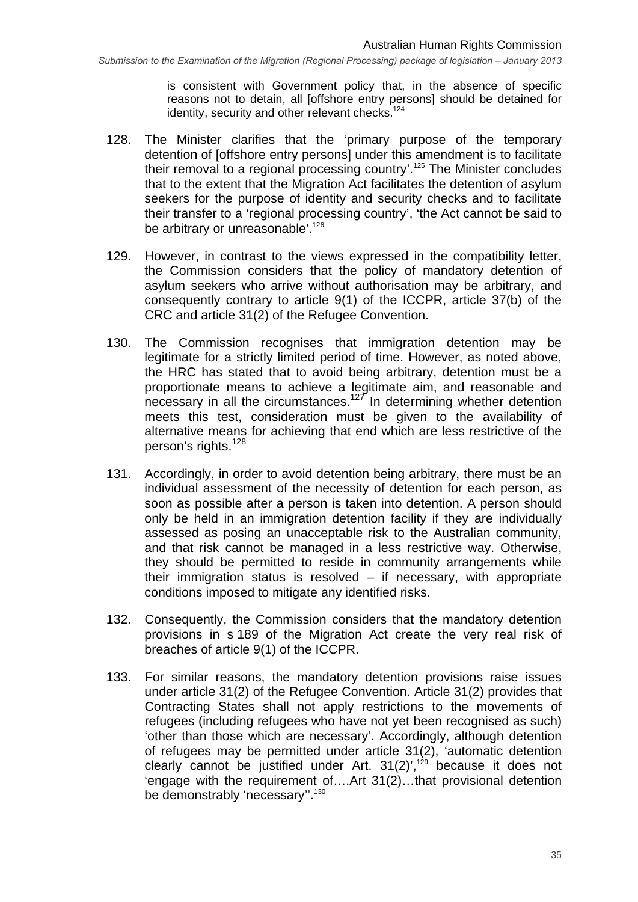is consistent with Government policy that, in the absence of specific reasons not to detain, all [offshore entry persons] should be detained for identity, security and other relevant checks.<sup>124</sup>

- 128. The Minister clarifies that the 'primary purpose of the temporary detention of [offshore entry persons] under this amendment is to facilitate their removal to a regional processing country'.<sup>125</sup> The Minister concludes that to the extent that the Migration Act facilitates the detention of asylum seekers for the purpose of identity and security checks and to facilitate their transfer to a 'regional processing country', 'the Act cannot be said to be arbitrary or unreasonable'.<sup>126</sup>
- 129. However, in contrast to the views expressed in the compatibility letter, the Commission considers that the policy of mandatory detention of asylum seekers who arrive without authorisation may be arbitrary, and consequently contrary to article 9(1) of the ICCPR, article 37(b) of the CRC and article 31(2) of the Refugee Convention.
- 130. The Commission recognises that immigration detention may be legitimate for a strictly limited period of time. However, as noted above, the HRC has stated that to avoid being arbitrary, detention must be a proportionate means to achieve a legitimate aim, and reasonable and necessary in all the circumstances.<sup>127</sup> In determining whether detention meets this test, consideration must be given to the availability of alternative means for achieving that end which are less restrictive of the person's rights.<sup>128</sup>
- 131. Accordingly, in order to avoid detention being arbitrary, there must be an individual assessment of the necessity of detention for each person, as soon as possible after a person is taken into detention. A person should only be held in an immigration detention facility if they are individually assessed as posing an unacceptable risk to the Australian community, and that risk cannot be managed in a less restrictive way. Otherwise, they should be permitted to reside in community arrangements while their immigration status is resolved – if necessary, with appropriate conditions imposed to mitigate any identified risks.
- 132. Consequently, the Commission considers that the mandatory detention provisions in s 189 of the Migration Act create the very real risk of breaches of article 9(1) of the ICCPR.
- 133. For similar reasons, the mandatory detention provisions raise issues under article 31(2) of the Refugee Convention. Article 31(2) provides that Contracting States shall not apply restrictions to the movements of refugees (including refugees who have not yet been recognised as such) 'other than those which are necessary'. Accordingly, although detention of refugees may be permitted under article 31(2), 'automatic detention clearly cannot be justified under Art.  $31(2)^{7,129}$  because it does not 'engage with the requirement of….Art 31(2)…that provisional detention be demonstrably 'necessary".<sup>130</sup>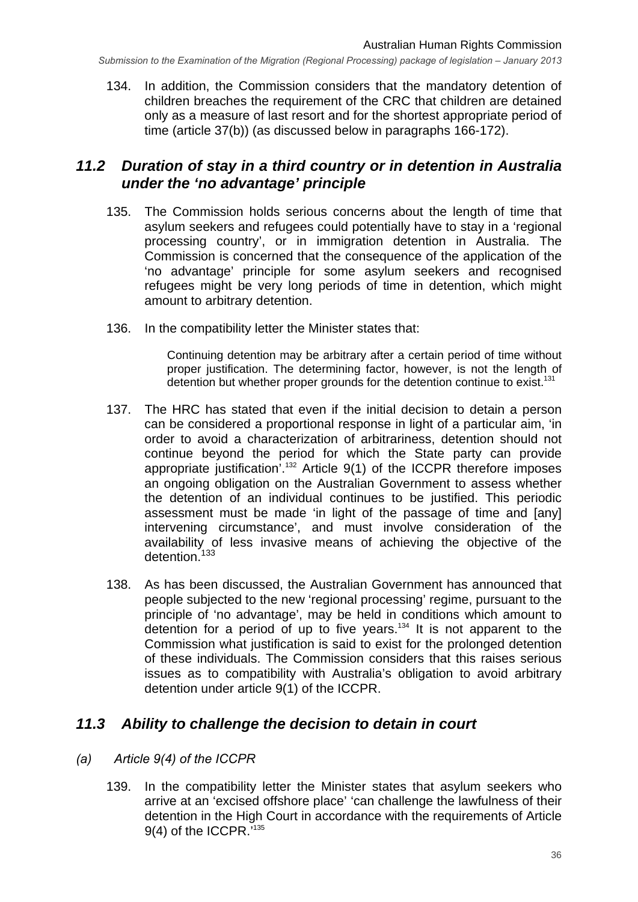134. In addition, the Commission considers that the mandatory detention of children breaches the requirement of the CRC that children are detained only as a measure of last resort and for the shortest appropriate period of time (article 37(b)) (as discussed below in paragraphs 166-172).

#### *11.2 Duration of stay in a third country or in detention in Australia under the 'no advantage' principle*

- 135. The Commission holds serious concerns about the length of time that asylum seekers and refugees could potentially have to stay in a 'regional processing country', or in immigration detention in Australia. The Commission is concerned that the consequence of the application of the 'no advantage' principle for some asylum seekers and recognised refugees might be very long periods of time in detention, which might amount to arbitrary detention.
- 136. In the compatibility letter the Minister states that:

Continuing detention may be arbitrary after a certain period of time without proper justification. The determining factor, however, is not the length of detention but whether proper grounds for the detention continue to exist.<sup>131</sup>

- 137. The HRC has stated that even if the initial decision to detain a person can be considered a proportional response in light of a particular aim, 'in order to avoid a characterization of arbitrariness, detention should not continue beyond the period for which the State party can provide appropriate justification<sup>'.132</sup> Article  $9(1)$  of the ICCPR therefore imposes an ongoing obligation on the Australian Government to assess whether the detention of an individual continues to be justified. This periodic assessment must be made 'in light of the passage of time and [any] intervening circumstance', and must involve consideration of the availability of less invasive means of achieving the objective of the detention.<sup>133</sup>
- 138. As has been discussed, the Australian Government has announced that people subjected to the new 'regional processing' regime, pursuant to the principle of 'no advantage', may be held in conditions which amount to detention for a period of up to five years.<sup>134</sup> It is not apparent to the Commission what justification is said to exist for the prolonged detention of these individuals. The Commission considers that this raises serious issues as to compatibility with Australia's obligation to avoid arbitrary detention under article 9(1) of the ICCPR.

#### *11.3 Ability to challenge the decision to detain in court*

#### *(a) Article 9(4) of the ICCPR*

139. In the compatibility letter the Minister states that asylum seekers who arrive at an 'excised offshore place' 'can challenge the lawfulness of their detention in the High Court in accordance with the requirements of Article 9(4) of the ICCPR.<sup>7135</sup>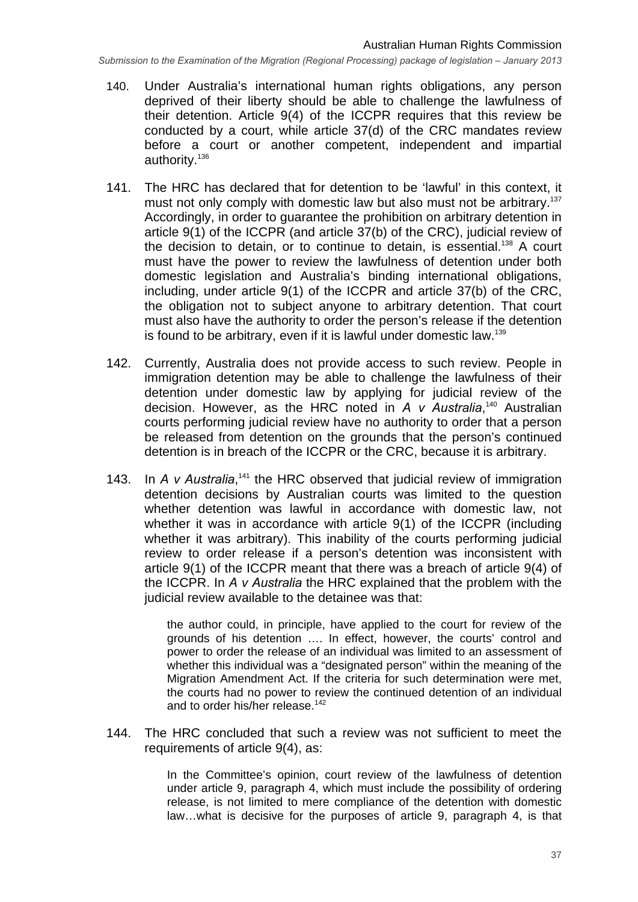- 140. Under Australia's international human rights obligations, any person deprived of their liberty should be able to challenge the lawfulness of their detention. Article 9(4) of the ICCPR requires that this review be conducted by a court, while article 37(d) of the CRC mandates review before a court or another competent, independent and impartial authority.<sup>136</sup>
- 141. The HRC has declared that for detention to be 'lawful' in this context, it must not only comply with domestic law but also must not be arbitrary.<sup>137</sup> Accordingly, in order to guarantee the prohibition on arbitrary detention in article 9(1) of the ICCPR (and article 37(b) of the CRC), judicial review of the decision to detain, or to continue to detain, is essential.<sup>138</sup> A court must have the power to review the lawfulness of detention under both domestic legislation and Australia's binding international obligations, including, under article 9(1) of the ICCPR and article 37(b) of the CRC, the obligation not to subject anyone to arbitrary detention. That court must also have the authority to order the person's release if the detention is found to be arbitrary, even if it is lawful under domestic law.<sup>139</sup>
- 142. Currently, Australia does not provide access to such review. People in immigration detention may be able to challenge the lawfulness of their detention under domestic law by applying for judicial review of the decision. However, as the HRC noted in *A v Australia*, 140 Australian courts performing judicial review have no authority to order that a person be released from detention on the grounds that the person's continued detention is in breach of the ICCPR or the CRC, because it is arbitrary.
- 143. In *A v Australia*,<sup>141</sup> the HRC observed that judicial review of immigration detention decisions by Australian courts was limited to the question whether detention was lawful in accordance with domestic law, not whether it was in accordance with article 9(1) of the ICCPR (including whether it was arbitrary). This inability of the courts performing judicial review to order release if a person's detention was inconsistent with article 9(1) of the ICCPR meant that there was a breach of article 9(4) of the ICCPR. In *A v Australia* the HRC explained that the problem with the judicial review available to the detainee was that:

the author could, in principle, have applied to the court for review of the grounds of his detention …. In effect, however, the courts' control and power to order the release of an individual was limited to an assessment of whether this individual was a "designated person" within the meaning of the Migration Amendment Act. If the criteria for such determination were met, the courts had no power to review the continued detention of an individual and to order his/her release.<sup>142</sup>

144. The HRC concluded that such a review was not sufficient to meet the requirements of article 9(4), as:

> In the Committee's opinion, court review of the lawfulness of detention under article 9, paragraph 4, which must include the possibility of ordering release, is not limited to mere compliance of the detention with domestic law…what is decisive for the purposes of article 9, paragraph 4, is that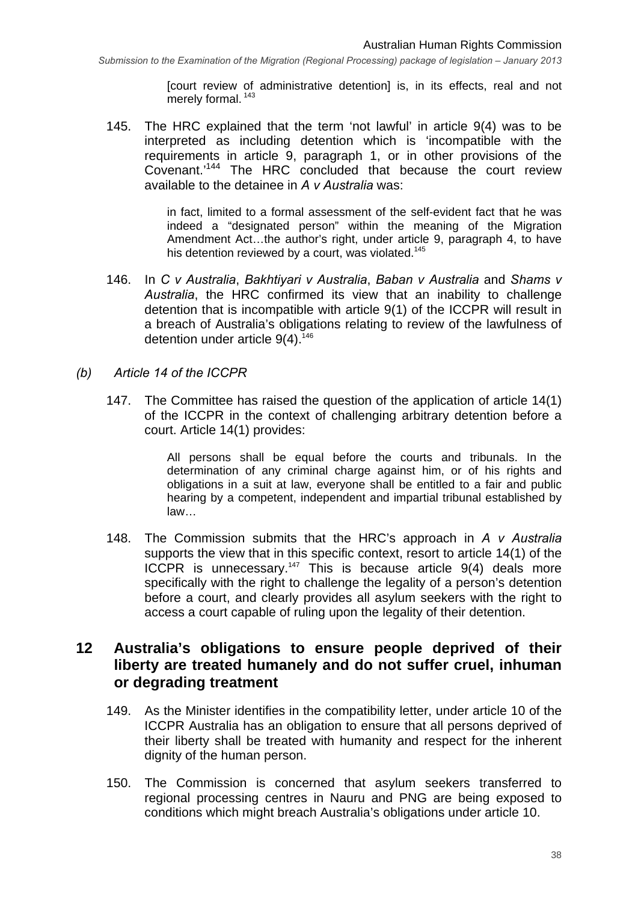[court review of administrative detention] is, in its effects, real and not merely formal.<sup>143</sup>

145. The HRC explained that the term 'not lawful' in article 9(4) was to be interpreted as including detention which is 'incompatible with the requirements in article 9, paragraph 1, or in other provisions of the Covenant.'144 The HRC concluded that because the court review available to the detainee in *A v Australia* was:

> in fact, limited to a formal assessment of the self-evident fact that he was indeed a "designated person" within the meaning of the Migration Amendment Act…the author's right, under article 9, paragraph 4, to have his detention reviewed by a court, was violated.<sup>145</sup>

- 146. In *C v Australia*, *Bakhtiyari v Australia*, *Baban v Australia* and *Shams v Australia*, the HRC confirmed its view that an inability to challenge detention that is incompatible with article 9(1) of the ICCPR will result in a breach of Australia's obligations relating to review of the lawfulness of detention under article  $9(4)$ .<sup>146</sup>
- *(b) Article 14 of the ICCPR* 
	- 147. The Committee has raised the question of the application of article 14(1) of the ICCPR in the context of challenging arbitrary detention before a court. Article 14(1) provides:

All persons shall be equal before the courts and tribunals. In the determination of any criminal charge against him, or of his rights and obligations in a suit at law, everyone shall be entitled to a fair and public hearing by a competent, independent and impartial tribunal established by law…

148. The Commission submits that the HRC's approach in *A v Australia* supports the view that in this specific context, resort to article 14(1) of the ICCPR is unnecessary.147 This is because article 9(4) deals more specifically with the right to challenge the legality of a person's detention before a court, and clearly provides all asylum seekers with the right to access a court capable of ruling upon the legality of their detention.

#### **12 Australia's obligations to ensure people deprived of their liberty are treated humanely and do not suffer cruel, inhuman or degrading treatment**

- 149. As the Minister identifies in the compatibility letter, under article 10 of the ICCPR Australia has an obligation to ensure that all persons deprived of their liberty shall be treated with humanity and respect for the inherent dignity of the human person.
- 150. The Commission is concerned that asylum seekers transferred to regional processing centres in Nauru and PNG are being exposed to conditions which might breach Australia's obligations under article 10.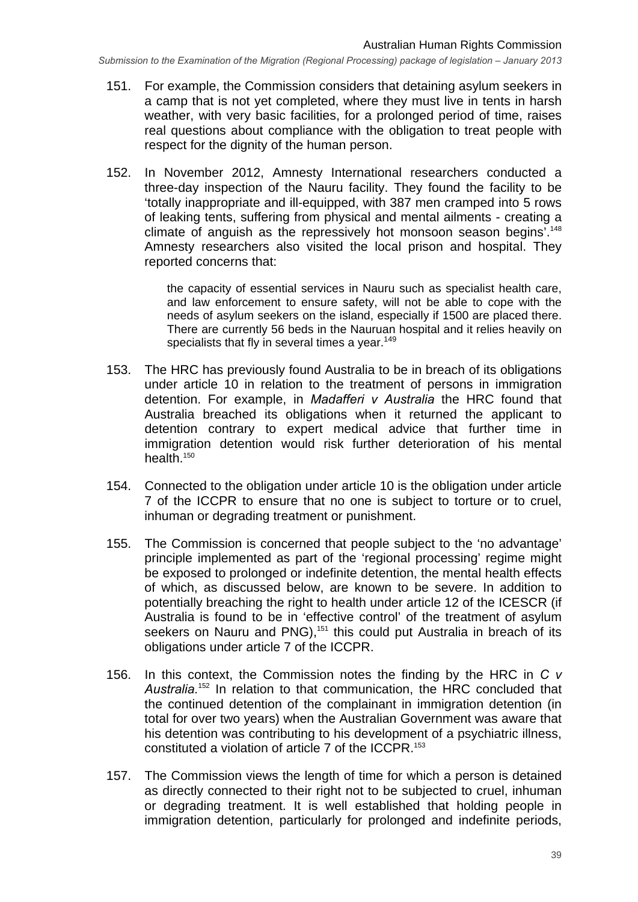- 151. For example, the Commission considers that detaining asylum seekers in a camp that is not yet completed, where they must live in tents in harsh weather, with very basic facilities, for a prolonged period of time, raises real questions about compliance with the obligation to treat people with respect for the dignity of the human person.
- 152. In November 2012, Amnesty International researchers conducted a three-day inspection of the Nauru facility. They found the facility to be 'totally inappropriate and ill-equipped, with 387 men cramped into 5 rows of leaking tents, suffering from physical and mental ailments - creating a climate of anguish as the repressively hot monsoon season begins'.<sup>148</sup> Amnesty researchers also visited the local prison and hospital. They reported concerns that:

the capacity of essential services in Nauru such as specialist health care, and law enforcement to ensure safety, will not be able to cope with the needs of asylum seekers on the island, especially if 1500 are placed there. There are currently 56 beds in the Nauruan hospital and it relies heavily on specialists that fly in several times a vear.<sup>149</sup>

- 153. The HRC has previously found Australia to be in breach of its obligations under article 10 in relation to the treatment of persons in immigration detention. For example, in *Madafferi v Australia* the HRC found that Australia breached its obligations when it returned the applicant to detention contrary to expert medical advice that further time in immigration detention would risk further deterioration of his mental health. $150$
- 154. Connected to the obligation under article 10 is the obligation under article 7 of the ICCPR to ensure that no one is subject to torture or to cruel, inhuman or degrading treatment or punishment.
- 155. The Commission is concerned that people subject to the 'no advantage' principle implemented as part of the 'regional processing' regime might be exposed to prolonged or indefinite detention, the mental health effects of which, as discussed below, are known to be severe. In addition to potentially breaching the right to health under article 12 of the ICESCR (if Australia is found to be in 'effective control' of the treatment of asylum seekers on Nauru and PNG),<sup>151</sup> this could put Australia in breach of its obligations under article 7 of the ICCPR.
- 156. In this context, the Commission notes the finding by the HRC in *C v Australia.*152 In relation to that communication, the HRC concluded that the continued detention of the complainant in immigration detention (in total for over two years) when the Australian Government was aware that his detention was contributing to his development of a psychiatric illness, constituted a violation of article 7 of the ICCPR.<sup>153</sup>
- 157. The Commission views the length of time for which a person is detained as directly connected to their right not to be subjected to cruel, inhuman or degrading treatment. It is well established that holding people in immigration detention, particularly for prolonged and indefinite periods,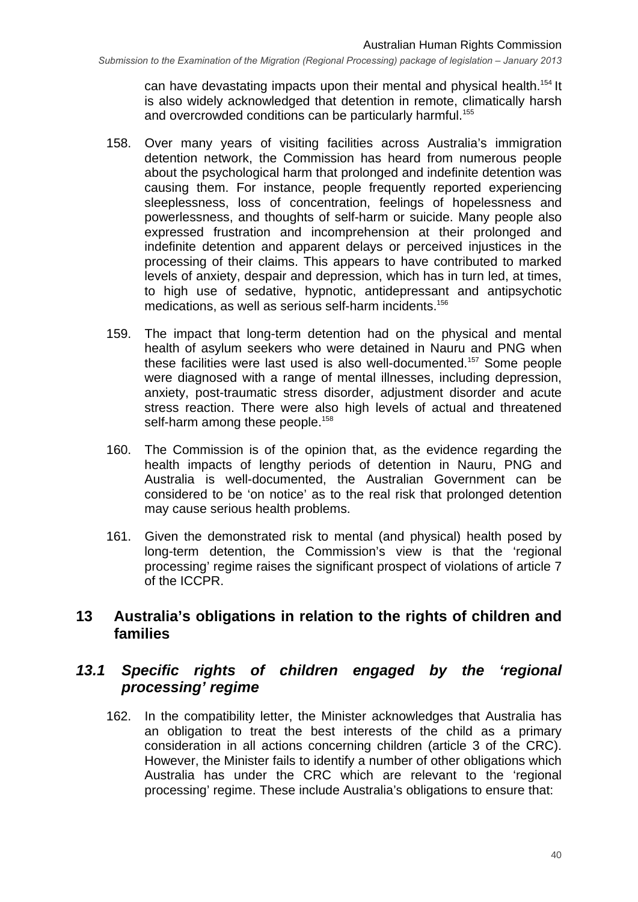can have devastating impacts upon their mental and physical health.<sup>154</sup> It is also widely acknowledged that detention in remote, climatically harsh and overcrowded conditions can be particularly harmful.<sup>155</sup>

- 158. Over many years of visiting facilities across Australia's immigration detention network, the Commission has heard from numerous people about the psychological harm that prolonged and indefinite detention was causing them. For instance, people frequently reported experiencing sleeplessness, loss of concentration, feelings of hopelessness and powerlessness, and thoughts of self-harm or suicide. Many people also expressed frustration and incomprehension at their prolonged and indefinite detention and apparent delays or perceived injustices in the processing of their claims. This appears to have contributed to marked levels of anxiety, despair and depression, which has in turn led, at times, to high use of sedative, hypnotic, antidepressant and antipsychotic medications, as well as serious self-harm incidents.<sup>156</sup>
- 159. The impact that long-term detention had on the physical and mental health of asylum seekers who were detained in Nauru and PNG when these facilities were last used is also well-documented.157 Some people were diagnosed with a range of mental illnesses, including depression, anxiety, post-traumatic stress disorder, adjustment disorder and acute stress reaction. There were also high levels of actual and threatened self-harm among these people.<sup>158</sup>
- 160. The Commission is of the opinion that, as the evidence regarding the health impacts of lengthy periods of detention in Nauru, PNG and Australia is well-documented, the Australian Government can be considered to be 'on notice' as to the real risk that prolonged detention may cause serious health problems.
- 161. Given the demonstrated risk to mental (and physical) health posed by long-term detention, the Commission's view is that the 'regional processing' regime raises the significant prospect of violations of article 7 of the ICCPR.

#### **13 Australia's obligations in relation to the rights of children and families**

## *13.1 Specific rights of children engaged by the 'regional processing' regime*

162. In the compatibility letter, the Minister acknowledges that Australia has an obligation to treat the best interests of the child as a primary consideration in all actions concerning children (article 3 of the CRC). However, the Minister fails to identify a number of other obligations which Australia has under the CRC which are relevant to the 'regional processing' regime. These include Australia's obligations to ensure that: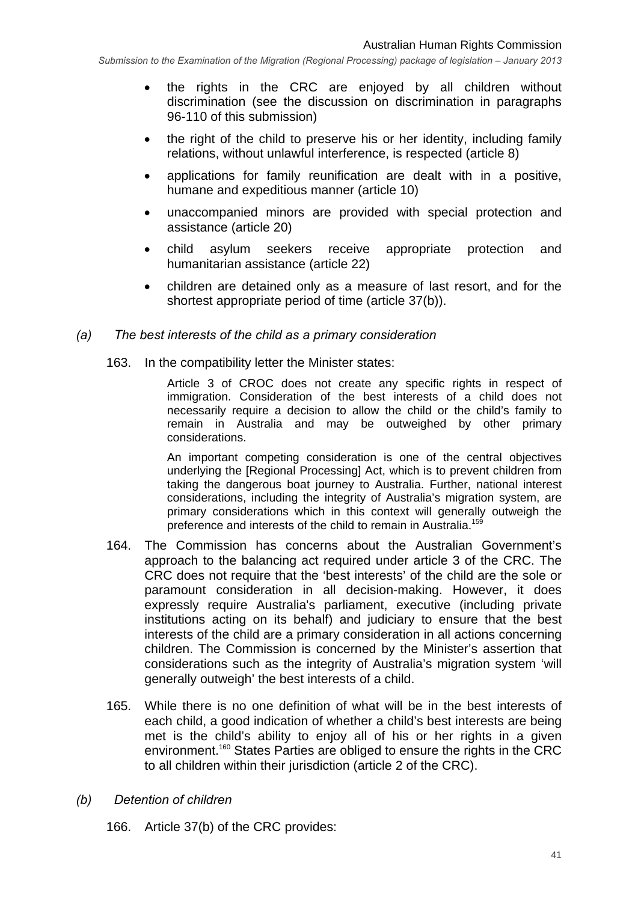- the rights in the CRC are enjoyed by all children without discrimination (see the discussion on discrimination in paragraphs 96-110 of this submission)
- the right of the child to preserve his or her identity, including family relations, without unlawful interference, is respected (article 8)
- applications for family reunification are dealt with in a positive, humane and expeditious manner (article 10)
- unaccompanied minors are provided with special protection and assistance (article 20)
- child asylum seekers receive appropriate protection and humanitarian assistance (article 22)
- children are detained only as a measure of last resort, and for the shortest appropriate period of time (article 37(b)).

#### *(a) The best interests of the child as a primary consideration*

163. In the compatibility letter the Minister states:

Article 3 of CROC does not create any specific rights in respect of immigration. Consideration of the best interests of a child does not necessarily require a decision to allow the child or the child's family to remain in Australia and may be outweighed by other primary considerations.

An important competing consideration is one of the central objectives underlying the [Regional Processing] Act, which is to prevent children from taking the dangerous boat journey to Australia. Further, national interest considerations, including the integrity of Australia's migration system, are primary considerations which in this context will generally outweigh the preference and interests of the child to remain in Australia.<sup>159</sup>

- 164. The Commission has concerns about the Australian Government's approach to the balancing act required under article 3 of the CRC. The CRC does not require that the 'best interests' of the child are the sole or paramount consideration in all decision-making. However, it does expressly require Australia's parliament, executive (including private institutions acting on its behalf) and judiciary to ensure that the best interests of the child are a primary consideration in all actions concerning children. The Commission is concerned by the Minister's assertion that considerations such as the integrity of Australia's migration system 'will generally outweigh' the best interests of a child.
- 165. While there is no one definition of what will be in the best interests of each child, a good indication of whether a child's best interests are being met is the child's ability to enjoy all of his or her rights in a given environment.<sup>160</sup> States Parties are obliged to ensure the rights in the CRC to all children within their jurisdiction (article 2 of the CRC).
- *(b) Detention of children* 
	- 166. Article 37(b) of the CRC provides: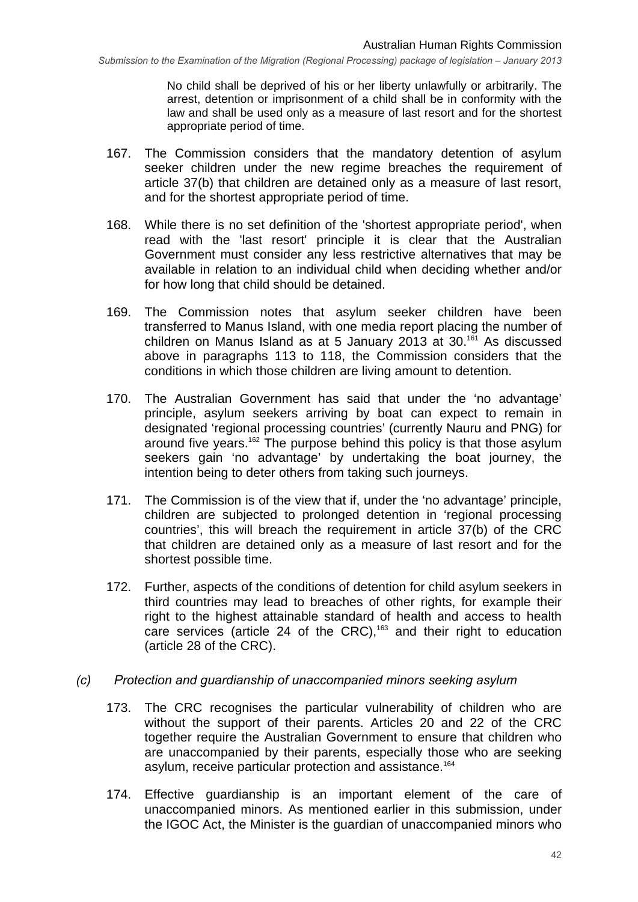No child shall be deprived of his or her liberty unlawfully or arbitrarily. The arrest, detention or imprisonment of a child shall be in conformity with the law and shall be used only as a measure of last resort and for the shortest appropriate period of time.

- 167. The Commission considers that the mandatory detention of asylum seeker children under the new regime breaches the requirement of article 37(b) that children are detained only as a measure of last resort, and for the shortest appropriate period of time.
- 168. While there is no set definition of the 'shortest appropriate period', when read with the 'last resort' principle it is clear that the Australian Government must consider any less restrictive alternatives that may be available in relation to an individual child when deciding whether and/or for how long that child should be detained.
- 169. The Commission notes that asylum seeker children have been transferred to Manus Island, with one media report placing the number of children on Manus Island as at 5 January 2013 at  $30^{161}$  As discussed above in paragraphs 113 to 118, the Commission considers that the conditions in which those children are living amount to detention.
- 170. The Australian Government has said that under the 'no advantage' principle, asylum seekers arriving by boat can expect to remain in designated 'regional processing countries' (currently Nauru and PNG) for around five years.<sup>162</sup> The purpose behind this policy is that those asylum seekers gain 'no advantage' by undertaking the boat journey, the intention being to deter others from taking such journeys.
- 171. The Commission is of the view that if, under the 'no advantage' principle, children are subjected to prolonged detention in 'regional processing countries', this will breach the requirement in article 37(b) of the CRC that children are detained only as a measure of last resort and for the shortest possible time.
- 172. Further, aspects of the conditions of detention for child asylum seekers in third countries may lead to breaches of other rights, for example their right to the highest attainable standard of health and access to health care services (article 24 of the CRC),<sup>163</sup> and their right to education (article 28 of the CRC).
- *(c) Protection and guardianship of unaccompanied minors seeking asylum* 
	- 173. The CRC recognises the particular vulnerability of children who are without the support of their parents. Articles 20 and 22 of the CRC together require the Australian Government to ensure that children who are unaccompanied by their parents, especially those who are seeking asylum, receive particular protection and assistance.<sup>164</sup>
	- 174. Effective guardianship is an important element of the care of unaccompanied minors. As mentioned earlier in this submission, under the IGOC Act, the Minister is the guardian of unaccompanied minors who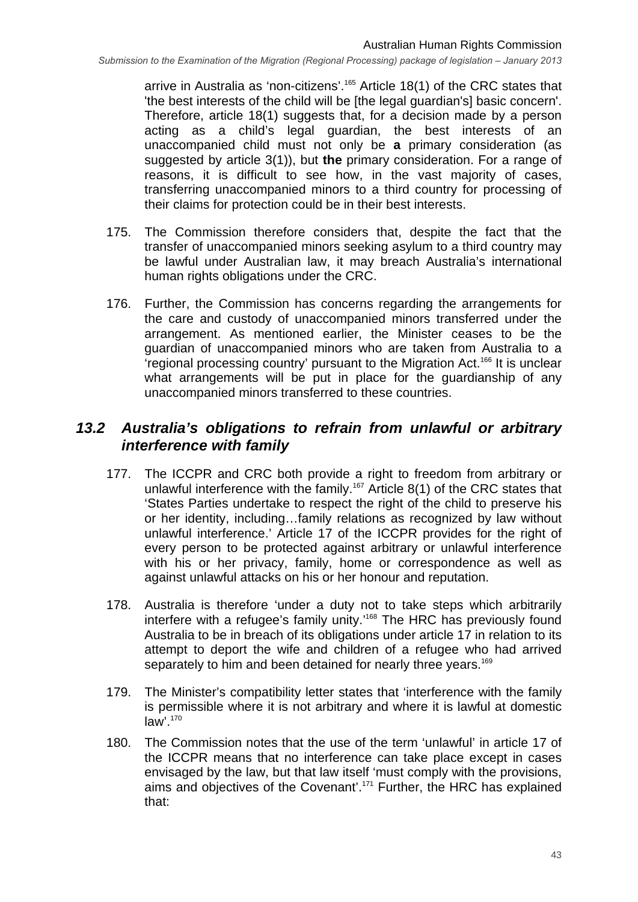arrive in Australia as 'non-citizens'.<sup>165</sup> Article 18(1) of the CRC states that 'the best interests of the child will be [the legal guardian's] basic concern'. Therefore, article 18(1) suggests that, for a decision made by a person acting as a child's legal guardian, the best interests of an unaccompanied child must not only be **a** primary consideration (as suggested by article 3(1)), but **the** primary consideration. For a range of reasons, it is difficult to see how, in the vast majority of cases, transferring unaccompanied minors to a third country for processing of their claims for protection could be in their best interests.

- 175. The Commission therefore considers that, despite the fact that the transfer of unaccompanied minors seeking asylum to a third country may be lawful under Australian law, it may breach Australia's international human rights obligations under the CRC.
- 176. Further, the Commission has concerns regarding the arrangements for the care and custody of unaccompanied minors transferred under the arrangement. As mentioned earlier, the Minister ceases to be the guardian of unaccompanied minors who are taken from Australia to a 'regional processing country' pursuant to the Migration Act.166 It is unclear what arrangements will be put in place for the guardianship of any unaccompanied minors transferred to these countries.

#### *13.2 Australia's obligations to refrain from unlawful or arbitrary interference with family*

- 177. The ICCPR and CRC both provide a right to freedom from arbitrary or unlawful interference with the family.<sup>167</sup> Article  $8(1)$  of the CRC states that 'States Parties undertake to respect the right of the child to preserve his or her identity, including…family relations as recognized by law without unlawful interference.' Article 17 of the ICCPR provides for the right of every person to be protected against arbitrary or unlawful interference with his or her privacy, family, home or correspondence as well as against unlawful attacks on his or her honour and reputation.
- 178. Australia is therefore 'under a duty not to take steps which arbitrarily interfere with a refugee's family unity.'168 The HRC has previously found Australia to be in breach of its obligations under article 17 in relation to its attempt to deport the wife and children of a refugee who had arrived separately to him and been detained for nearly three vears.<sup>169</sup>
- 179. The Minister's compatibility letter states that 'interference with the family is permissible where it is not arbitrary and where it is lawful at domestic  $law<sup>'</sup>$ .<sup>170</sup>
- 180. The Commission notes that the use of the term 'unlawful' in article 17 of the ICCPR means that no interference can take place except in cases envisaged by the law, but that law itself 'must comply with the provisions, aims and objectives of the Covenant'.171 Further, the HRC has explained that: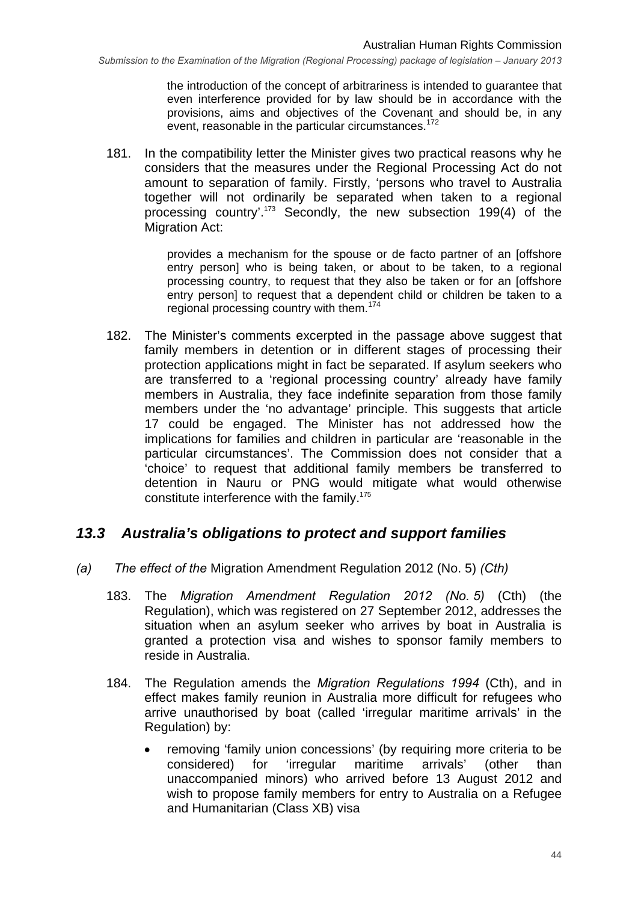the introduction of the concept of arbitrariness is intended to guarantee that even interference provided for by law should be in accordance with the provisions, aims and objectives of the Covenant and should be, in any event, reasonable in the particular circumstances.<sup>172</sup>

181. In the compatibility letter the Minister gives two practical reasons why he considers that the measures under the Regional Processing Act do not amount to separation of family. Firstly, 'persons who travel to Australia together will not ordinarily be separated when taken to a regional processing country'.173 Secondly, the new subsection 199(4) of the Migration Act:

> provides a mechanism for the spouse or de facto partner of an [offshore entry person] who is being taken, or about to be taken, to a regional processing country, to request that they also be taken or for an [offshore entry person] to request that a dependent child or children be taken to a regional processing country with them.<sup>174</sup>

182. The Minister's comments excerpted in the passage above suggest that family members in detention or in different stages of processing their protection applications might in fact be separated. If asylum seekers who are transferred to a 'regional processing country' already have family members in Australia, they face indefinite separation from those family members under the 'no advantage' principle. This suggests that article 17 could be engaged. The Minister has not addressed how the implications for families and children in particular are 'reasonable in the particular circumstances'. The Commission does not consider that a 'choice' to request that additional family members be transferred to detention in Nauru or PNG would mitigate what would otherwise constitute interference with the family.175

#### *13.3 Australia's obligations to protect and support families*

- *(a) The effect of the* Migration Amendment Regulation 2012 (No. 5) *(Cth)* 
	- 183. The *Migration Amendment Regulation 2012 (No. 5)* (Cth) (the Regulation), which was registered on 27 September 2012, addresses the situation when an asylum seeker who arrives by boat in Australia is granted a protection visa and wishes to sponsor family members to reside in Australia.
	- 184. The Regulation amends the *Migration Regulations 1994* (Cth), and in effect makes family reunion in Australia more difficult for refugees who arrive unauthorised by boat (called 'irregular maritime arrivals' in the Regulation) by:
		- removing 'family union concessions' (by requiring more criteria to be considered) for 'irregular maritime arrivals' (other than unaccompanied minors) who arrived before 13 August 2012 and wish to propose family members for entry to Australia on a Refugee and Humanitarian (Class XB) visa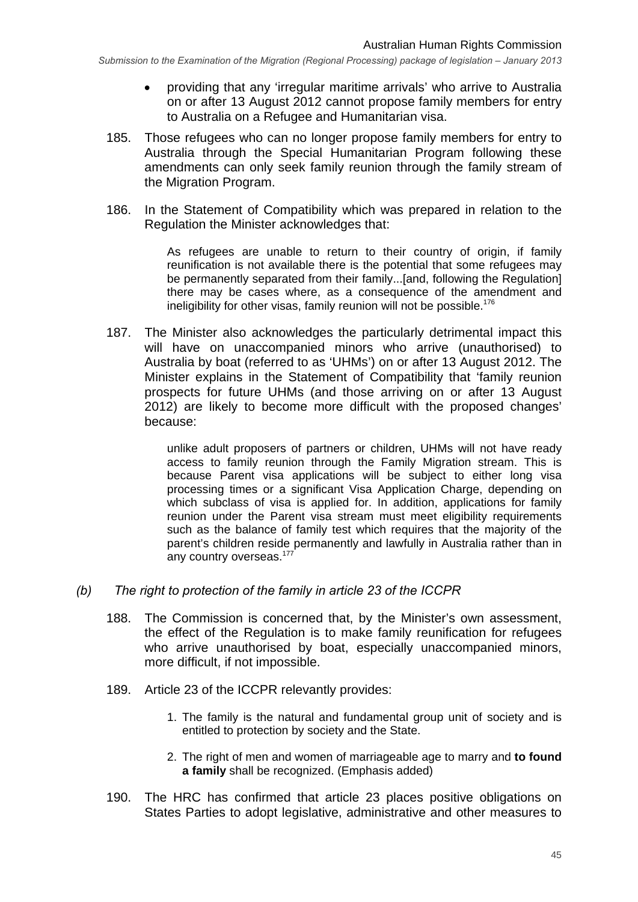- providing that any 'irregular maritime arrivals' who arrive to Australia on or after 13 August 2012 cannot propose family members for entry to Australia on a Refugee and Humanitarian visa.
- 185. Those refugees who can no longer propose family members for entry to Australia through the Special Humanitarian Program following these amendments can only seek family reunion through the family stream of the Migration Program.
- 186. In the Statement of Compatibility which was prepared in relation to the Regulation the Minister acknowledges that:

As refugees are unable to return to their country of origin, if family reunification is not available there is the potential that some refugees may be permanently separated from their family...[and, following the Regulation] there may be cases where, as a consequence of the amendment and ineligibility for other visas, family reunion will not be possible.<sup>176</sup>

187. The Minister also acknowledges the particularly detrimental impact this will have on unaccompanied minors who arrive (unauthorised) to Australia by boat (referred to as 'UHMs') on or after 13 August 2012. The Minister explains in the Statement of Compatibility that 'family reunion prospects for future UHMs (and those arriving on or after 13 August 2012) are likely to become more difficult with the proposed changes' because:

> unlike adult proposers of partners or children, UHMs will not have ready access to family reunion through the Family Migration stream. This is because Parent visa applications will be subject to either long visa processing times or a significant Visa Application Charge, depending on which subclass of visa is applied for. In addition, applications for family reunion under the Parent visa stream must meet eligibility requirements such as the balance of family test which requires that the majority of the parent's children reside permanently and lawfully in Australia rather than in any country overseas.<sup>177</sup>

- *(b) The right to protection of the family in article 23 of the ICCPR* 
	- 188. The Commission is concerned that, by the Minister's own assessment, the effect of the Regulation is to make family reunification for refugees who arrive unauthorised by boat, especially unaccompanied minors, more difficult, if not impossible.
	- 189. Article 23 of the ICCPR relevantly provides:
		- 1. The family is the natural and fundamental group unit of society and is entitled to protection by society and the State.
		- 2. The right of men and women of marriageable age to marry and **to found a family** shall be recognized. (Emphasis added)
	- 190. The HRC has confirmed that article 23 places positive obligations on States Parties to adopt legislative, administrative and other measures to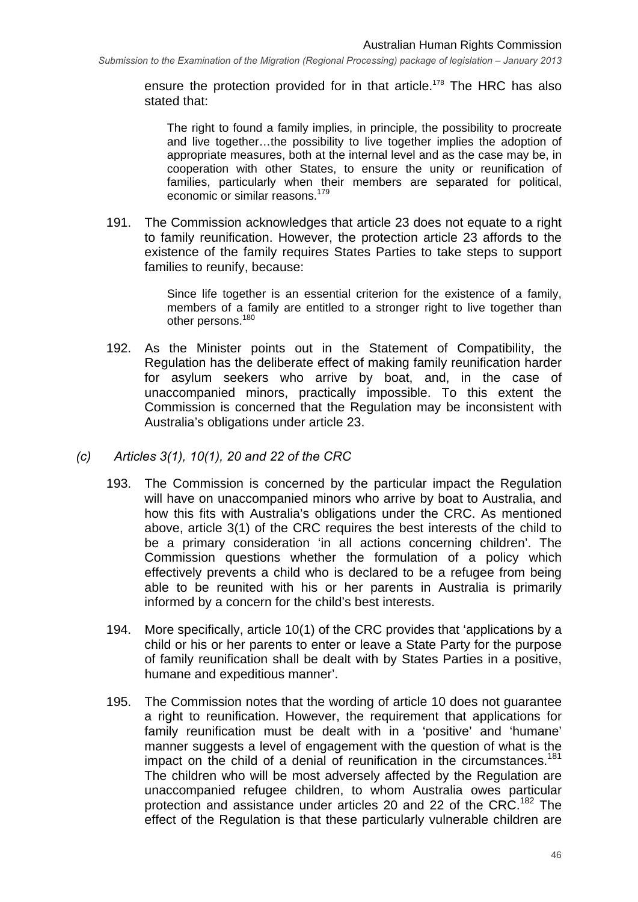ensure the protection provided for in that article.<sup>178</sup> The HRC has also stated that:

The right to found a family implies, in principle, the possibility to procreate and live together…the possibility to live together implies the adoption of appropriate measures, both at the internal level and as the case may be, in cooperation with other States, to ensure the unity or reunification of families, particularly when their members are separated for political, economic or similar reasons.179

191. The Commission acknowledges that article 23 does not equate to a right to family reunification. However, the protection article 23 affords to the existence of the family requires States Parties to take steps to support families to reunify, because:

> Since life together is an essential criterion for the existence of a family, members of a family are entitled to a stronger right to live together than other persons.<sup>180</sup>

- 192. As the Minister points out in the Statement of Compatibility, the Regulation has the deliberate effect of making family reunification harder for asylum seekers who arrive by boat, and, in the case of unaccompanied minors, practically impossible. To this extent the Commission is concerned that the Regulation may be inconsistent with Australia's obligations under article 23.
- *(c) Articles 3(1), 10(1), 20 and 22 of the CRC* 
	- 193. The Commission is concerned by the particular impact the Regulation will have on unaccompanied minors who arrive by boat to Australia, and how this fits with Australia's obligations under the CRC. As mentioned above, article 3(1) of the CRC requires the best interests of the child to be a primary consideration 'in all actions concerning children'. The Commission questions whether the formulation of a policy which effectively prevents a child who is declared to be a refugee from being able to be reunited with his or her parents in Australia is primarily informed by a concern for the child's best interests.
	- 194. More specifically, article 10(1) of the CRC provides that 'applications by a child or his or her parents to enter or leave a State Party for the purpose of family reunification shall be dealt with by States Parties in a positive, humane and expeditious manner'.
	- 195. The Commission notes that the wording of article 10 does not guarantee a right to reunification. However, the requirement that applications for family reunification must be dealt with in a 'positive' and 'humane' manner suggests a level of engagement with the question of what is the impact on the child of a denial of reunification in the circumstances.<sup>181</sup> The children who will be most adversely affected by the Regulation are unaccompanied refugee children, to whom Australia owes particular protection and assistance under articles 20 and 22 of the CRC.<sup>182</sup> The effect of the Regulation is that these particularly vulnerable children are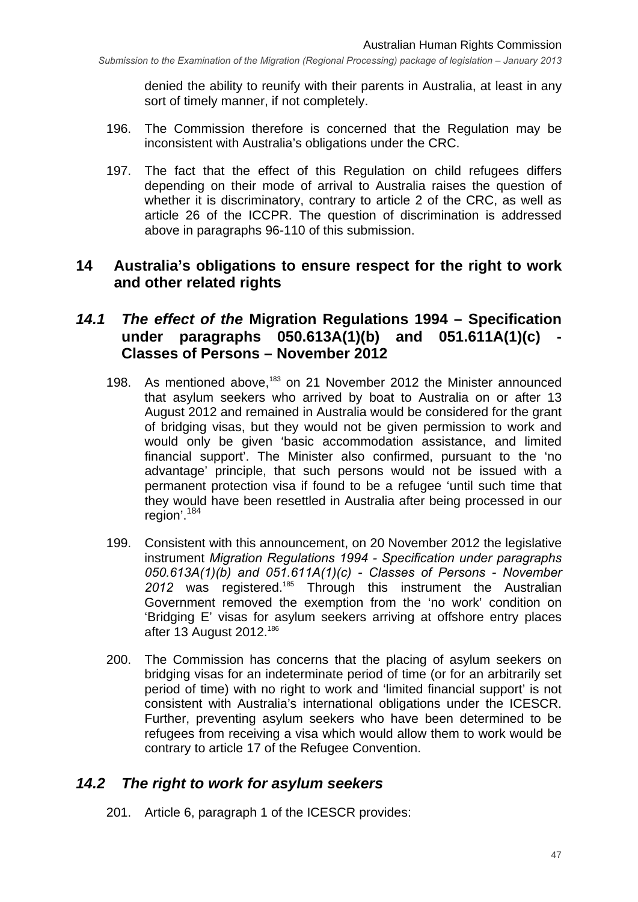denied the ability to reunify with their parents in Australia, at least in any sort of timely manner, if not completely.

- 196. The Commission therefore is concerned that the Regulation may be inconsistent with Australia's obligations under the CRC.
- 197. The fact that the effect of this Regulation on child refugees differs depending on their mode of arrival to Australia raises the question of whether it is discriminatory, contrary to article 2 of the CRC, as well as article 26 of the ICCPR. The question of discrimination is addressed above in paragraphs 96-110 of this submission.

## **14 Australia's obligations to ensure respect for the right to work and other related rights**

## *14.1 The effect of the* **Migration Regulations 1994 – Specification**  under paragraphs 050.613A(1)(b) and 051.611A(1)(c) **Classes of Persons – November 2012**

- 198. As mentioned above,<sup>183</sup> on 21 November 2012 the Minister announced that asylum seekers who arrived by boat to Australia on or after 13 August 2012 and remained in Australia would be considered for the grant of bridging visas, but they would not be given permission to work and would only be given 'basic accommodation assistance, and limited financial support'. The Minister also confirmed, pursuant to the 'no advantage' principle, that such persons would not be issued with a permanent protection visa if found to be a refugee 'until such time that they would have been resettled in Australia after being processed in our region'.<sup>184</sup>
- 199. Consistent with this announcement, on 20 November 2012 the legislative instrument *Migration Regulations 1994 - Specification under paragraphs 050.613A(1)(b) and 051.611A(1)(c) - Classes of Persons - November*  2012 was registered.<sup>185</sup> Through this instrument the Australian Government removed the exemption from the 'no work' condition on 'Bridging E' visas for asylum seekers arriving at offshore entry places after 13 August 2012.186
- 200. The Commission has concerns that the placing of asylum seekers on bridging visas for an indeterminate period of time (or for an arbitrarily set period of time) with no right to work and 'limited financial support' is not consistent with Australia's international obligations under the ICESCR. Further, preventing asylum seekers who have been determined to be refugees from receiving a visa which would allow them to work would be contrary to article 17 of the Refugee Convention.

## *14.2 The right to work for asylum seekers*

201. Article 6, paragraph 1 of the ICESCR provides: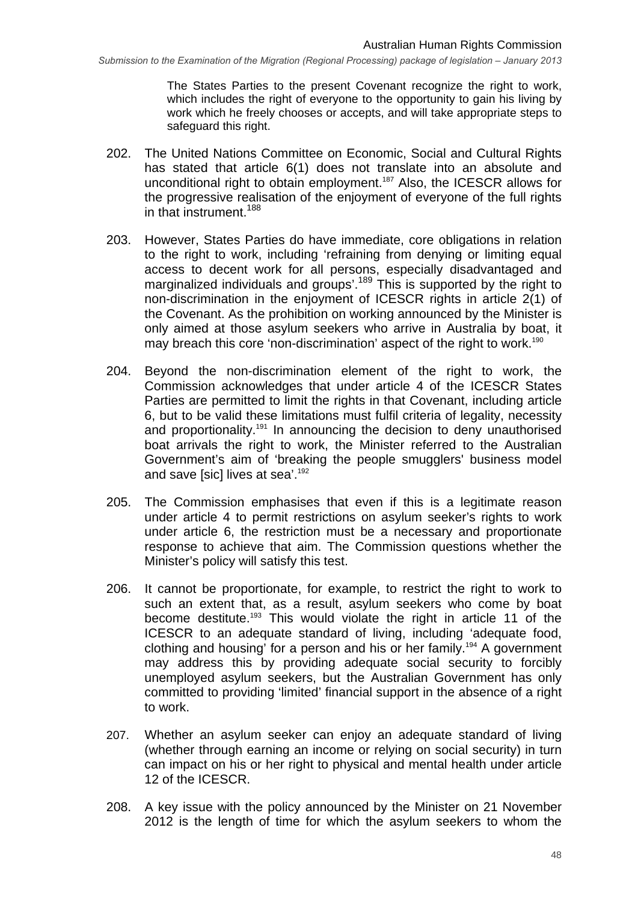The States Parties to the present Covenant recognize the right to work, which includes the right of everyone to the opportunity to gain his living by work which he freely chooses or accepts, and will take appropriate steps to safeguard this right.

- 202. The United Nations Committee on Economic, Social and Cultural Rights has stated that article 6(1) does not translate into an absolute and unconditional right to obtain employment.<sup>187</sup> Also, the ICESCR allows for the progressive realisation of the enjoyment of everyone of the full rights in that instrument.<sup>188</sup>
- 203. However, States Parties do have immediate, core obligations in relation to the right to work, including 'refraining from denying or limiting equal access to decent work for all persons, especially disadvantaged and marginalized individuals and groups'.<sup>189</sup> This is supported by the right to non-discrimination in the enjoyment of ICESCR rights in article 2(1) of the Covenant. As the prohibition on working announced by the Minister is only aimed at those asylum seekers who arrive in Australia by boat, it may breach this core 'non-discrimination' aspect of the right to work.<sup>190</sup>
- 204. Beyond the non-discrimination element of the right to work, the Commission acknowledges that under article 4 of the ICESCR States Parties are permitted to limit the rights in that Covenant, including article 6, but to be valid these limitations must fulfil criteria of legality, necessity and proportionality.<sup>191</sup> In announcing the decision to deny unauthorised boat arrivals the right to work, the Minister referred to the Australian Government's aim of 'breaking the people smugglers' business model and save [sic] lives at sea'.<sup>192</sup>
- 205. The Commission emphasises that even if this is a legitimate reason under article 4 to permit restrictions on asylum seeker's rights to work under article 6, the restriction must be a necessary and proportionate response to achieve that aim. The Commission questions whether the Minister's policy will satisfy this test.
- 206. It cannot be proportionate, for example, to restrict the right to work to such an extent that, as a result, asylum seekers who come by boat become destitute.<sup>193</sup> This would violate the right in article 11 of the ICESCR to an adequate standard of living, including 'adequate food, clothing and housing' for a person and his or her family.194 A government may address this by providing adequate social security to forcibly unemployed asylum seekers, but the Australian Government has only committed to providing 'limited' financial support in the absence of a right to work.
- 207. Whether an asylum seeker can enjoy an adequate standard of living (whether through earning an income or relying on social security) in turn can impact on his or her right to physical and mental health under article 12 of the ICESCR.
- 208. A key issue with the policy announced by the Minister on 21 November 2012 is the length of time for which the asylum seekers to whom the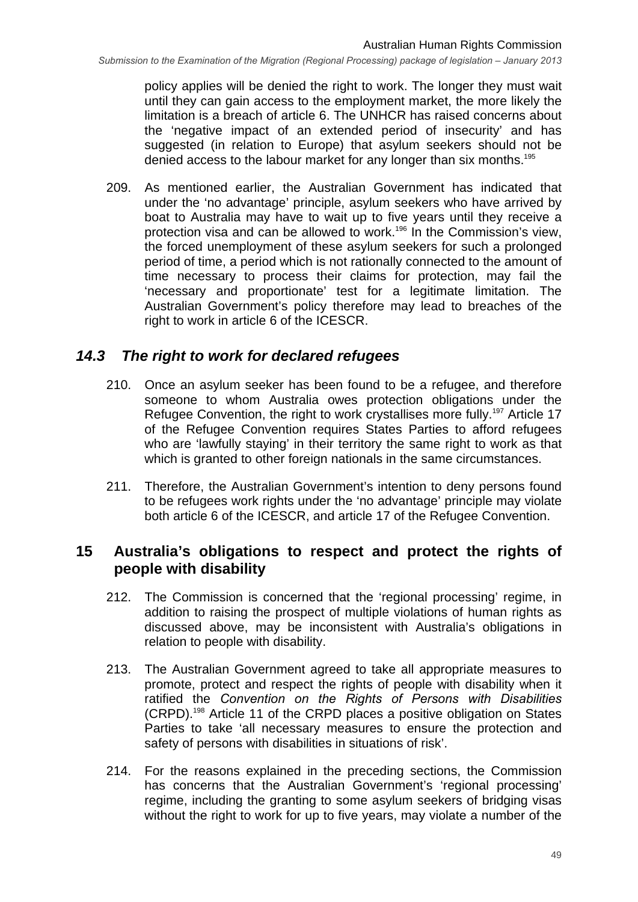policy applies will be denied the right to work. The longer they must wait until they can gain access to the employment market, the more likely the limitation is a breach of article 6. The UNHCR has raised concerns about the 'negative impact of an extended period of insecurity' and has suggested (in relation to Europe) that asylum seekers should not be denied access to the labour market for any longer than six months.<sup>195</sup>

209. As mentioned earlier, the Australian Government has indicated that under the 'no advantage' principle, asylum seekers who have arrived by boat to Australia may have to wait up to five years until they receive a protection visa and can be allowed to work.196 In the Commission's view, the forced unemployment of these asylum seekers for such a prolonged period of time, a period which is not rationally connected to the amount of time necessary to process their claims for protection, may fail the 'necessary and proportionate' test for a legitimate limitation. The Australian Government's policy therefore may lead to breaches of the right to work in article 6 of the ICESCR.

#### *14.3 The right to work for declared refugees*

- 210. Once an asylum seeker has been found to be a refugee, and therefore someone to whom Australia owes protection obligations under the Refugee Convention, the right to work crystallises more fully.<sup>197</sup> Article 17 of the Refugee Convention requires States Parties to afford refugees who are 'lawfully staying' in their territory the same right to work as that which is granted to other foreign nationals in the same circumstances.
- 211. Therefore, the Australian Government's intention to deny persons found to be refugees work rights under the 'no advantage' principle may violate both article 6 of the ICESCR, and article 17 of the Refugee Convention.

#### **15 Australia's obligations to respect and protect the rights of people with disability**

- 212. The Commission is concerned that the 'regional processing' regime, in addition to raising the prospect of multiple violations of human rights as discussed above, may be inconsistent with Australia's obligations in relation to people with disability.
- 213. The Australian Government agreed to take all appropriate measures to promote, protect and respect the rights of people with disability when it ratified the *Convention on the Rights of Persons with Disabilities* (CRPD).198 Article 11 of the CRPD places a positive obligation on States Parties to take 'all necessary measures to ensure the protection and safety of persons with disabilities in situations of risk'.
- 214. For the reasons explained in the preceding sections, the Commission has concerns that the Australian Government's 'regional processing' regime, including the granting to some asylum seekers of bridging visas without the right to work for up to five years, may violate a number of the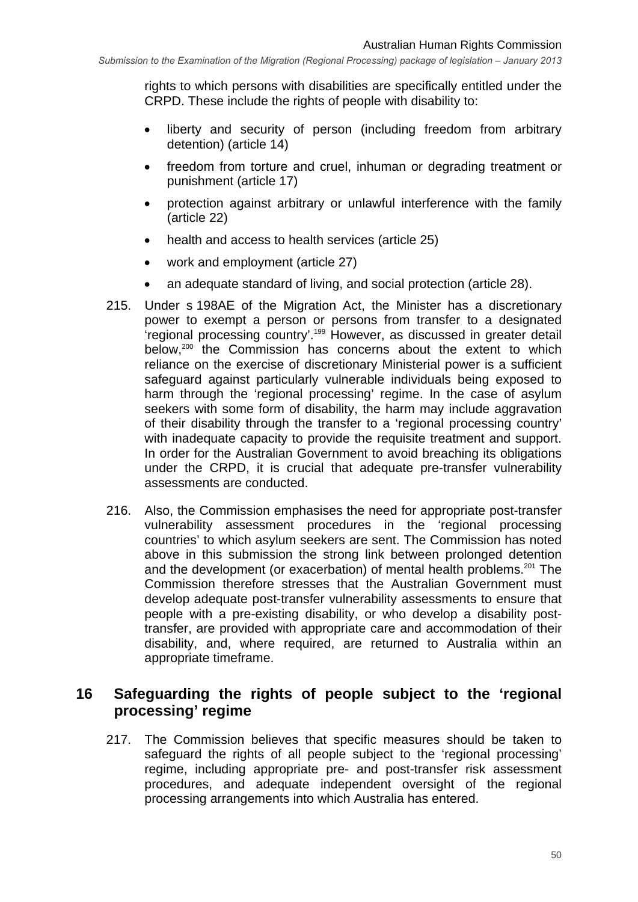rights to which persons with disabilities are specifically entitled under the CRPD. These include the rights of people with disability to:

- liberty and security of person (including freedom from arbitrary detention) (article 14)
- freedom from torture and cruel, inhuman or degrading treatment or punishment (article 17)
- protection against arbitrary or unlawful interference with the family (article 22)
- health and access to health services (article 25)
- work and employment (article 27)
- an adequate standard of living, and social protection (article 28).
- 215. Under s 198AE of the Migration Act, the Minister has a discretionary power to exempt a person or persons from transfer to a designated 'regional processing country'.199 However, as discussed in greater detail below,<sup>200</sup> the Commission has concerns about the extent to which reliance on the exercise of discretionary Ministerial power is a sufficient safeguard against particularly vulnerable individuals being exposed to harm through the 'regional processing' regime. In the case of asylum seekers with some form of disability, the harm may include aggravation of their disability through the transfer to a 'regional processing country' with inadequate capacity to provide the requisite treatment and support. In order for the Australian Government to avoid breaching its obligations under the CRPD, it is crucial that adequate pre-transfer vulnerability assessments are conducted.
- 216. Also, the Commission emphasises the need for appropriate post-transfer vulnerability assessment procedures in the 'regional processing countries' to which asylum seekers are sent. The Commission has noted above in this submission the strong link between prolonged detention and the development (or exacerbation) of mental health problems.<sup>201</sup> The Commission therefore stresses that the Australian Government must develop adequate post-transfer vulnerability assessments to ensure that people with a pre-existing disability, or who develop a disability posttransfer, are provided with appropriate care and accommodation of their disability, and, where required, are returned to Australia within an appropriate timeframe.

## **16 Safeguarding the rights of people subject to the 'regional processing' regime**

217. The Commission believes that specific measures should be taken to safeguard the rights of all people subject to the 'regional processing' regime, including appropriate pre- and post-transfer risk assessment procedures, and adequate independent oversight of the regional processing arrangements into which Australia has entered.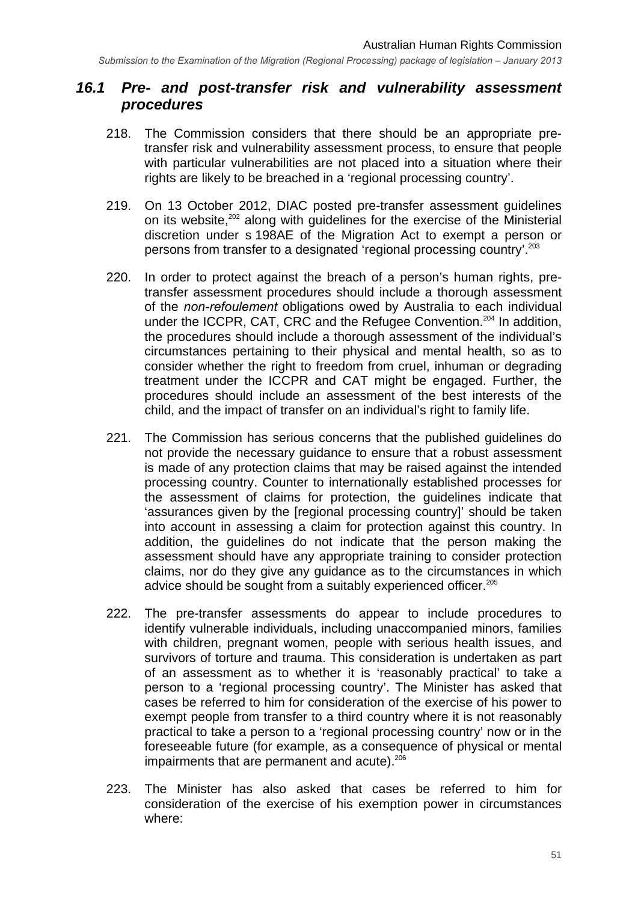#### *16.1 Pre- and post-transfer risk and vulnerability assessment procedures*

- 218. The Commission considers that there should be an appropriate pretransfer risk and vulnerability assessment process, to ensure that people with particular vulnerabilities are not placed into a situation where their rights are likely to be breached in a 'regional processing country'.
- 219. On 13 October 2012, DIAC posted pre-transfer assessment guidelines on its website, $202$  along with guidelines for the exercise of the Ministerial discretion under s 198AE of the Migration Act to exempt a person or persons from transfer to a designated 'regional processing country'.203
- 220. In order to protect against the breach of a person's human rights, pretransfer assessment procedures should include a thorough assessment of the *non-refoulement* obligations owed by Australia to each individual under the ICCPR, CAT, CRC and the Refugee Convention.<sup>204</sup> In addition, the procedures should include a thorough assessment of the individual's circumstances pertaining to their physical and mental health, so as to consider whether the right to freedom from cruel, inhuman or degrading treatment under the ICCPR and CAT might be engaged. Further, the procedures should include an assessment of the best interests of the child, and the impact of transfer on an individual's right to family life.
- 221. The Commission has serious concerns that the published guidelines do not provide the necessary guidance to ensure that a robust assessment is made of any protection claims that may be raised against the intended processing country. Counter to internationally established processes for the assessment of claims for protection, the guidelines indicate that 'assurances given by the [regional processing country]' should be taken into account in assessing a claim for protection against this country. In addition, the guidelines do not indicate that the person making the assessment should have any appropriate training to consider protection claims, nor do they give any guidance as to the circumstances in which advice should be sought from a suitably experienced officer.<sup>205</sup>
- 222. The pre-transfer assessments do appear to include procedures to identify vulnerable individuals, including unaccompanied minors, families with children, pregnant women, people with serious health issues, and survivors of torture and trauma. This consideration is undertaken as part of an assessment as to whether it is 'reasonably practical' to take a person to a 'regional processing country'. The Minister has asked that cases be referred to him for consideration of the exercise of his power to exempt people from transfer to a third country where it is not reasonably practical to take a person to a 'regional processing country' now or in the foreseeable future (for example, as a consequence of physical or mental impairments that are permanent and acute). $206$
- 223. The Minister has also asked that cases be referred to him for consideration of the exercise of his exemption power in circumstances where: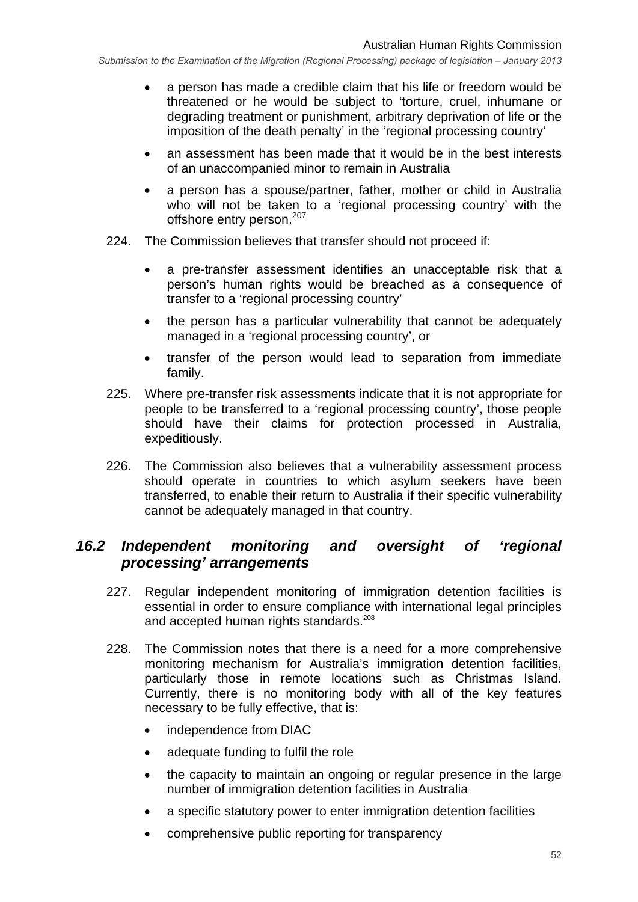- a person has made a credible claim that his life or freedom would be threatened or he would be subject to 'torture, cruel, inhumane or degrading treatment or punishment, arbitrary deprivation of life or the imposition of the death penalty' in the 'regional processing country'
- an assessment has been made that it would be in the best interests of an unaccompanied minor to remain in Australia
- a person has a spouse/partner, father, mother or child in Australia who will not be taken to a 'regional processing country' with the offshore entry person.<sup>207</sup>
- 224. The Commission believes that transfer should not proceed if:
	- a pre-transfer assessment identifies an unacceptable risk that a person's human rights would be breached as a consequence of transfer to a 'regional processing country'
	- the person has a particular vulnerability that cannot be adequately managed in a 'regional processing country', or
	- transfer of the person would lead to separation from immediate family.
- 225. Where pre-transfer risk assessments indicate that it is not appropriate for people to be transferred to a 'regional processing country', those people should have their claims for protection processed in Australia, expeditiously.
- 226. The Commission also believes that a vulnerability assessment process should operate in countries to which asylum seekers have been transferred, to enable their return to Australia if their specific vulnerability cannot be adequately managed in that country.

#### *16.2 Independent monitoring and oversight of 'regional processing' arrangements*

- 227. Regular independent monitoring of immigration detention facilities is essential in order to ensure compliance with international legal principles and accepted human rights standards.<sup>208</sup>
- 228. The Commission notes that there is a need for a more comprehensive monitoring mechanism for Australia's immigration detention facilities, particularly those in remote locations such as Christmas Island. Currently, there is no monitoring body with all of the key features necessary to be fully effective, that is:
	- independence from DIAC
	- adequate funding to fulfil the role
	- the capacity to maintain an ongoing or regular presence in the large number of immigration detention facilities in Australia
	- a specific statutory power to enter immigration detention facilities
	- comprehensive public reporting for transparency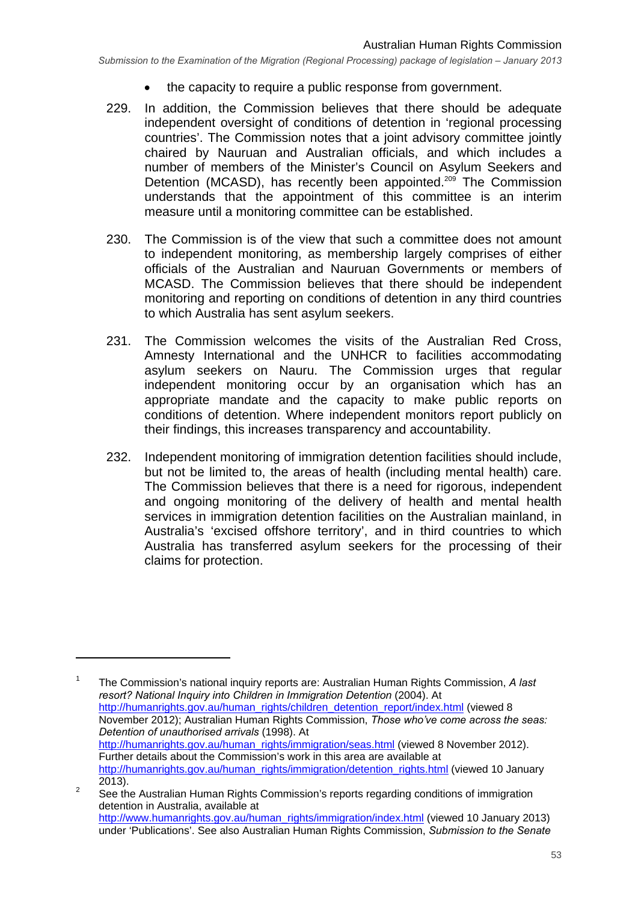- the capacity to require a public response from government.
- 229. In addition, the Commission believes that there should be adequate independent oversight of conditions of detention in 'regional processing countries'. The Commission notes that a joint advisory committee jointly chaired by Nauruan and Australian officials, and which includes a number of members of the Minister's Council on Asylum Seekers and Detention (MCASD), has recently been appointed.<sup>209</sup> The Commission understands that the appointment of this committee is an interim measure until a monitoring committee can be established.
- 230. The Commission is of the view that such a committee does not amount to independent monitoring, as membership largely comprises of either officials of the Australian and Nauruan Governments or members of MCASD. The Commission believes that there should be independent monitoring and reporting on conditions of detention in any third countries to which Australia has sent asylum seekers.
- 231. The Commission welcomes the visits of the Australian Red Cross, Amnesty International and the UNHCR to facilities accommodating asylum seekers on Nauru. The Commission urges that regular independent monitoring occur by an organisation which has an appropriate mandate and the capacity to make public reports on conditions of detention. Where independent monitors report publicly on their findings, this increases transparency and accountability.
- 232. Independent monitoring of immigration detention facilities should include, but not be limited to, the areas of health (including mental health) care. The Commission believes that there is a need for rigorous, independent and ongoing monitoring of the delivery of health and mental health services in immigration detention facilities on the Australian mainland, in Australia's 'excised offshore territory', and in third countries to which Australia has transferred asylum seekers for the processing of their claims for protection.

1 The Commission's national inquiry reports are: Australian Human Rights Commission, *A last resort? National Inquiry into Children in Immigration Detention* (2004). At http://humanrights.gov.au/human\_rights/children\_detention\_report/index.html (viewed 8 November 2012); Australian Human Rights Commission, *Those who've come across the seas: Detention of unauthorised arrivals* (1998). At http://humanrights.gov.au/human\_rights/immigration/seas.html (viewed 8 November 2012). Further details about the Commission's work in this area are available at http://humanrights.gov.au/human\_rights/immigration/detention\_rights.html (viewed 10 January  $2013$ ).

See the Australian Human Rights Commission's reports regarding conditions of immigration detention in Australia, available at http://www.humanrights.gov.au/human\_rights/immigration/index.html (viewed 10 January 2013) under 'Publications'. See also Australian Human Rights Commission, *Submission to the Senate*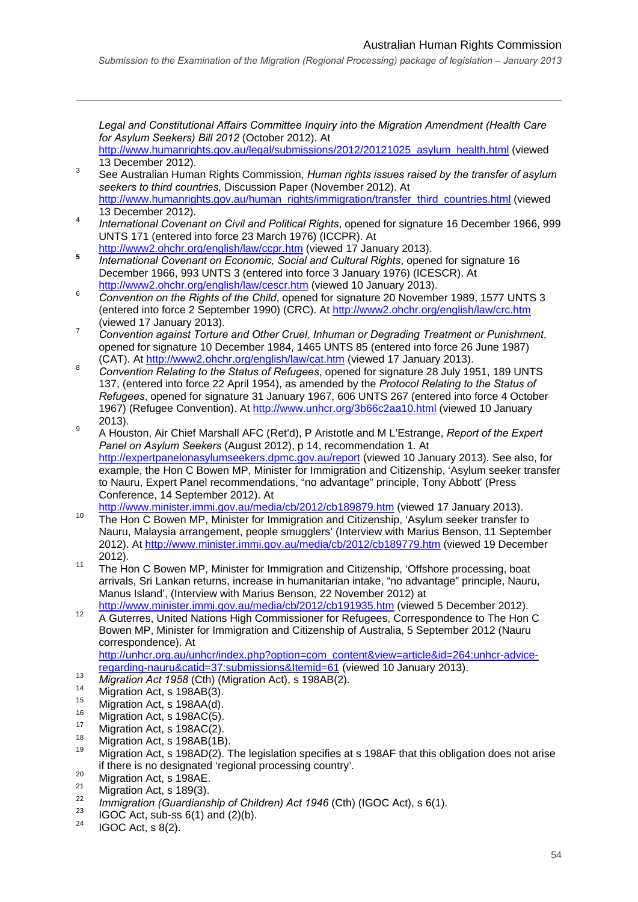#### Australian Human Rights Commission

*Legal and Constitutional Affairs Committee Inquiry into the Migration Amendment (Health Care for Asylum Seekers) Bill 2012* (October 2012). At

- http://www.humanrights.gov.au/legal/submissions/2012/20121025\_asylum\_health.html (viewed 13 December 2012).
- See Australian Human Rights Commission, *Human rights issues raised by the transfer of asylum seekers to third countries,* Discussion Paper (November 2012). At http://www.humanrights.gov.au/human\_rights/immigration/transfer\_third\_countries.html (viewed 13 December 2012).
- *International Covenant on Civil and Political Rights*, opened for signature 16 December 1966, 999 UNTS 171 (entered into force 23 March 1976) (ICCPR). At
- http://www2.ohchr.org/english/law/ccpr.htm (viewed 17 January 2013). **<sup>5</sup>** *International Covenant on Economic, Social and Cultural Rights*, opened for signature 16 December 1966, 993 UNTS 3 (entered into force 3 January 1976) (ICESCR). At
- http://www2.ohchr.org/english/law/cescr.htm (viewed 10 January 2013). *Convention on the Rights of the Child*, opened for signature 20 November 1989, 1577 UNTS 3 (entered into force 2 September 1990) (CRC). At http://www2.ohchr.org/english/law/crc.htm (viewed 17 January 2013).
- *Convention against Torture and Other Cruel, Inhuman or Degrading Treatment or Punishment*, opened for signature 10 December 1984, 1465 UNTS 85 (entered into force 26 June 1987) (CAT). At http://www2.ohchr.org/english/law/cat.htm (viewed 17 January 2013).
- *Convention Relating to the Status of Refugees*, opened for signature 28 July 1951, 189 UNTS 137, (entered into force 22 April 1954), as amended by the *Protocol Relating to the Status of Refugees*, opened for signature 31 January 1967, 606 UNTS 267 (entered into force 4 October 1967) (Refugee Convention). At http://www.unhcr.org/3b66c2aa10.html (viewed 10 January  $^{9}$  2013).
- A Houston, Air Chief Marshall AFC (Ret'd), P Aristotle and M L'Estrange, *Report of the Expert Panel on Asylum Seekers* (August 2012), p 14, recommendation 1. At http://expertpanelonasylumseekers.dpmc.gov.au/report (viewed 10 January 2013). See also, for example, the Hon C Bowen MP, Minister for Immigration and Citizenship, 'Asylum seeker transfer to Nauru, Expert Panel recommendations, "no advantage" principle, Tony Abbott' (Press Conference, 14 September 2012). At
- http://www.minister.immi.gov.au/media/cb/2012/cb189879.htm (viewed 17 January 2013).<br><sup>10</sup> The Hon C Bowen MP, Minister for Immigration and Citizenship, 'Asylum seeker transfer to Nauru, Malaysia arrangement, people smugglers' (Interview with Marius Benson, 11 September 2012). At http://www.minister.immi.gov.au/media/cb/2012/cb189779.htm (viewed 19 December
- 2012).<br><sup>11</sup> The Hon C Bowen MP, Minister for Immigration and Citizenship, 'Offshore processing, boat arrivals, Sri Lankan returns, increase in humanitarian intake, "no advantage" principle, Nauru, Manus Island', (Interview with Marius Benson, 22 November 2012) at http://www.minister.immi.gov.au/media/cb/2012/cb191935.htm (viewed 5 December 2012).
- http://www.minister.immi.gov.au/media/cb/2012/cb191935.htm (viewed 5 December 2012).<br>A Guterres, United Nations High Commissioner for Refugees, Correspondence to The Hon C Bowen MP, Minister for Immigration and Citizenship of Australia, 5 September 2012 (Nauru correspondence). At

http://unhcr.org.au/unhcr/index.php?option=com\_content&view=article&id=264:unhcr-advice-

- 
- 

- 
- 
- 
- 
- regarding-nauru&catid=37:submissions&Itemid=61 (viewed 10 January 2013).<br> *Migration Act 1958* (Cth) (Migration Act), s 198AB(2).<br>
Migration Act, s 198AB(3).<br>
Migration Act, s 198AA(d).<br>
<sup>16</sup><br>
Migration Act, s 198AC(5).<br>
- 
- 
- if there is no designated 'regional processing country'.<br>
<sup>20</sup> Migration Act, s 198AE.<br>
<sup>21</sup> Migration Act, s 189(3).<br> *mmigration (Guardianship of Children) Act 1946 (Cth) (IGOC Act), s 6(1).*<br>
<sup>22</sup> IGOC Act, sub-ss 6(1)
- 
-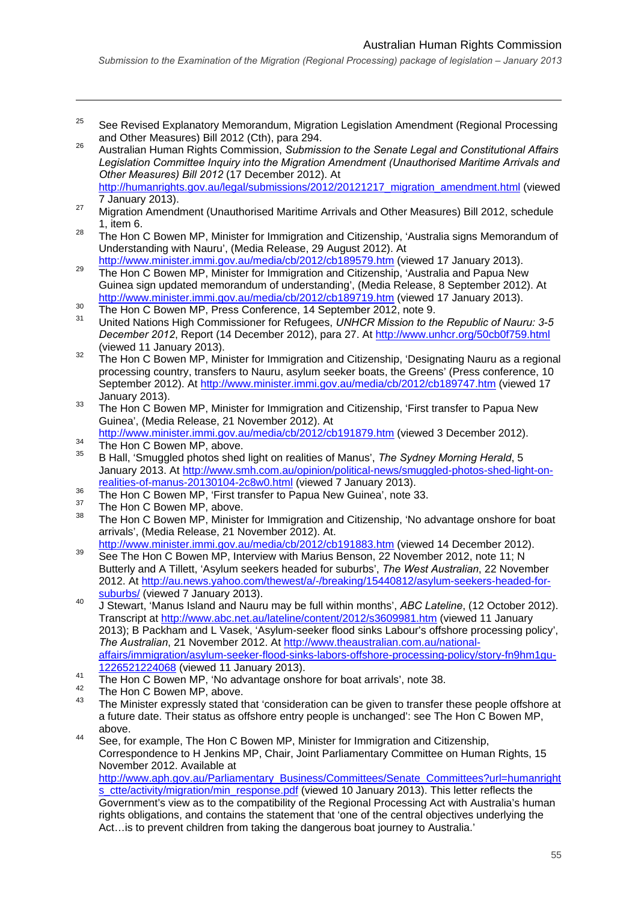#### Australian Human Rights Commission

- <sup>25</sup> See Revised Explanatory Memorandum, Migration Legislation Amendment (Regional Processing and Other Measures) Bill 2012 (Cth), para 294. 26 Australian Human Rights Commission, *Submission to the Senate Legal and Constitutional Affairs*
- *Legislation Committee Inquiry into the Migration Amendment (Unauthorised Maritime Arrivals and Other Measures) Bill 2012* (17 December 2012). At
- http://humanrights.gov.au/legal/submissions/2012/20121217\_migration\_amendment.html (viewed 7 January 2013). 27 Migration Amendment (Unauthorised Maritime Arrivals and Other Measures) Bill 2012, schedule
- 1, item 6.
- <sup>28</sup> The Hon C Bowen MP, Minister for Immigration and Citizenship, 'Australia signs Memorandum of Understanding with Nauru', (Media Release, 29 August 2012). At
- http://www.minister.immi.gov.au/media/cb/2012/cb189579.htm (viewed 17 January 2013).<br>The Hon C Bowen MP, Minister for Immigration and Citizenship, 'Australia and Papua New Guinea sign updated memorandum of understanding', (Media Release, 8 September 2012). At http://www.minister.immi.gov.au/media/cb/2012/cb189719.htm (viewed 17 January 2013).<br>The Hon C Bowen MP, Press Conference, 14 September 2012, note 9.<br>United Nations High Commissioner for Refugees, UNHCR Mission to the Repu
- 
- *December 2012*, Report (14 December 2012), para 27. At http://www.unhcr.org/50cb0f759.html
- (viewed 11 January 2013). 32 The Hon C Bowen MP, Minister for Immigration and Citizenship, 'Designating Nauru as a regional processing country, transfers to Nauru, asylum seeker boats, the Greens' (Press conference, 10 September 2012). At http://www.minister.immi.gov.au/media/cb/2012/cb189747.htm (viewed 17
- January 2013).<br>33 The Hon C Bowen MP, Minister for Immigration and Citizenship, 'First transfer to Papua New Guinea', (Media Release, 21 November 2012). At
- http://www.minister.immi.gov.au/media/cb/2012/cb191879.htm (viewed 3 December 2012).<br>The Hon C Bowen MP, above.<br><sup>35</sup> D Hell (O Bowen MP, above.
- 

1

- 35 B Hall, 'Smuggled photos shed light on realities of Manus', *The Sydney Morning Herald*, 5 January 2013. At http://www.smh.com.au/opinion/political-news/smuggled-photos-shed-light-on-
- realities-of-manus-20130104-2c8w0.html (viewed 7 January 2013).<br>
The Hon C Bowen MP, 'First transfer to Papua New Guinea', note 33.<br>
The Hon C Bowen MP, above.
- 
- The Hon C Bowen MP, Minister for Immigration and Citizenship, 'No advantage onshore for boat arrivals', (Media Release, 21 November 2012). At.<br>http://www.minister.immi.gov.au/media/cb/2012/cb191883.htm (viewed 14 December 2012).
- http://www.minister.immi.gov.au/media/com/2012/com/2012.note 11: N<br>See The Hon C Bowen MP, Interview with Marius Benson, 22 November 2012, note 11: N Butterly and A Tillett, 'Asylum seekers headed for suburbs', *The West Australian*, 22 November 2012. At http://au.news.yahoo.com/thewest/a/-/breaking/15440812/asylum-seekers-headed-for-
- suburbs/ (viewed 7 January 2013). 40 J Stewart, 'Manus Island and Nauru may be full within months', *ABC Lateline*, (12 October 2012). Transcript at http://www.abc.net.au/lateline/content/2012/s3609981.htm (viewed 11 January 2013); B Packham and L Vasek, 'Asylum-seeker flood sinks Labour's offshore processing policy', *The Australian*, 21 November 2012. At http://www.theaustralian.com.au/nationalaffairs/immigration/asylum-seeker-flood-sinks-labors-offshore-processing-policy/story-fn9hm1gu-
- 1226521224068 (viewed 11 January 2013).<br>The Hon C Bowen MP, 'No advantage onshore for boat arrivals', note 38.
- $^{42}$  The Hon C Bowen MP, above.
- The Minister expressly stated that 'consideration can be given to transfer these people offshore at a future date. Their status as offshore entry people is unchanged': see The Hon C Bowen MP, above.
- 44 See, for example, The Hon C Bowen MP, Minister for Immigration and Citizenship, Correspondence to H Jenkins MP, Chair, Joint Parliamentary Committee on Human Rights, 15 November 2012. Available at

http://www.aph.gov.au/Parliamentary\_Business/Committees/Senate\_Committees?url=humanright s\_ctte/activity/migration/min\_response.pdf (viewed 10 January 2013). This letter reflects the Government's view as to the compatibility of the Regional Processing Act with Australia's human rights obligations, and contains the statement that 'one of the central objectives underlying the Act... is to prevent children from taking the dangerous boat journey to Australia.'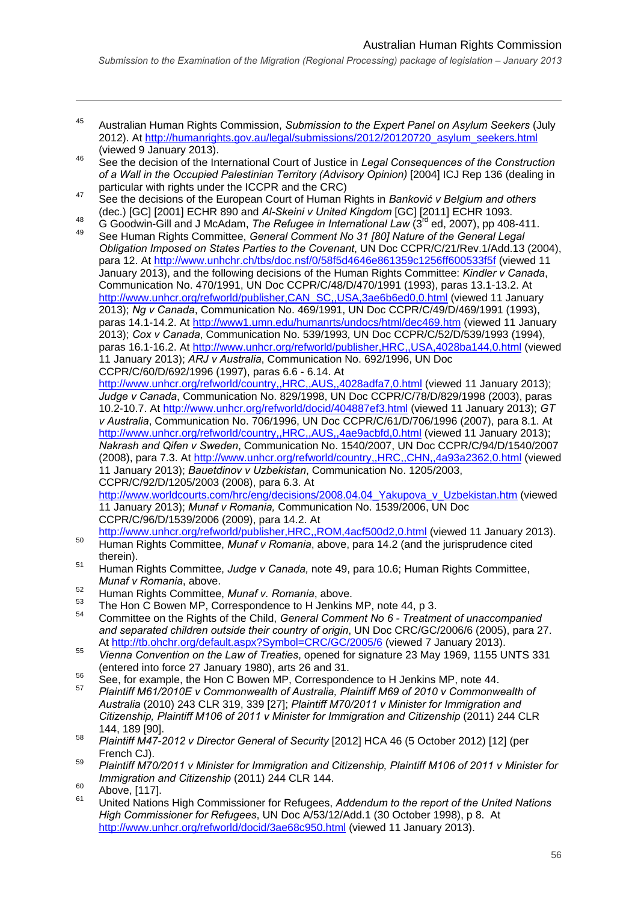- 45 Australian Human Rights Commission, *Submission to the Expert Panel on Asylum Seekers* (July 2012). At http://humanrights.gov.au/legal/submissions/2012/20120720\_asylum\_seekers.html
- (viewed 9 January 2013). 46 See the decision of the International Court of Justice in *Legal Consequences of the Construction of a Wall in the Occupied Palestinian Territory (Advisory Opinion)* [2004] ICJ Rep 136 (dealing in
- particular with rights under the ICCPR and the CRC)<br>
See the decisions of the European Court of Human Rights in *Banković v Belgium and others*<br>
(dec.) [GC] [2001] ECHR 890 and *Al-Skeini v United Kingdom* [GC] [2011] EC
- 48 G Goodwin-Gill and J McAdam, The Refugee in International Law (3<sup>rd</sup> ed, 2007), pp 408-411.<br>49 See Human Rights Committee, General Comment No 31 [80] Nature of the General Legal

*Obligation Imposed on States Parties to the Covenant*, UN Doc CCPR/C/21/Rev.1/Add.13 (2004), para 12. At http://www.unhchr.ch/tbs/doc.nsf/0/58f5d4646e861359c1256ff600533f5f (viewed 11 January 2013), and the following decisions of the Human Rights Committee: *Kindler v Canada*, Communication No. 470/1991, UN Doc CCPR/C/48/D/470/1991 (1993), paras 13.1-13.2. At http://www.unhcr.org/refworld/publisher,CAN\_SC,,USA,3ae6b6ed0,0.html (viewed 11 January 2013); *Ng v Canada*, Communication No. 469/1991, UN Doc CCPR/C/49/D/469/1991 (1993), paras 14.1-14.2. At http://www1.umn.edu/humanrts/undocs/html/dec469.htm (viewed 11 January 2013); *Cox v Canada*, Communication No. 539/1993*,* UN Doc CCPR/C/52/D/539/1993 (1994), paras 16.1-16.2. At http://www.unhcr.org/refworld/publisher,HRC,,USA,4028ba144,0.html (viewed 11 January 2013); *ARJ v Australia*, Communication No. 692/1996, UN Doc CCPR/C/60/D/692/1996 (1997), paras 6.6 - 6.14. At

http://www.unhcr.org/refworld/country,,HRC,,AUS,,4028adfa7,0.html (viewed 11 January 2013); *Judge v Canada*, Communication No. 829/1998, UN Doc CCPR/C/78/D/829/1998 (2003), paras 10.2-10.7. At http://www.unhcr.org/refworld/docid/404887ef3.html (viewed 11 January 2013); *GT v Australia*, Communication No. 706/1996, UN Doc CCPR/C/61/D/706/1996 (2007), para 8.1. At http://www.unhcr.org/refworld/country,,HRC,,AUS,,4ae9acbfd,0.html (viewed 11 January 2013); *Nakrash and Qifen v Sweden*, Communication No. 1540/2007, UN Doc CCPR/C/94/D/1540/2007 (2008), para 7.3. At http://www.unhcr.org/refworld/country,,HRC,,CHN,,4a93a2362,0.html (viewed 11 January 2013); *Bauetdinov v Uzbekistan*, Communication No. 1205/2003, CCPR/C/92/D/1205/2003 (2008), para 6.3. At

http://www.worldcourts.com/hrc/eng/decisions/2008.04.04\_Yakupova\_v\_Uzbekistan.htm (viewed 11 January 2013); *Munaf v Romania,* Communication No. 1539/2006, UN Doc CCPR/C/96/D/1539/2006 (2009), para 14.2. At

- http://www.unhcr.org/refworld/publisher,HRC,,ROM,4acf500d2,0.html (viewed 11 January 2013). 50 Human Rights Committee, *Munaf v Romania*, above, para 14.2 (and the jurisprudence cited
- therein). 51 Human Rights Committee, *Judge v Canada,* note 49, para 10.6; Human Rights Committee, *Munaf v Romania*, above.
- 
- 52 Human Rights Committee, *Munaf v. Romania*, above.
- <sup>54</sup> Committee on the Rights of the Child, *General Comment No 6 Treatment of unaccompanied* and separated children outside their country of origin, UN Doc CRC/GC/2006/6 (2005), para 27.<br>At http://tb.ohchr.org/default.aspx?Symbol=CRC/GC/2005/6 (viewed 7 January 2013).
- <sup>55</sup> Vienna Convention on the Law of Treaties, opened for signature 23 May 1969, 1155 UNTS 331
- (entered into force 27 January 1980), arts 26 and 31.<br>
See, for example, the Hon C Bowen MP, Correspondence to H Jenkins MP, note 44.<br>  $\frac{57}{2}$
- 57 *Plaintiff M61/2010E v Commonwealth of Australia, Plaintiff M69 of 2010 v Commonwealth of Australia* (2010) 243 CLR 319, 339 [27]; *Plaintiff M70/2011 v Minister for Immigration and Citizenship, Plaintiff M106 of 2011 v Minister for Immigration and Citizenship* (2011) 244 CLR 144, 189 [90].
- 58 *Plaintiff M47-2012 v Director General of Security* [2012] HCA 46 (5 October 2012) [12] (per
- French CJ). 59 *Plaintiff M70/2011 v Minister for Immigration and Citizenship, Plaintiff M106 of 2011 v Minister for Immigration and Citizenship* (2011) 244 CLR 144.
- $^{60}$  Above, [117].

1

61 United Nations High Commissioner for Refugees, *Addendum to the report of the United Nations High Commissioner for Refugees*, UN Doc A/53/12/Add.1 (30 October 1998), p 8. At http://www.unhcr.org/refworld/docid/3ae68c950.html (viewed 11 January 2013).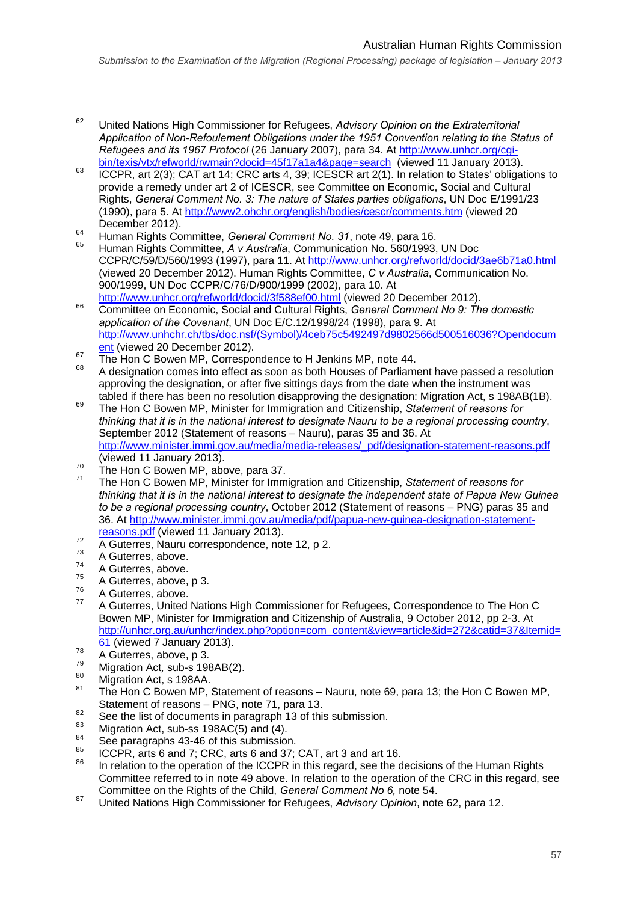#### Australian Human Rights Commission

*Submission to the Examination of the Migration (Regional Processing) package of legislation – January 2013* 

- 62 United Nations High Commissioner for Refugees, *Advisory Opinion on the Extraterritorial Application of Non-Refoulement Obligations under the 1951 Convention relating to the Status of Refugees and its 1967 Protocol* (26 January 2007), para 34. At http://www.unhcr.org/cgi-
- bin/texis/vtx/refworld/rwmain?docid=45f17a1a4&page=search (viewed 11 January 2013). 63 ICCPR, art 2(3); CAT art 14; CRC arts 4, 39; ICESCR art 2(1). In relation to States' obligations to provide a remedy under art 2 of ICESCR, see Committee on Economic, Social and Cultural Rights, *General Comment No. 3: The nature of States parties obligations*, UN Doc E/1991/23 (1990), para 5. At http://www2.ohchr.org/english/bodies/cescr/comments.htm (viewed 20
- 
- December 2012). 64 Human Rights Committee, *General Comment No. 31*, note 49, para 16. 65 Human Rights Committee, *A v Australia*, Communication No. 560/1993, UN Doc CCPR/C/59/D/560/1993 (1997), para 11. At http://www.unhcr.org/refworld/docid/3ae6b71a0.html (viewed 20 December 2012). Human Rights Committee, *C v Australia*, Communication No. 900/1999, UN Doc CCPR/C/76/D/900/1999 (2002), para 10. At
- http://www.unhcr.org/refworld/docid/3f588ef00.html (viewed 20 December 2012). 66 Committee on Economic, Social and Cultural Rights, *General Comment No 9: The domestic application of the Covenant*, UN Doc E/C.12/1998/24 (1998), para 9. At http://www.unhchr.ch/tbs/doc.nsf/(Symbol)/4ceb75c5492497d9802566d500516036?Opendocum<br>ent (viewed 20 December 2012).
- 
- $\frac{24}{100}$  The Hon C Bowen MP, Correspondence to H Jenkins MP, note 44.<br><sup>68</sup> A designation comes into effect as soon as both Houses of Parliament have passed a resolution approving the designation, or after five sittings days from the date when the instrument was
- tabled if there has been no resolution disapproving the designation: Migration Act, s 198AB(1B). 69 The Hon C Bowen MP, Minister for Immigration and Citizenship, *Statement of reasons for thinking that it is in the national interest to designate Nauru to be a regional processing country*, September 2012 (Statement of reasons – Nauru), paras 35 and 36. At http://www.minister.immi.gov.au/media/media-releases/\_pdf/designation-statement-reasons.pdf
- 
- (viewed 11 January 2013). 70 The Hon C Bowen MP, above, para 37. 71 The Hon C Bowen MP, Minister for Immigration and Citizenship, *Statement of reasons for thinking that it is in the national interest to designate the independent state of Papua New Guinea to be a regional processing country*, October 2012 (Statement of reasons – PNG) paras 35 and 36. At http://www.minister.immi.gov.au/media/pdf/papua-new-guinea-designation-statement-
- reasons.pdf (viewed 11 January 2013).<br>
A Guterres, Nauru correspondence, note 12, p 2.<br>
A Guterres, above.
- 

- $74$  A Guterres, above.
- 
- 
- $75$  A Guterres, above, p 3.<br><sup>76</sup> A Guterres, above.<br><sup>77</sup> A Guterres, United Nations High Commissioner for Refugees, Correspondence to The Hon C Bowen MP, Minister for Immigration and Citizenship of Australia, 9 October 2012, pp 2-3. At http://unhcr.org.au/unhcr/index.php?option=com\_content&view=article&id=272&catid=37&Itemid=<br>61 (viewed 7 January 2013).
- 
- 
- 
- <sup>78</sup> A Guterres, above, p 3.<br>
Migration Act, sub-s 198AB(2).<br>
80 Migration Act, s 198AA.<br>
<sup>81</sup> The Hon C Bowen MP, Statement of reasons Nauru, note 69, para 13; the Hon C Bowen MP,
- 
- 
- 
- Statement of reasons PNG, note 71, para 13.<br>
See the list of documents in paragraph 13 of this submission.<br>
Migration Act, sub-ss 198AC(5) and (4).<br>
See paragraphs 43-46 of this submission.<br>
ICCPR, arts 6 and 7; CRC, ar
- In relation to the operation of the ICCPR in this regard, see the decisions of the Human Rights Committee referred to in note 49 above. In relation to the operation of the CRC in this regard, see Committee on the Rights of the Child, *General Comment No 6,* note 54.
- 87 United Nations High Commissioner for Refugees, *Advisory Opinion*, note 62, para 12.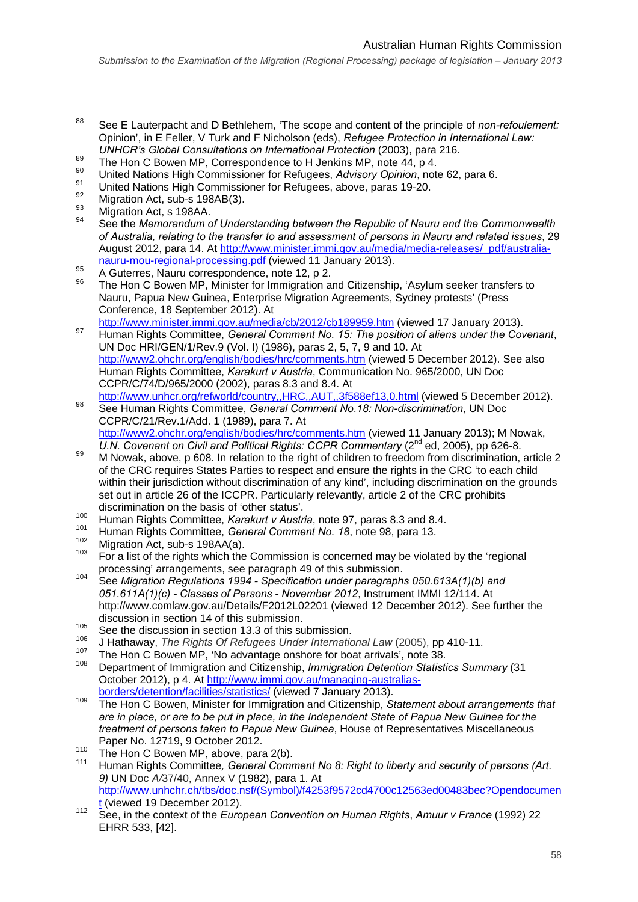- 88 See E Lauterpacht and D Bethlehem, 'The scope and content of the principle of *non-refoulement:*  Opinion', in E Feller, V Turk and F Nicholson (eds), *Refugee Protection in International Law:*
- 
- UNHCR's Global Consultations on International Protection (2003), para 216.<br>
The Hon C Bowen MP, Correspondence to H Jenkins MP, note 44, p 4.<br>
United Nations High Commissioner for Refugees, Advisory Opinion, note 62, para
- 
- 
- 

- *of Australia, relating to the transfer to and assessment of persons in Nauru and related issues*, 29 August 2012, para 14. At http://www.minister.immi.gov.au/media/media-releases/\_pdf/australia-
- 
- nauru-mou-regional-processing.pdf (viewed 11 January 2013).<br>
4 A Guterres, Nauru correspondence, note 12, p 2.<br>
<sup>96</sup> The Hon C Bowen MP, Minister for Immigration and Citizenship, 'Asylum seeker transfers to Nauru, Papua New Guinea, Enterprise Migration Agreements, Sydney protests' (Press Conference, 18 September 2012). At<br>http://www.minister.immi.gov.au/media/cb/2012/cb189959.htm (viewed 17 January 2013).
- http://www.minister.immi.gov.au/media/comment/2012/committee.org/<br><sup>97</sup> Human Rights Committee, *General Comment No. 15: The position of aliens under the Covenant*, UN Doc HRI/GEN/1/Rev.9 (Vol. I) (1986), paras 2, 5, 7, 9 and 10. At http://www2.ohchr.org/english/bodies/hrc/comments.htm (viewed 5 December 2012). See also Human Rights Committee, *Karakurt v Austria*, Communication No. 965/2000, UN Doc CCPR/C/74/D/965/2000 (2002), paras 8.3 and 8.4. At
- http://www.unhcr.org/refworld/country,,HRC,,AUT,,3f588ef13,0.html (viewed 5 December 2012). 98 See Human Rights Committee, *General Comment No*.*18: Non-discrimination*, UN Doc CCPR/C/21/Rev.1/Add. 1 (1989), para 7. At http://www2.ohchr.org/english/bodies/hrc/comments.htm (viewed 11 January 2013); M Nowak, U.N. Covenant on Civil and Political Rights: CCPR Commentary (2<sup>nd</sup> ed, 2005), pp 626-8.
- <sup>99</sup> M Nowak, above, p 608. In relation to the right of children to freedom from discrimination, article 2 of the CRC requires States Parties to respect and ensure the rights in the CRC 'to each child within their jurisdiction without discrimination of any kind', including discrimination on the grounds set out in article 26 of the ICCPR. Particularly relevantly, article 2 of the CRC prohibits discrimination on the basis of 'other status'.
- 
- 
- 
- <sup>100</sup> Human Rights Committee, *Karakurt v Austria*, note 97, paras 8.3 and 8.4.<br>
Human Rights Committee, *Karakurt v Austria*, note 97, paras 8.3 and 8.4.<br>
<sup>101</sup> Migration Act, sub-s 198AA(a).<br>
For a list of the rights wh
- processing' arrangements, see paragraph 49 of this submission. 104 See *Migration Regulations 1994 Specification under paragraphs 050.613A(1)(b) and 051.611A(1)(c) - Classes of Persons - November 2012*, Instrument IMMI 12/114. At http://www.comlaw.gov.au/Details/F2012L02201 (viewed 12 December 2012). See further the discussion in section 14 of this submission.
- <sup>105</sup> See the discussion in section 13.3 of this submission.
- 
- 106 J Hathaway, *The Rights Of Refugees Under International Law* (2005), pp 410-11. 107 The Hon C Bowen MP, 'No advantage onshore for boat arrivals', note 38.
- 108 Department of Immigration and Citizenship, *Immigration Detention Statistics Summary* (31 October 2012), p 4. At http://www.immi.gov.au/managing-australias-
- borders/detention/facilities/statistics/ (viewed 7 January 2013). 109 The Hon C Bowen, Minister for Immigration and Citizenship, *Statement about arrangements that are in place, or are to be put in place, in the Independent State of Papua New Guinea for the treatment of persons taken to Papua New Guinea*, House of Representatives Miscellaneous
- 
- Paper No. 12719, 9 October 2012.<br><sup>110</sup> The Hon C Bowen MP, above, para 2(b).<br><sup>111</sup> Human Rights Committee, *General Comment No 8: Right to liberty and security of persons (Art. 9)* UN Doc *A/*37/40, Annex V (1982), para 1. At http://www.unhchr.ch/tbs/doc.nsf/(Symbol)/f4253f9572cd4700c12563ed00483bec?Opendocumen
- t (viewed 19 December 2012). 112 See, in the context of the *European Convention on Human Rights*, *Amuur v France* (1992) 22 EHRR 533, [42].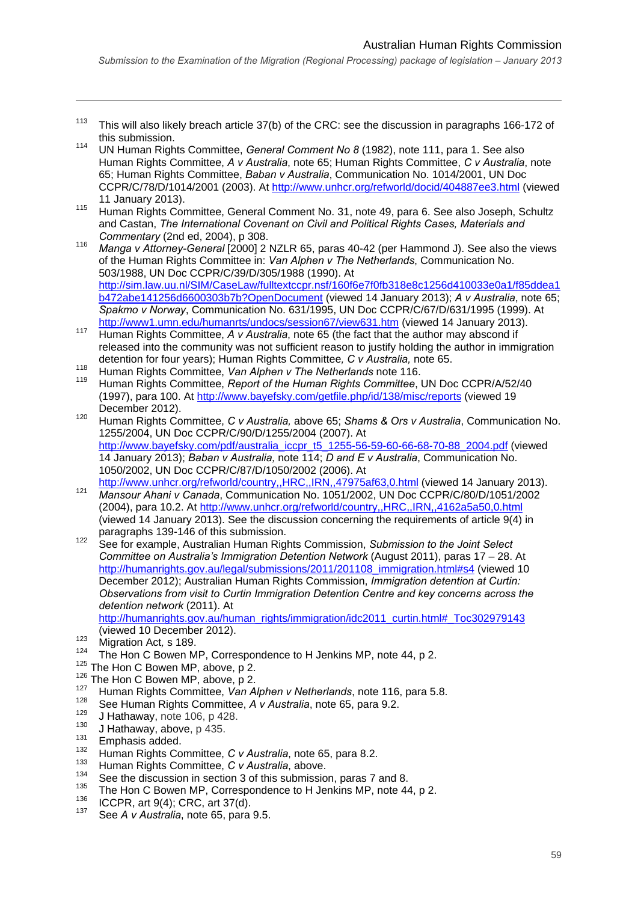- <sup>113</sup> This will also likely breach article  $37(b)$  of the CRC: see the discussion in paragraphs 166-172 of this submission.
- 114 UN Human Rights Committee, *General Comment No 8* (1982), note 111, para 1. See also Human Rights Committee, *A v Australia*, note 65; Human Rights Committee, *C v Australia*, note 65; Human Rights Committee, *Baban v Australia*, Communication No. 1014/2001, UN Doc CCPR/C/78/D/1014/2001 (2003). At http://www.unhcr.org/refworld/docid/404887ee3.html (viewed
- 11 January 2013). 115 Human Rights Committee, General Comment No. 31, note 49, para 6. See also Joseph, Schultz and Castan, *The International Covenant on Civil and Political Rights Cases, Materials and*
- *Commentary* (2nd ed, 2004), p 308. 116 *Manga v Attorney-General* [2000] 2 NZLR 65, paras 40-42 (per Hammond J). See also the views of the Human Rights Committee in: *Van Alphen v The Netherlands*, Communication No. 503/1988, UN Doc CCPR/C/39/D/305/1988 (1990). At http://sim.law.uu.nl/SIM/CaseLaw/fulltextccpr.nsf/160f6e7f0fb318e8c1256d410033e0a1/f85ddea1 b472abe141256d6600303b7b?OpenDocument (viewed 14 January 2013); *A v Australia*, note 65; *Spakmo v Norway*, Communication No. 631/1995, UN Doc CCPR/C/67/D/631/1995 (1999). At
- http://www.humanrts.committee. A v Australia, note 65 (the fact that the author may abscond if released into the community was not sufficient reason to justify holding the author in immigration detention for four years); Human Rights Committee*, C v Australia,* note 65.
- 118 Human Rights Committee, *Van Alphen v The Netherlands* note 116.
- 119 Human Rights Committee, *Report of the Human Rights Committee*, UN Doc CCPR/A/52/40 (1997), para 100. At http://www.bayefsky.com/getfile.php/id/138/misc/reports (viewed 19
- December 2012). 120 Human Rights Committee, *C v Australia,* above 65; *Shams & Ors v Australia*, Communication No. 1255/2004, UN Doc CCPR/C/90/D/1255/2004 (2007). At http://www.bayefsky.com/pdf/australia\_iccpr\_t5\_1255-56-59-60-66-68-70-88\_2004.pdf (viewed 14 January 2013); *Baban v Australia,* note 114; *D and E v Australia*, Communication No. 1050/2002, UN Doc CCPR/C/87/D/1050/2002 (2006). At
- http://www.unhcr.org/refworld/country,,HRC,,IRN,,47975af63,0.html (viewed 14 January 2013). 121 *Mansour Ahani v Canada*, Communication No. 1051/2002, UN Doc CCPR/C/80/D/1051/2002 (2004), para 10.2. At http://www.unhcr.org/refworld/country,,HRC,,IRN,,4162a5a50,0.html (viewed 14 January 2013). See the discussion concerning the requirements of article 9(4) in
- paragraphs 139-146 of this submission. 122 See for example, Australian Human Rights Commission, *Submission to the Joint Select Committee on Australia's Immigration Detention Network* (August 2011), paras 17 – 28. At http://humanrights.gov.au/legal/submissions/2011/201108\_immigration.html#s4 (viewed 10 December 2012); Australian Human Rights Commission, *Immigration detention at Curtin: Observations from visit to Curtin Immigration Detention Centre and key concerns across the detention network* (2011). At

http://humanrights.gov.au/human\_rights/immigration/idc2011\_curtin.html#\_Toc302979143 (viewed 10 December 2012).<br><sup>123</sup> Migration Act, s 189.<br><sup>124</sup> The Hon C Bowen MP, Correspondence to H Jenkins MP, note 44, p 2.

- <sup>124</sup> The Hon C Bowen MP, Correspondence to H Jenkins MP, note 44, p 2.<br><sup>125</sup> The Hon C Bowen MP, above, p 2.<br><sup>126</sup> The Hon C Bowen MP, above, p 2.<br><sup>127</sup> Human Rights Committee, *Van Alphen v Netherlands*, note 116, para
- 
- 
- 
- 
- 
- 
- 
- 
- 
- 
- <sup>133</sup> Human Rights Committee, *C v Australia*, above.<br>
See the discussion in section 3 of this submission, paras 7 and 8.<br>
<sup>135</sup> The Hon C Bowen MP, Correspondence to H Jenkins MP, note 44, p 2.<br>
ICCPR, art 9(4); CRC, art
- 
-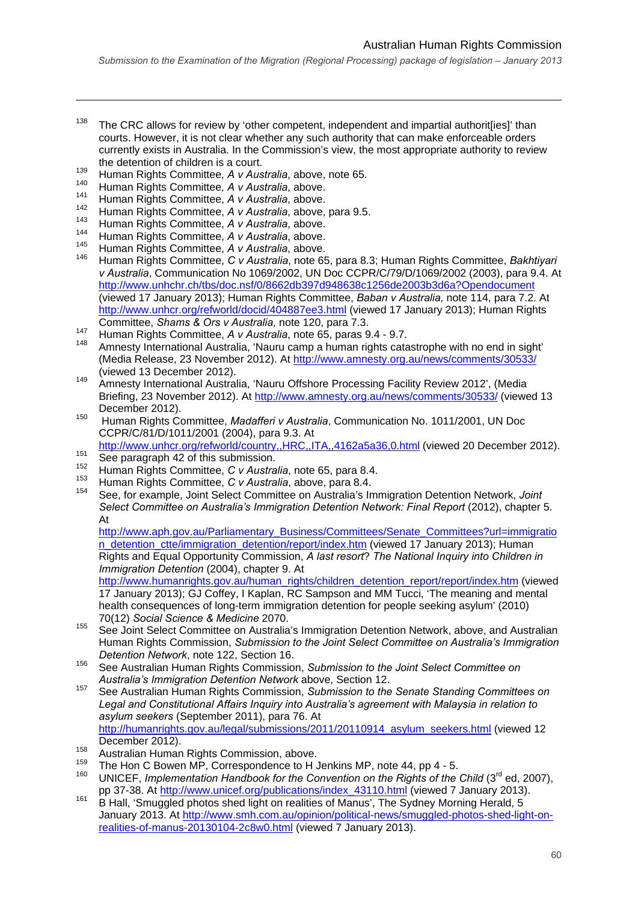- $138$  The CRC allows for review by 'other competent, independent and impartial authorit [ies]' than courts. However, it is not clear whether any such authority that can make enforceable orders currently exists in Australia. In the Commission's view, the most appropriate authority to review the detention of children is a court.
- 139 Human Rights Committee*, A v Australia*, above, note 65.
- 140 Human Rights Committee*, A v Australia*, above.

1

- 141 Human Rights Committee, *A v Australia*, above.
- 142 Human Rights Committee, *A v Australia*, above, para 9.5. 143 Human Rights Committee, *A v Australia*, above.
- 
- 144 Human Rights Committee, *A v Australia*, above.
- 145 Human Rights Committee, *A v Australia*, above.
- 146 Human Rights Committee, *C v Australia*, note 65, para 8.3; Human Rights Committee, *Bakhtiyari v Australia*, Communication No 1069/2002, UN Doc CCPR/C/79/D/1069/2002 (2003), para 9.4. At http://www.unhchr.ch/tbs/doc.nsf/0/8662db397d948638c1256de2003b3d6a?Opendocument (viewed 17 January 2013); Human Rights Committee, *Baban v Australia,* note 114, para 7.2. At http://www.unhcr.org/refworld/docid/404887ee3.html (viewed 17 January 2013); Human Rights<br>Committee, Shams & Ors v Australia, note 120, para 7.3.
- 
- 147 Human Rights Committee, A v Australia, note 65, paras 9.4 9.7.<br>148 Amnesty International Australia, 'Nauru camp a human rights catastrophe with no end in sight' (Media Release, 23 November 2012). At http://www.amnesty.org.au/news/comments/30533/ (viewed 13 December 2012). 149 Amnesty International Australia, 'Nauru Offshore Processing Facility Review 2012', (Media
- Briefing, 23 November 2012). At http://www.amnesty.org.au/news/comments/30533/ (viewed 13
- December 2012). 150 Human Rights Committee, *Madafferi v Australia*, Communication No. 1011/2001, UN Doc CCPR/C/81/D/1011/2001 (2004), para 9.3. At

http://www.unhcr.org/refworld/country,,HRC,,ITA,,4162a5a36,0.html (viewed 20 December 2012).<br>
See paragraph 42 of this submission.<br>
Human Rights Committee, *C v Australia*, note 65, para 8.4.<br>
Human Rights Committee, *C v* 

- 
- 
- 
- *Select Committee on Australia's Immigration Detention Network: Final Report* (2012), chapter 5. At

http://www.aph.gov.au/Parliamentary\_Business/Committees/Senate\_Committees?url=immigratio n\_detention\_ctte/immigration\_detention/report/index.htm (viewed 17 January 2013); Human Rights and Equal Opportunity Commission, *A last resort*? *The National Inquiry into Children in Immigration Detention* (2004), chapter 9. At

http://www.humanrights.gov.au/human\_rights/children\_detention\_report/report/index.htm (viewed 17 January 2013); GJ Coffey, I Kaplan, RC Sampson and MM Tucci, 'The meaning and mental health consequences of long-term immigration detention for people seeking asylum' (2010) 70(12) *Social Science & Medicine* 2070.

- 155 See Joint Select Committee on Australia's Immigration Detention Network, above, and Australian Human Rights Commission, *Submission to the Joint Select Committee on Australia's Immigration Detention Network*, note 122, Section 16.
- 156 See Australian Human Rights Commission, *Submission to the Joint Select Committee on Australia's Immigration Detention Network* above, Section 12.
- 157 See Australian Human Rights Commission, *Submission to the Senate Standing Committees on Legal and Constitutional Affairs Inquiry into Australia's agreement with Malaysia in relation to asylum seekers* (September 2011), para 76. At http://humanrights.gov.au/legal/submissions/2011/20110914\_asylum\_seekers.html (viewed 12
- 
- 
- December 2012).<br>
Australian Human Rights Commission, above.<br>
<sup>159</sup> The Hon C Bowen MP, Correspondence to H Jenkins MP, note 44, pp 4 5.<br>
<sup>159</sup> UNICEF, *Implementation Handbook for the Convention on the Rights of the Chil* pp 37-38. At http://www.unicef.org/publications/index\_43110.html (viewed 7 January 2013).<br><sup>161</sup> B Hall, 'Smuggled photos shed light on realities of Manus', The Sydney Morning Herald, 5
- January 2013. At http://www.smh.com.au/opinion/political-news/smuggled-photos-shed-light-onrealities-of-manus-20130104-2c8w0.html (viewed 7 January 2013).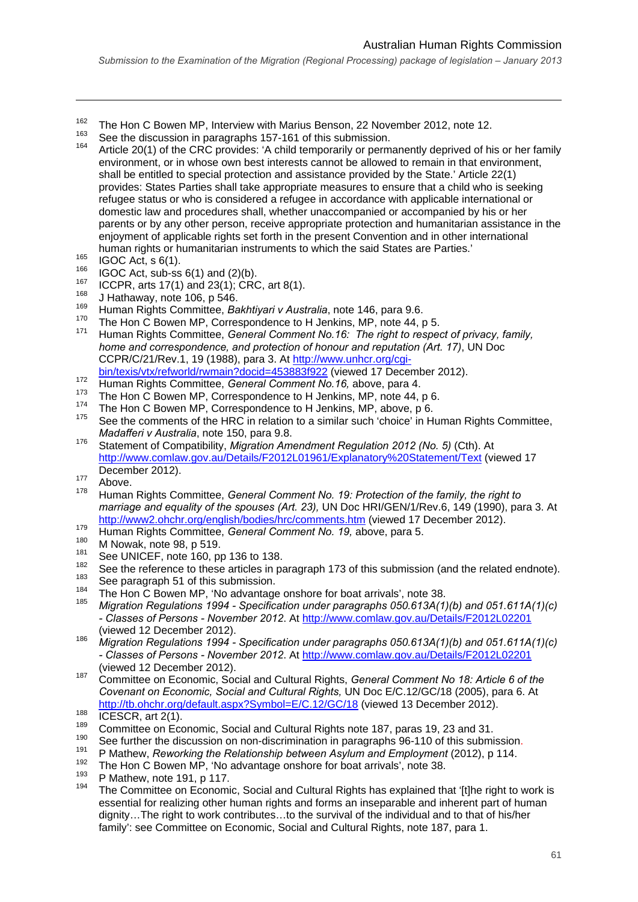- <sup>162</sup> The Hon C Bowen MP, Interview with Marius Benson, 22 November 2012, note 12.
- 
- <sup>163</sup> See the discussion in paragraphs 157-161 of this submission.<br><sup>164</sup> Article 20(1) of the CRC provides: 'A child temporarily or permanently deprived of his or her family environment, or in whose own best interests cannot be allowed to remain in that environment, shall be entitled to special protection and assistance provided by the State.' Article 22(1) provides: States Parties shall take appropriate measures to ensure that a child who is seeking refugee status or who is considered a refugee in accordance with applicable international or domestic law and procedures shall, whether unaccompanied or accompanied by his or her parents or by any other person, receive appropriate protection and humanitarian assistance in the enjoyment of applicable rights set forth in the present Convention and in other international
- 

- 
- 
- 
- 
- human rights or humanitarian instruments to which the said States are Parties.'<br>
165 IGOC Act, s 6(1).<br>
166 IGOC Act, sub-ss 6(1) and (2)(b).<br>
167 ICCPR, arts 17(1) and 23(1); CRC, art 8(1).<br>
168 J Hathaway, note 106, p 54 *home and correspondence, and protection of honour and reputation (Art. 17)*, UN Doc CCPR/C/21/Rev.1, 19 (1988), para 3. At http://www.unhcr.org/cgi-<br>bin/texis/vtx/refworld/rwmain?docid=453883f922 (viewed 17 December 2012).
- 
- 
- 
- 
- $\frac{372}{173}$  Human Rights Committee, *General Comment No.16*, above, para 4.<br>
The Hon C Bowen MP, Correspondence to H Jenkins, MP, note 44, p 6.<br>
The Hon C Bowen MP, Correspondence to H Jenkins, MP, above, p 6.<br>
See the *Madafferi v Australia*, note 150, para 9.8.<br><sup>176</sup> Statement of Compatibility, *Migration Amendment Regulation 2012 (No. 5)* (Cth). At
- http://www.comlaw.gov.au/Details/F2012L01961/Explanatory%20Statement/Text (viewed 17 December 2012).<br>
<sup>177</sup> Above.<br>
<sup>178</sup> H.
- 
- 178 Human Rights Committee, *General Comment No. 19: Protection of the family, the right to marriage and equality of the spouses (Art. 23),* UN Doc HRI/GEN/1/Rev.6, 149 (1990), para 3. At
- 
- 
- 
- $\frac{\text{http://www2.ohchr.org/english/bodies/hrc/comments.htm}}{179}$  (viewed 17 December 2012).<br>
Human Rights Committee, *General Comment No. 19*, above, para 5.<br>
<sup>180</sup> M Nowak, note 98, p 519.<br>
See UNICEF, note 160, pp 136 to 138.<br>
See the reference to thes
- 
- 
- 185 *Migration Regulations 1994 Specification under paragraphs 050.613A(1)(b) and 051.611A(1)(c) - Classes of Persons - November 2012*. At http://www.comlaw.gov.au/Details/F2012L02201
- (viewed 12 December 2012). 186 *Migration Regulations 1994 Specification under paragraphs 050.613A(1)(b) and 051.611A(1)(c) - Classes of Persons - November 2012*. At http://www.comlaw.gov.au/Details/F2012L02201
- (viewed 12 December 2012). 187 Committee on Economic, Social and Cultural Rights, *General Comment No 18: Article 6 of the Covenant on Economic, Social and Cultural Rights,* UN Doc E/C.12/GC/18 (2005), para 6. At http://tb.ohchr.org/default.aspx?Symbol= $E/C.12/GC/18$  (viewed 13 December 2012).<br>
188 ICESCR, art 2(1).<br>
Committee on Economic, Social and Cultural Rights note 187, paras 19, 23 and 31.<br>
190 See further the discussion on n
- 
- 
- 
- 
- 
- 
- <sup>193</sup> P Mathew, note 191, p 117.<br><sup>194</sup> The Committee on Economic, Social and Cultural Rights has explained that '[t]he right to work is essential for realizing other human rights and forms an inseparable and inherent part of human dignity…The right to work contributes…to the survival of the individual and to that of his/her family': see Committee on Economic, Social and Cultural Rights, note 187, para 1.